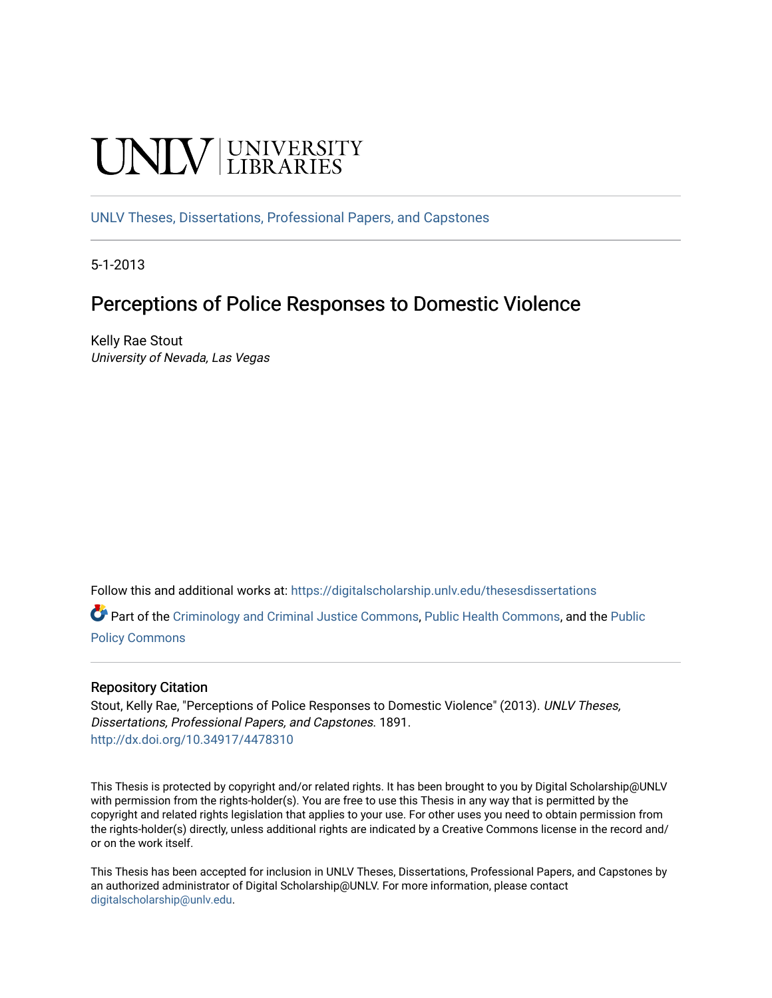# **UNIVERSITY**

[UNLV Theses, Dissertations, Professional Papers, and Capstones](https://digitalscholarship.unlv.edu/thesesdissertations)

5-1-2013

# Perceptions of Police Responses to Domestic Violence

Kelly Rae Stout University of Nevada, Las Vegas

Follow this and additional works at: [https://digitalscholarship.unlv.edu/thesesdissertations](https://digitalscholarship.unlv.edu/thesesdissertations?utm_source=digitalscholarship.unlv.edu%2Fthesesdissertations%2F1891&utm_medium=PDF&utm_campaign=PDFCoverPages)

Part of the [Criminology and Criminal Justice Commons](http://network.bepress.com/hgg/discipline/367?utm_source=digitalscholarship.unlv.edu%2Fthesesdissertations%2F1891&utm_medium=PDF&utm_campaign=PDFCoverPages), [Public Health Commons](http://network.bepress.com/hgg/discipline/738?utm_source=digitalscholarship.unlv.edu%2Fthesesdissertations%2F1891&utm_medium=PDF&utm_campaign=PDFCoverPages), and the [Public](http://network.bepress.com/hgg/discipline/400?utm_source=digitalscholarship.unlv.edu%2Fthesesdissertations%2F1891&utm_medium=PDF&utm_campaign=PDFCoverPages) [Policy Commons](http://network.bepress.com/hgg/discipline/400?utm_source=digitalscholarship.unlv.edu%2Fthesesdissertations%2F1891&utm_medium=PDF&utm_campaign=PDFCoverPages)

#### Repository Citation

Stout, Kelly Rae, "Perceptions of Police Responses to Domestic Violence" (2013). UNLV Theses, Dissertations, Professional Papers, and Capstones. 1891. <http://dx.doi.org/10.34917/4478310>

This Thesis is protected by copyright and/or related rights. It has been brought to you by Digital Scholarship@UNLV with permission from the rights-holder(s). You are free to use this Thesis in any way that is permitted by the copyright and related rights legislation that applies to your use. For other uses you need to obtain permission from the rights-holder(s) directly, unless additional rights are indicated by a Creative Commons license in the record and/ or on the work itself.

This Thesis has been accepted for inclusion in UNLV Theses, Dissertations, Professional Papers, and Capstones by an authorized administrator of Digital Scholarship@UNLV. For more information, please contact [digitalscholarship@unlv.edu](mailto:digitalscholarship@unlv.edu).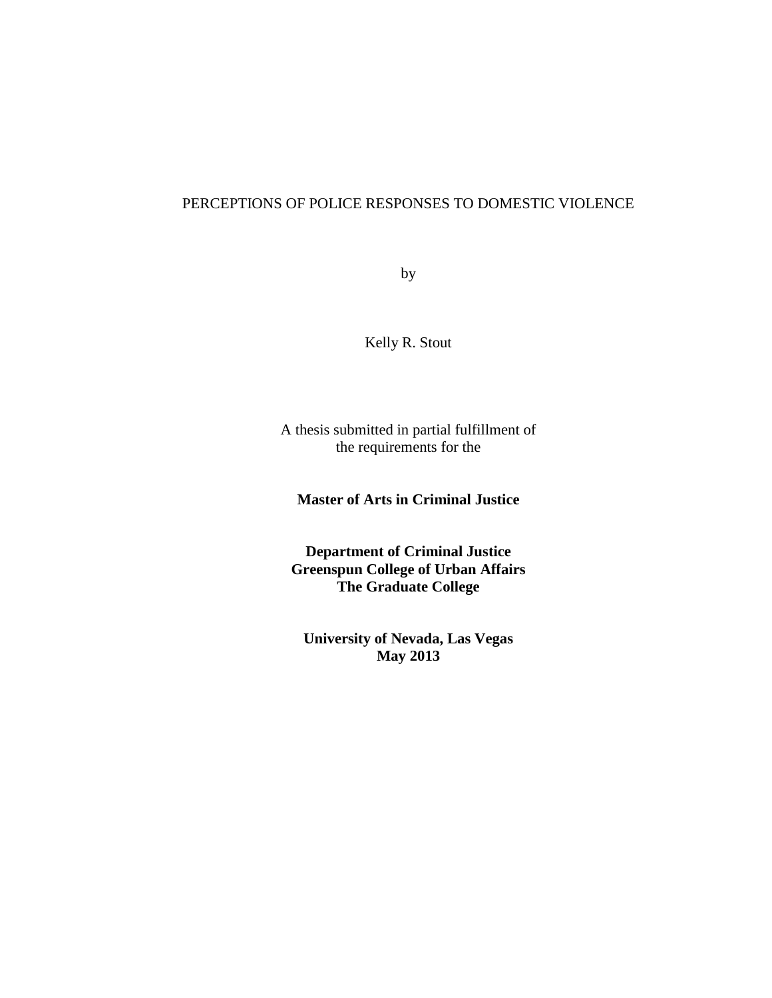# PERCEPTIONS OF POLICE RESPONSES TO DOMESTIC VIOLENCE

by

Kelly R. Stout

A thesis submitted in partial fulfillment of the requirements for the

**Master of Arts in Criminal Justice**

**Department of Criminal Justice Greenspun College of Urban Affairs The Graduate College**

**University of Nevada, Las Vegas May 2013**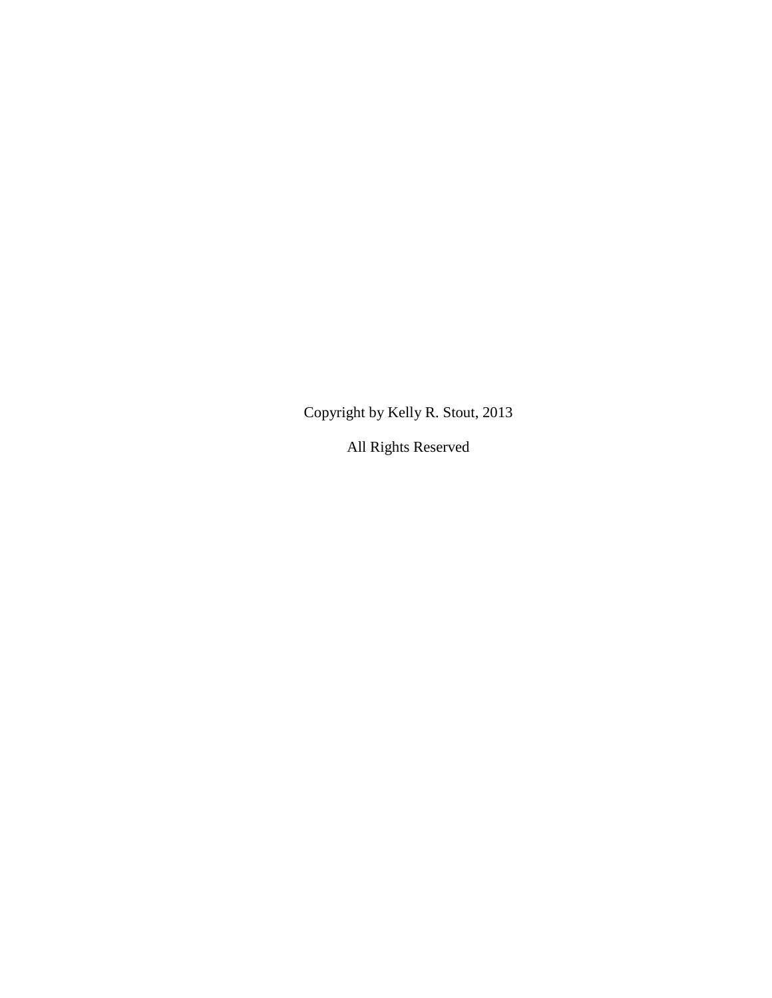Copyright by Kelly R. Stout, 2013

All Rights Reserved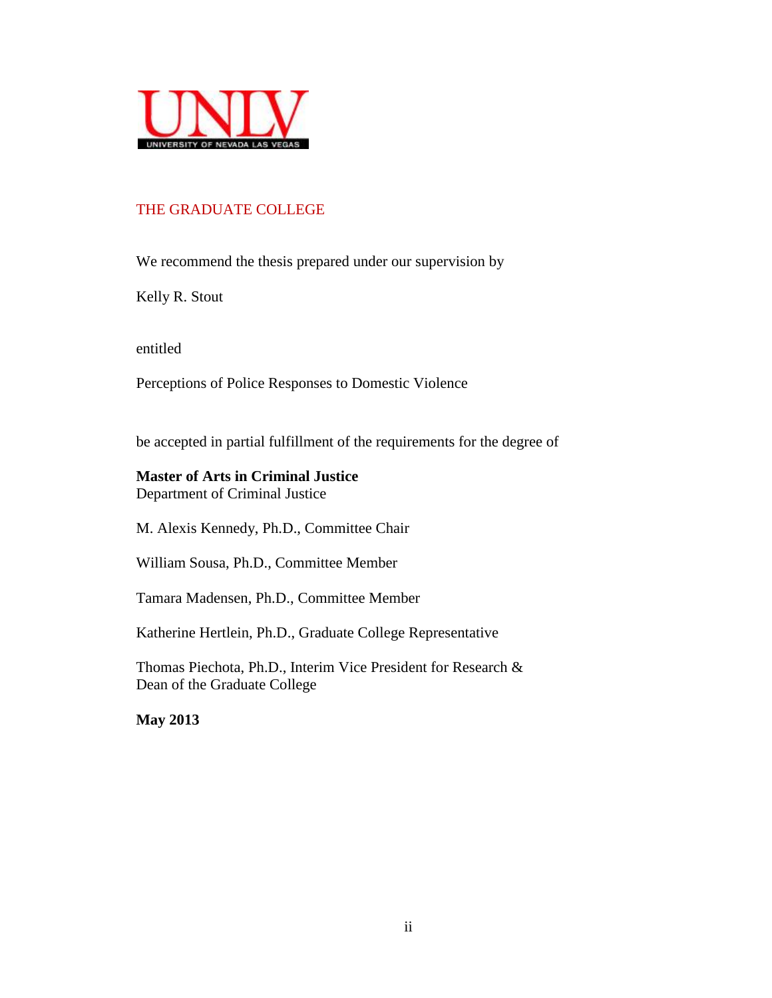

# THE GRADUATE COLLEGE

We recommend the thesis prepared under our supervision by

Kelly R. Stout

entitled

Perceptions of Police Responses to Domestic Violence

be accepted in partial fulfillment of the requirements for the degree of

# **Master of Arts in Criminal Justice** Department of Criminal Justice

M. Alexis Kennedy, Ph.D., Committee Chair

William Sousa, Ph.D., Committee Member

Tamara Madensen, Ph.D., Committee Member

Katherine Hertlein, Ph.D., Graduate College Representative

Thomas Piechota, Ph.D., Interim Vice President for Research & Dean of the Graduate College

**May 2013**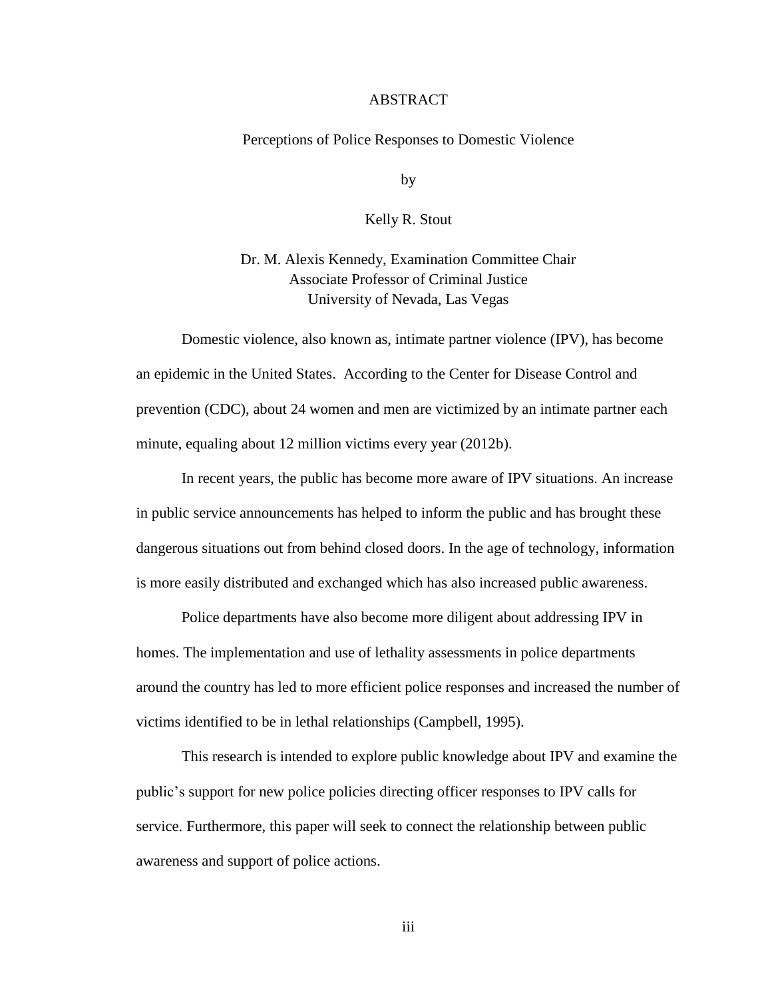#### ABSTRACT

#### Perceptions of Police Responses to Domestic Violence

by

Kelly R. Stout

Dr. M. Alexis Kennedy, Examination Committee Chair Associate Professor of Criminal Justice University of Nevada, Las Vegas

Domestic violence, also known as, intimate partner violence (IPV), has become an epidemic in the United States. According to the Center for Disease Control and prevention (CDC), about 24 women and men are victimized by an intimate partner each minute, equaling about 12 million victims every year (2012b).

In recent years, the public has become more aware of IPV situations. An increase in public service announcements has helped to inform the public and has brought these dangerous situations out from behind closed doors. In the age of technology, information is more easily distributed and exchanged which has also increased public awareness.

Police departments have also become more diligent about addressing IPV in homes. The implementation and use of lethality assessments in police departments around the country has led to more efficient police responses and increased the number of victims identified to be in lethal relationships (Campbell, 1995).

This research is intended to explore public knowledge about IPV and examine the public's support for new police policies directing officer responses to IPV calls for service. Furthermore, this paper will seek to connect the relationship between public awareness and support of police actions.

iii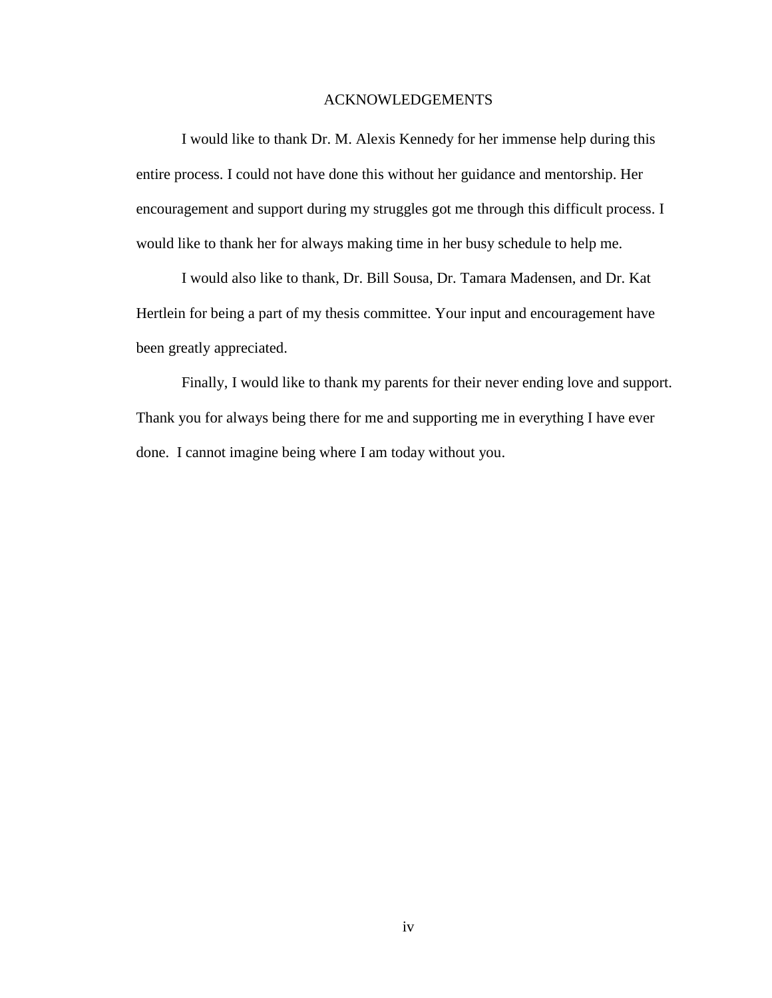#### ACKNOWLEDGEMENTS

I would like to thank Dr. M. Alexis Kennedy for her immense help during this entire process. I could not have done this without her guidance and mentorship. Her encouragement and support during my struggles got me through this difficult process. I would like to thank her for always making time in her busy schedule to help me.

I would also like to thank, Dr. Bill Sousa, Dr. Tamara Madensen, and Dr. Kat Hertlein for being a part of my thesis committee. Your input and encouragement have been greatly appreciated.

Finally, I would like to thank my parents for their never ending love and support. Thank you for always being there for me and supporting me in everything I have ever done. I cannot imagine being where I am today without you.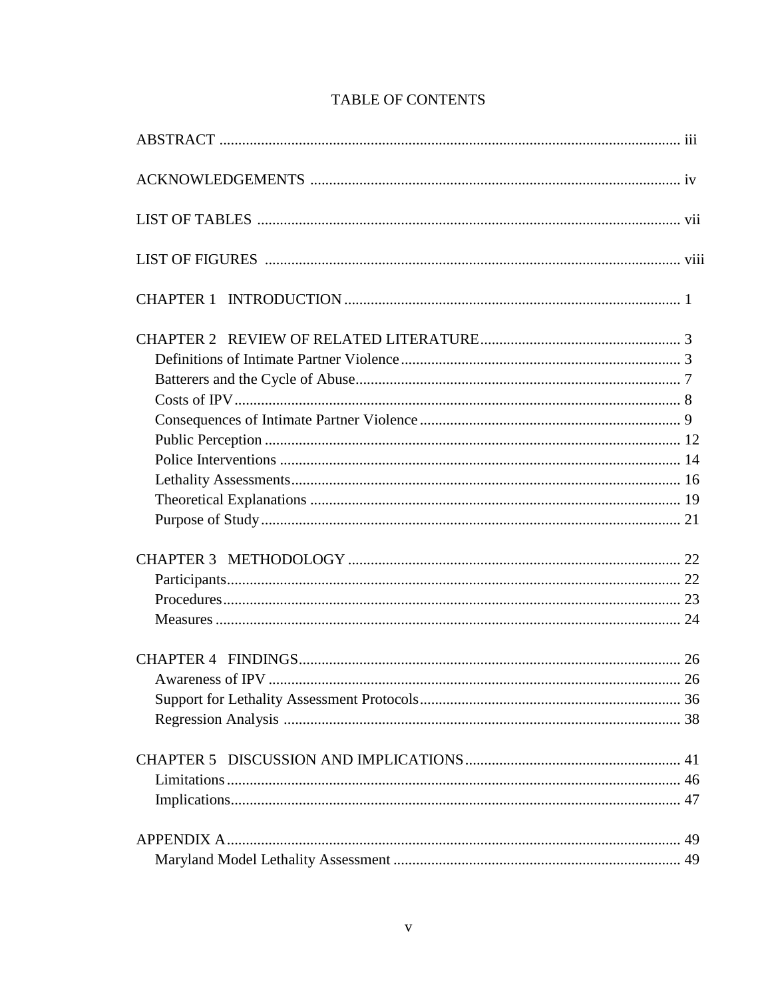# TABLE OF CONTENTS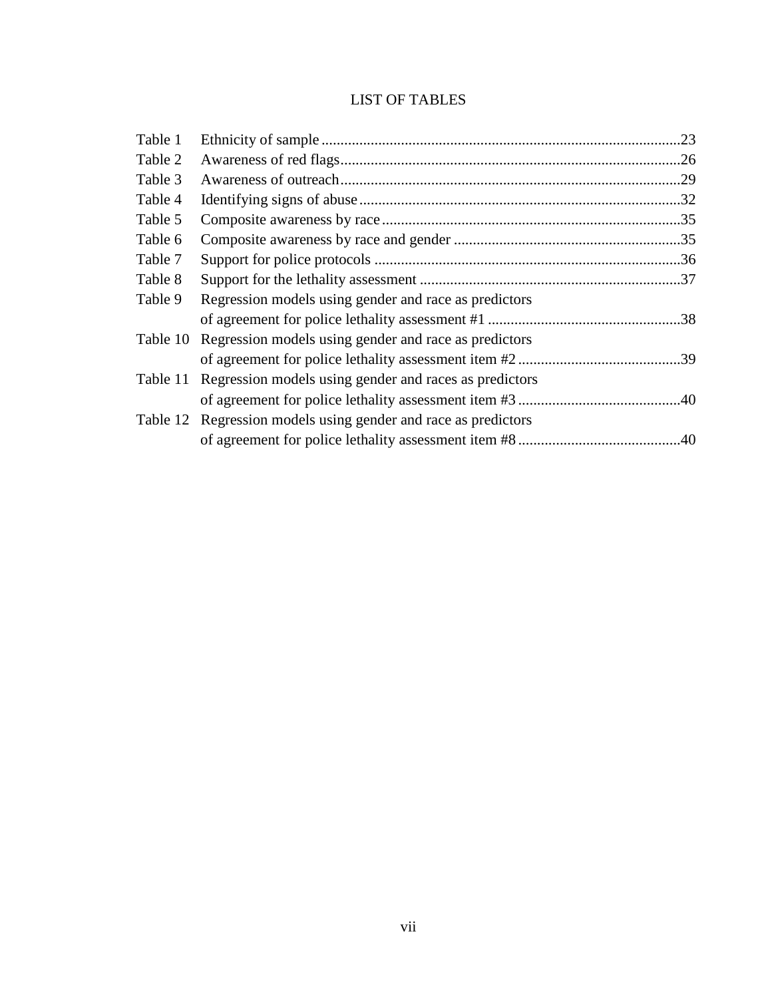# LIST OF TABLES

| Table 1  |                                                                | .23 |
|----------|----------------------------------------------------------------|-----|
| Table 2  |                                                                |     |
| Table 3  |                                                                |     |
| Table 4  |                                                                |     |
| Table 5  |                                                                |     |
| Table 6  |                                                                |     |
| Table 7  |                                                                |     |
| Table 8  |                                                                |     |
| Table 9  | Regression models using gender and race as predictors          |     |
|          |                                                                |     |
| Table 10 | Regression models using gender and race as predictors          |     |
|          |                                                                | .39 |
| Table 11 | Regression models using gender and races as predictors         |     |
|          |                                                                | .40 |
|          | Table 12 Regression models using gender and race as predictors |     |
|          |                                                                |     |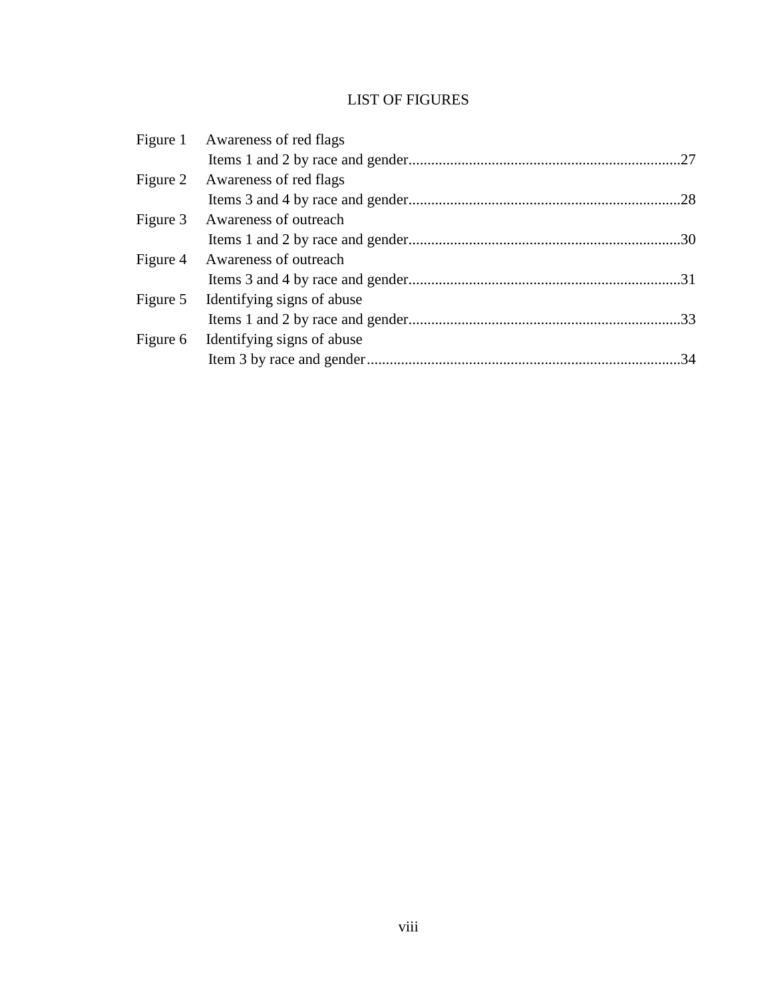# LIST OF FIGURES

| Figure 1 Awareness of red flags     |  |
|-------------------------------------|--|
|                                     |  |
| Figure 2 Awareness of red flags     |  |
|                                     |  |
| Figure 3 Awareness of outreach      |  |
|                                     |  |
| Figure 4 Awareness of outreach      |  |
|                                     |  |
| Figure 5 Identifying signs of abuse |  |
|                                     |  |
| Figure 6 Identifying signs of abuse |  |
|                                     |  |
|                                     |  |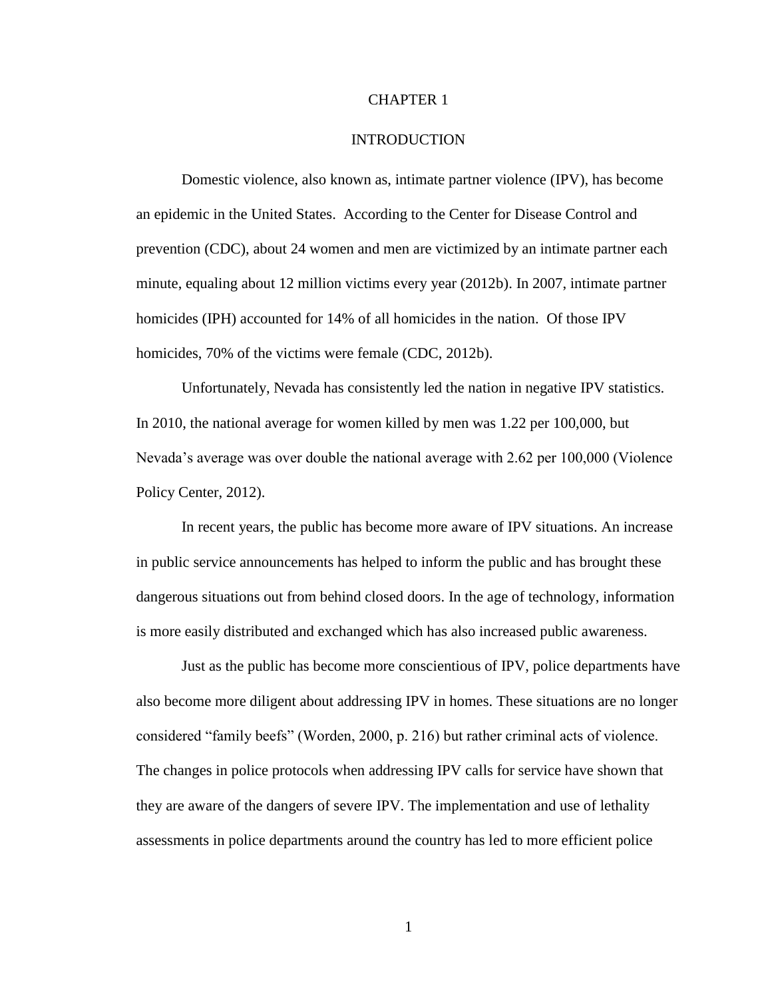#### CHAPTER 1

# INTRODUCTION

Domestic violence, also known as, intimate partner violence (IPV), has become an epidemic in the United States. According to the Center for Disease Control and prevention (CDC), about 24 women and men are victimized by an intimate partner each minute, equaling about 12 million victims every year (2012b). In 2007, intimate partner homicides (IPH) accounted for 14% of all homicides in the nation. Of those IPV homicides, 70% of the victims were female (CDC, 2012b).

Unfortunately, Nevada has consistently led the nation in negative IPV statistics. In 2010, the national average for women killed by men was 1.22 per 100,000, but Nevada's average was over double the national average with 2.62 per 100,000 (Violence Policy Center, 2012).

In recent years, the public has become more aware of IPV situations. An increase in public service announcements has helped to inform the public and has brought these dangerous situations out from behind closed doors. In the age of technology, information is more easily distributed and exchanged which has also increased public awareness.

Just as the public has become more conscientious of IPV, police departments have also become more diligent about addressing IPV in homes. These situations are no longer considered "family beefs" (Worden, 2000, p. 216) but rather criminal acts of violence. The changes in police protocols when addressing IPV calls for service have shown that they are aware of the dangers of severe IPV. The implementation and use of lethality assessments in police departments around the country has led to more efficient police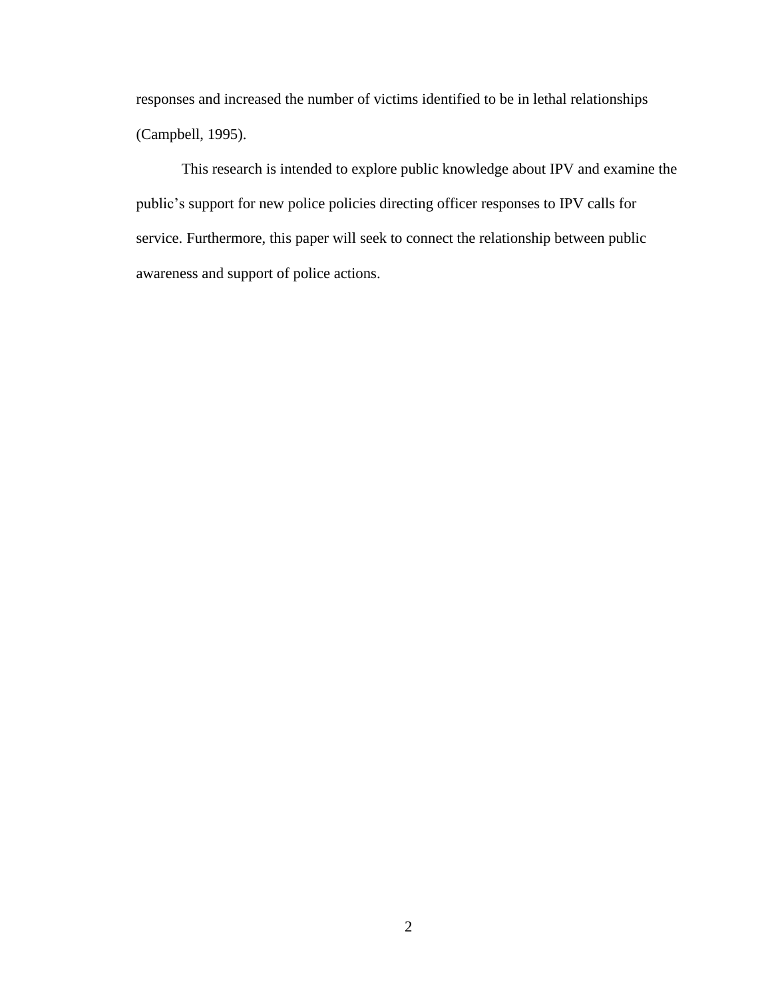responses and increased the number of victims identified to be in lethal relationships (Campbell, 1995).

This research is intended to explore public knowledge about IPV and examine the public's support for new police policies directing officer responses to IPV calls for service. Furthermore, this paper will seek to connect the relationship between public awareness and support of police actions.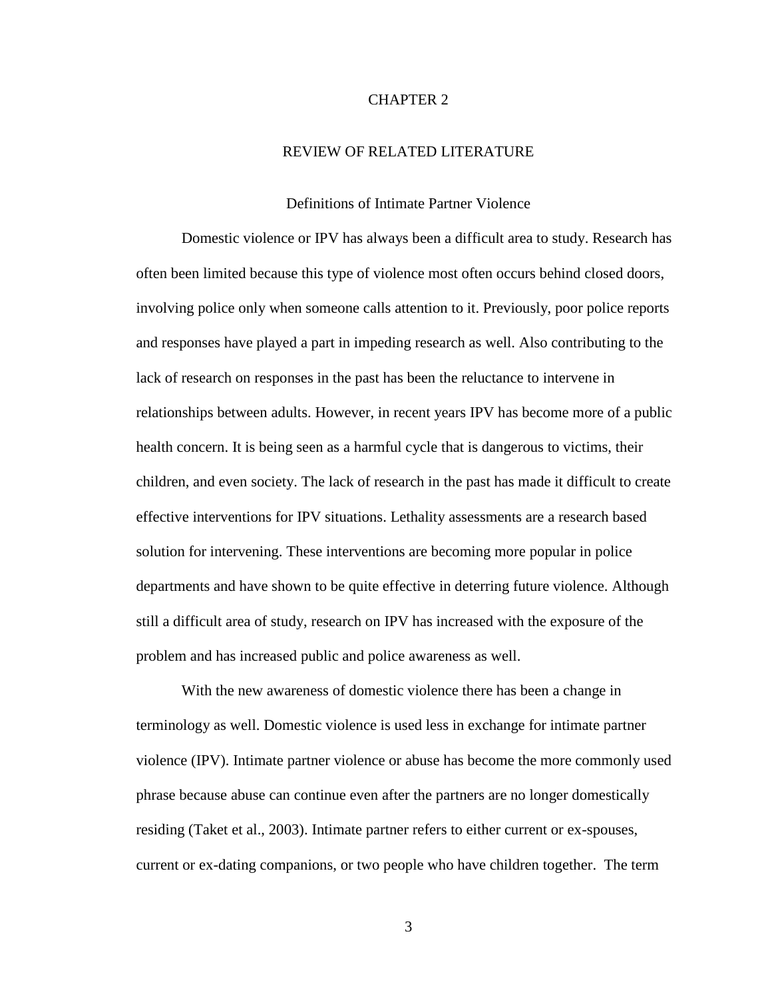#### CHAPTER 2

# REVIEW OF RELATED LITERATURE

#### Definitions of Intimate Partner Violence

Domestic violence or IPV has always been a difficult area to study. Research has often been limited because this type of violence most often occurs behind closed doors, involving police only when someone calls attention to it. Previously, poor police reports and responses have played a part in impeding research as well. Also contributing to the lack of research on responses in the past has been the reluctance to intervene in relationships between adults. However, in recent years IPV has become more of a public health concern. It is being seen as a harmful cycle that is dangerous to victims, their children, and even society. The lack of research in the past has made it difficult to create effective interventions for IPV situations. Lethality assessments are a research based solution for intervening. These interventions are becoming more popular in police departments and have shown to be quite effective in deterring future violence. Although still a difficult area of study, research on IPV has increased with the exposure of the problem and has increased public and police awareness as well.

With the new awareness of domestic violence there has been a change in terminology as well. Domestic violence is used less in exchange for intimate partner violence (IPV). Intimate partner violence or abuse has become the more commonly used phrase because abuse can continue even after the partners are no longer domestically residing (Taket et al., 2003). Intimate partner refers to either current or ex-spouses, current or ex-dating companions, or two people who have children together. The term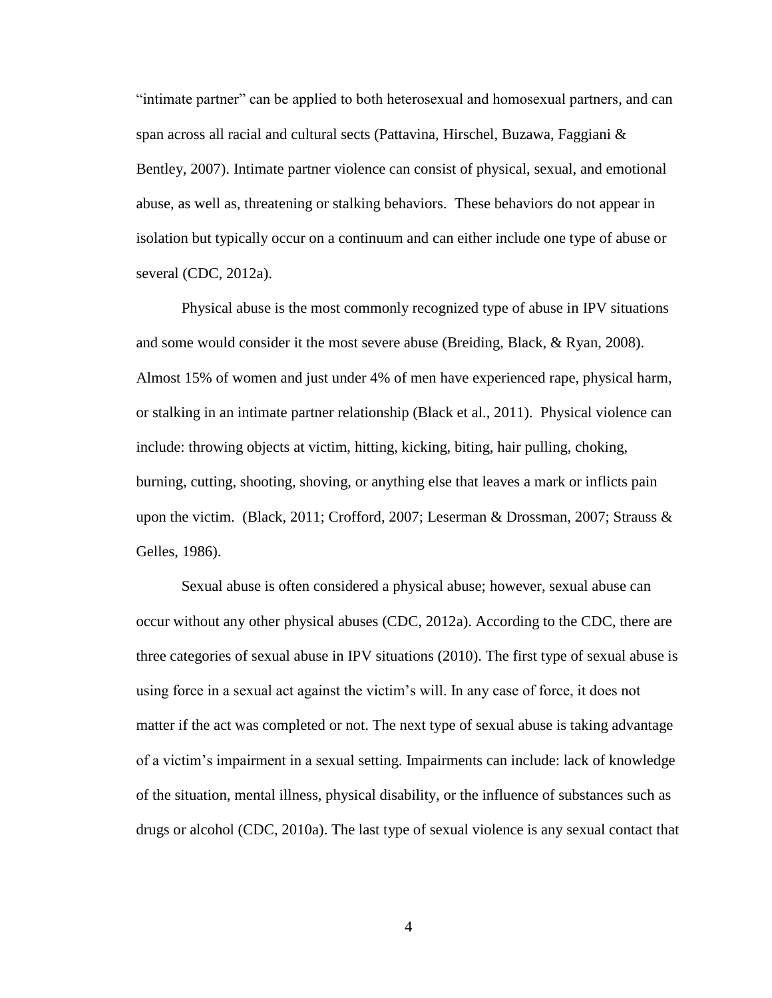"intimate partner" can be applied to both heterosexual and homosexual partners, and can span across all racial and cultural sects (Pattavina, Hirschel, Buzawa, Faggiani & Bentley, 2007). Intimate partner violence can consist of physical, sexual, and emotional abuse, as well as, threatening or stalking behaviors. These behaviors do not appear in isolation but typically occur on a continuum and can either include one type of abuse or several (CDC, 2012a).

Physical abuse is the most commonly recognized type of abuse in IPV situations and some would consider it the most severe abuse (Breiding, Black, & Ryan, 2008). Almost 15% of women and just under 4% of men have experienced rape, physical harm, or stalking in an intimate partner relationship (Black et al., 2011). Physical violence can include: throwing objects at victim, hitting, kicking, biting, hair pulling, choking, burning, cutting, shooting, shoving, or anything else that leaves a mark or inflicts pain upon the victim. (Black, 2011; Crofford, 2007; Leserman & Drossman, 2007; Strauss & Gelles, 1986).

Sexual abuse is often considered a physical abuse; however, sexual abuse can occur without any other physical abuses (CDC, 2012a). According to the CDC, there are three categories of sexual abuse in IPV situations (2010). The first type of sexual abuse is using force in a sexual act against the victim's will. In any case of force, it does not matter if the act was completed or not. The next type of sexual abuse is taking advantage of a victim's impairment in a sexual setting. Impairments can include: lack of knowledge of the situation, mental illness, physical disability, or the influence of substances such as drugs or alcohol (CDC, 2010a). The last type of sexual violence is any sexual contact that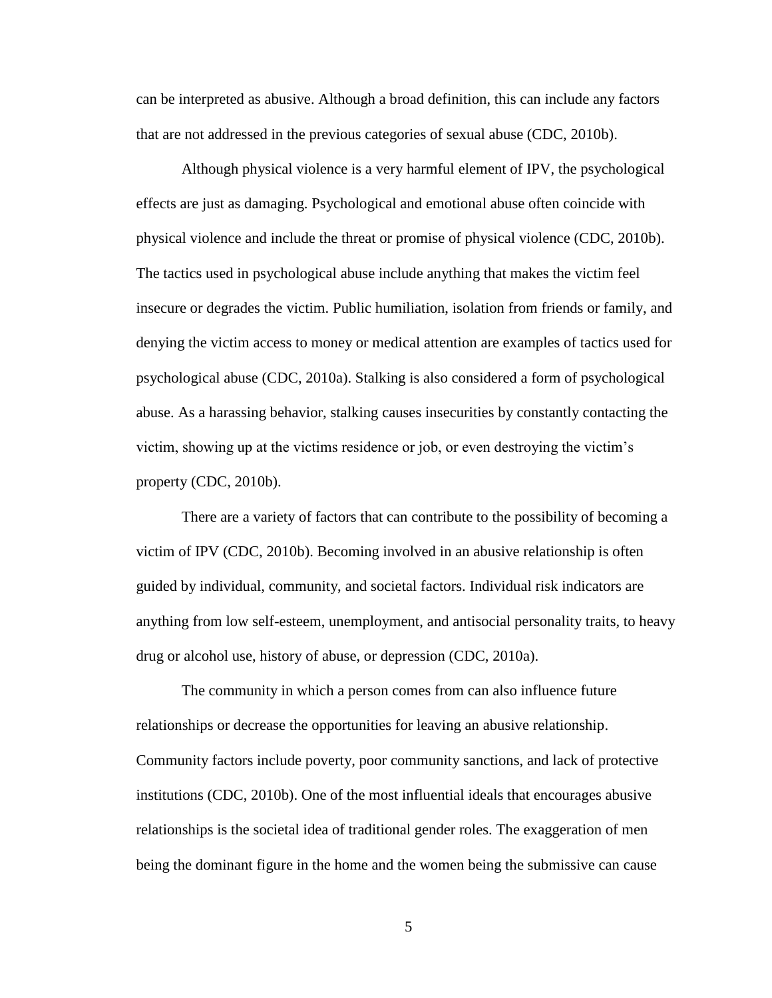can be interpreted as abusive. Although a broad definition, this can include any factors that are not addressed in the previous categories of sexual abuse (CDC, 2010b).

Although physical violence is a very harmful element of IPV, the psychological effects are just as damaging. Psychological and emotional abuse often coincide with physical violence and include the threat or promise of physical violence (CDC, 2010b). The tactics used in psychological abuse include anything that makes the victim feel insecure or degrades the victim. Public humiliation, isolation from friends or family, and denying the victim access to money or medical attention are examples of tactics used for psychological abuse (CDC, 2010a). Stalking is also considered a form of psychological abuse. As a harassing behavior, stalking causes insecurities by constantly contacting the victim, showing up at the victims residence or job, or even destroying the victim's property (CDC, 2010b).

There are a variety of factors that can contribute to the possibility of becoming a victim of IPV (CDC, 2010b). Becoming involved in an abusive relationship is often guided by individual, community, and societal factors. Individual risk indicators are anything from low self-esteem, unemployment, and antisocial personality traits, to heavy drug or alcohol use, history of abuse, or depression (CDC, 2010a).

The community in which a person comes from can also influence future relationships or decrease the opportunities for leaving an abusive relationship. Community factors include poverty, poor community sanctions, and lack of protective institutions (CDC, 2010b). One of the most influential ideals that encourages abusive relationships is the societal idea of traditional gender roles. The exaggeration of men being the dominant figure in the home and the women being the submissive can cause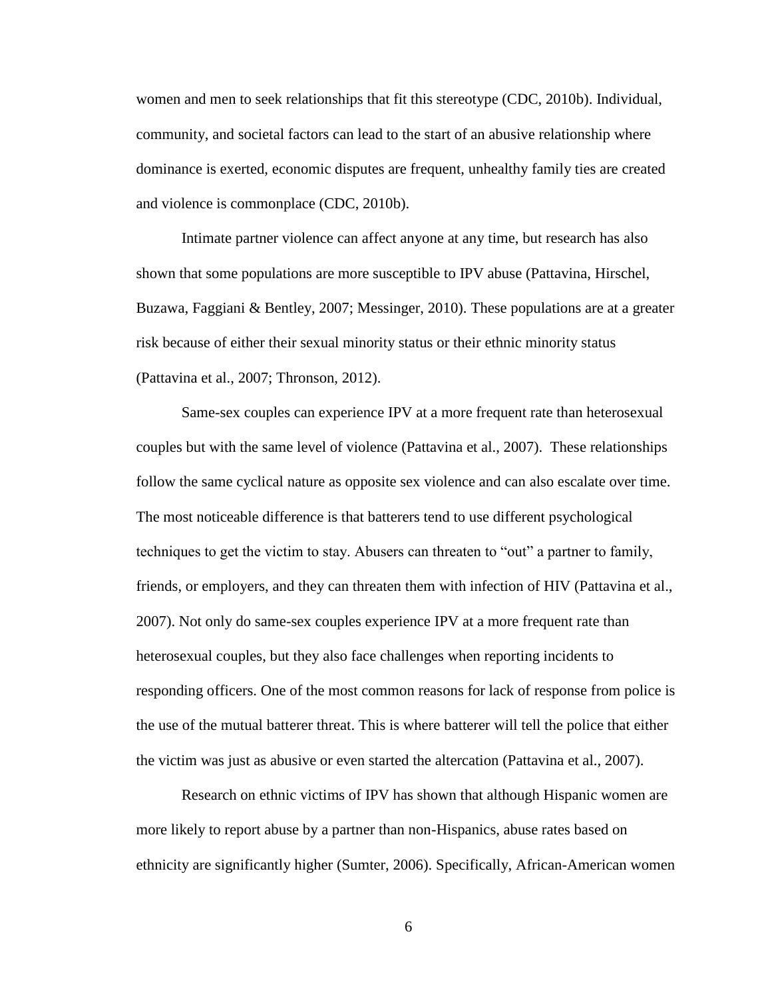women and men to seek relationships that fit this stereotype (CDC, 2010b). Individual, community, and societal factors can lead to the start of an abusive relationship where dominance is exerted, economic disputes are frequent, unhealthy family ties are created and violence is commonplace (CDC, 2010b).

Intimate partner violence can affect anyone at any time, but research has also shown that some populations are more susceptible to IPV abuse (Pattavina, Hirschel, Buzawa, Faggiani & Bentley, 2007; Messinger, 2010). These populations are at a greater risk because of either their sexual minority status or their ethnic minority status (Pattavina et al., 2007; Thronson, 2012).

Same-sex couples can experience IPV at a more frequent rate than heterosexual couples but with the same level of violence (Pattavina et al., 2007). These relationships follow the same cyclical nature as opposite sex violence and can also escalate over time. The most noticeable difference is that batterers tend to use different psychological techniques to get the victim to stay. Abusers can threaten to "out" a partner to family, friends, or employers, and they can threaten them with infection of HIV (Pattavina et al., 2007). Not only do same-sex couples experience IPV at a more frequent rate than heterosexual couples, but they also face challenges when reporting incidents to responding officers. One of the most common reasons for lack of response from police is the use of the mutual batterer threat. This is where batterer will tell the police that either the victim was just as abusive or even started the altercation (Pattavina et al., 2007).

Research on ethnic victims of IPV has shown that although Hispanic women are more likely to report abuse by a partner than non-Hispanics, abuse rates based on ethnicity are significantly higher (Sumter, 2006). Specifically, African-American women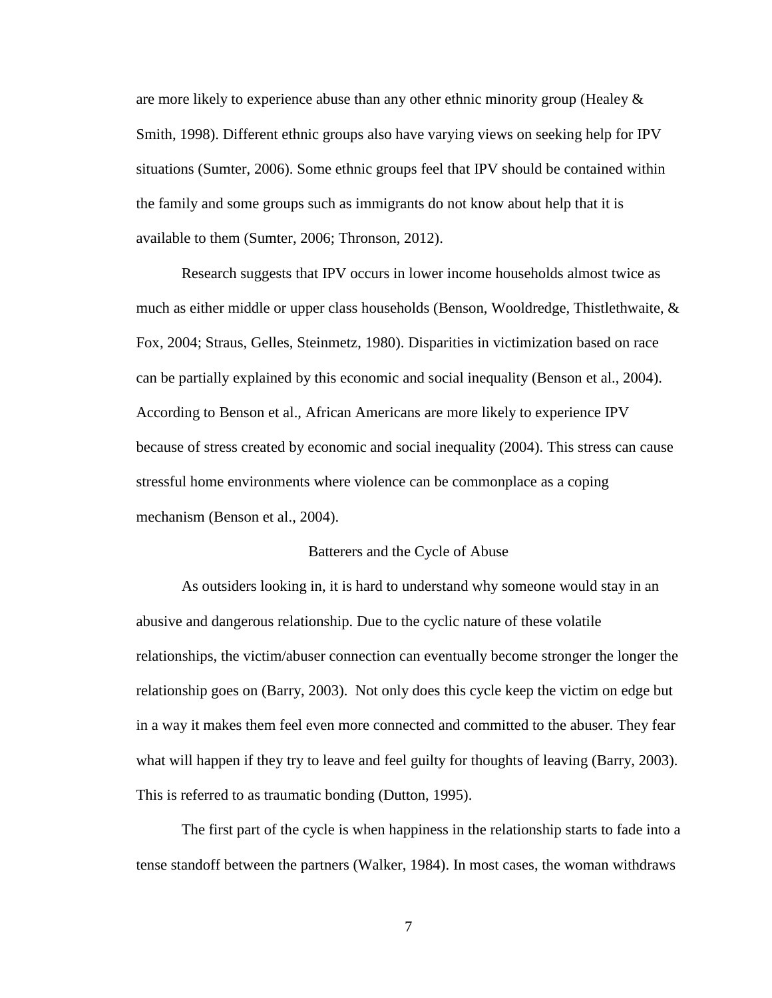are more likely to experience abuse than any other ethnic minority group (Healey  $\&$ Smith, 1998). Different ethnic groups also have varying views on seeking help for IPV situations (Sumter, 2006). Some ethnic groups feel that IPV should be contained within the family and some groups such as immigrants do not know about help that it is available to them (Sumter, 2006; Thronson, 2012).

Research suggests that IPV occurs in lower income households almost twice as much as either middle or upper class households (Benson, Wooldredge, Thistlethwaite, & Fox, 2004; Straus, Gelles, Steinmetz, 1980). Disparities in victimization based on race can be partially explained by this economic and social inequality (Benson et al., 2004). According to Benson et al., African Americans are more likely to experience IPV because of stress created by economic and social inequality (2004). This stress can cause stressful home environments where violence can be commonplace as a coping mechanism (Benson et al., 2004).

#### Batterers and the Cycle of Abuse

As outsiders looking in, it is hard to understand why someone would stay in an abusive and dangerous relationship. Due to the cyclic nature of these volatile relationships, the victim/abuser connection can eventually become stronger the longer the relationship goes on (Barry, 2003). Not only does this cycle keep the victim on edge but in a way it makes them feel even more connected and committed to the abuser. They fear what will happen if they try to leave and feel guilty for thoughts of leaving (Barry, 2003). This is referred to as traumatic bonding (Dutton, 1995).

The first part of the cycle is when happiness in the relationship starts to fade into a tense standoff between the partners (Walker, 1984). In most cases, the woman withdraws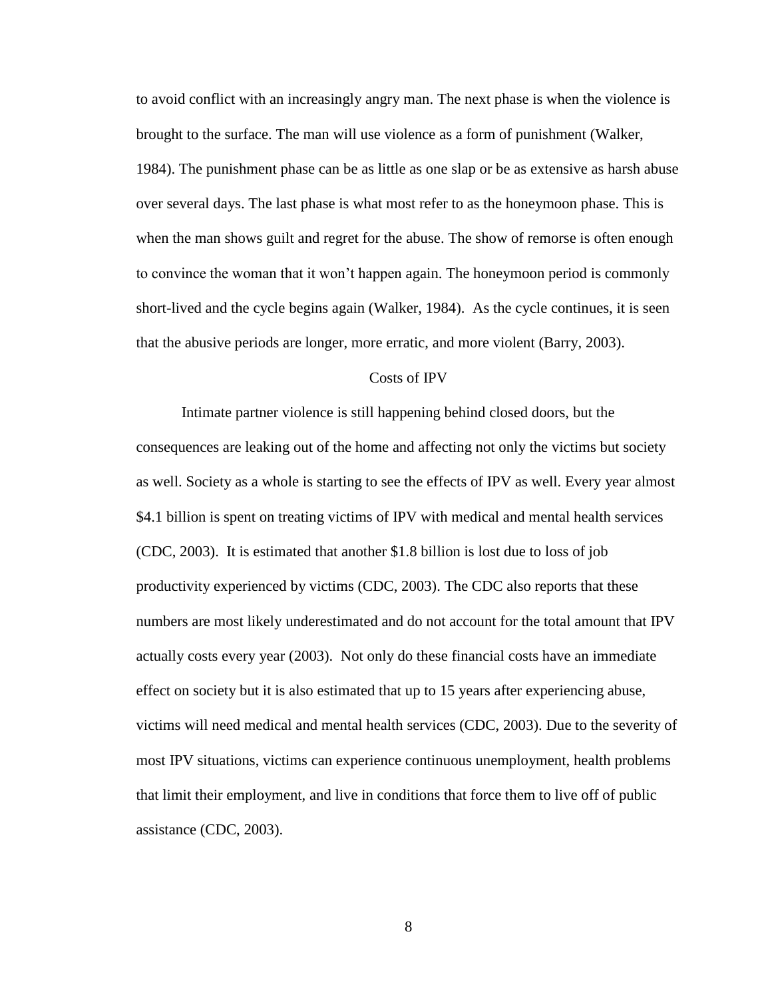to avoid conflict with an increasingly angry man. The next phase is when the violence is brought to the surface. The man will use violence as a form of punishment (Walker, 1984). The punishment phase can be as little as one slap or be as extensive as harsh abuse over several days. The last phase is what most refer to as the honeymoon phase. This is when the man shows guilt and regret for the abuse. The show of remorse is often enough to convince the woman that it won't happen again. The honeymoon period is commonly short-lived and the cycle begins again (Walker, 1984). As the cycle continues, it is seen that the abusive periods are longer, more erratic, and more violent (Barry, 2003).

# Costs of IPV

Intimate partner violence is still happening behind closed doors, but the consequences are leaking out of the home and affecting not only the victims but society as well. Society as a whole is starting to see the effects of IPV as well. Every year almost \$4.1 billion is spent on treating victims of IPV with medical and mental health services (CDC, 2003). It is estimated that another \$1.8 billion is lost due to loss of job productivity experienced by victims (CDC, 2003). The CDC also reports that these numbers are most likely underestimated and do not account for the total amount that IPV actually costs every year (2003). Not only do these financial costs have an immediate effect on society but it is also estimated that up to 15 years after experiencing abuse, victims will need medical and mental health services (CDC, 2003). Due to the severity of most IPV situations, victims can experience continuous unemployment, health problems that limit their employment, and live in conditions that force them to live off of public assistance (CDC, 2003).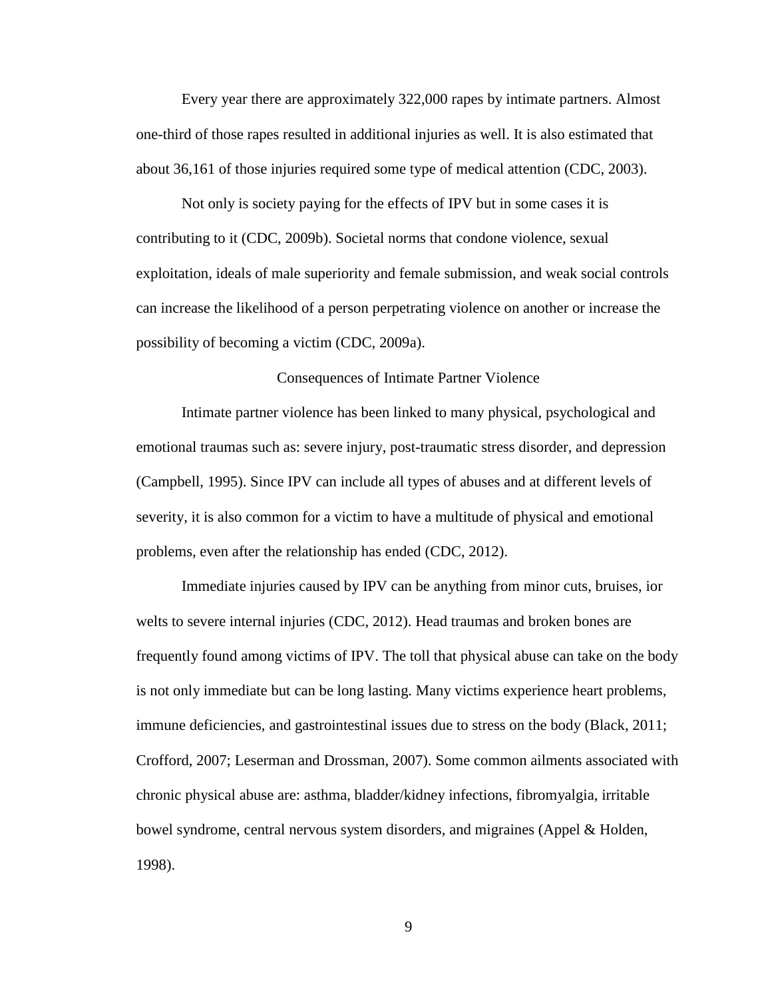Every year there are approximately 322,000 rapes by intimate partners. Almost one-third of those rapes resulted in additional injuries as well. It is also estimated that about 36,161 of those injuries required some type of medical attention (CDC, 2003).

Not only is society paying for the effects of IPV but in some cases it is contributing to it (CDC, 2009b). Societal norms that condone violence, sexual exploitation, ideals of male superiority and female submission, and weak social controls can increase the likelihood of a person perpetrating violence on another or increase the possibility of becoming a victim (CDC, 2009a).

#### Consequences of Intimate Partner Violence

Intimate partner violence has been linked to many physical, psychological and emotional traumas such as: severe injury, post-traumatic stress disorder, and depression (Campbell, 1995). Since IPV can include all types of abuses and at different levels of severity, it is also common for a victim to have a multitude of physical and emotional problems, even after the relationship has ended (CDC, 2012).

Immediate injuries caused by IPV can be anything from minor cuts, bruises, ior welts to severe internal injuries (CDC, 2012). Head traumas and broken bones are frequently found among victims of IPV. The toll that physical abuse can take on the body is not only immediate but can be long lasting. Many victims experience heart problems, immune deficiencies, and gastrointestinal issues due to stress on the body (Black, 2011; Crofford, 2007; Leserman and Drossman, 2007). Some common ailments associated with chronic physical abuse are: asthma, bladder/kidney infections, fibromyalgia, irritable bowel syndrome, central nervous system disorders, and migraines (Appel & Holden, 1998).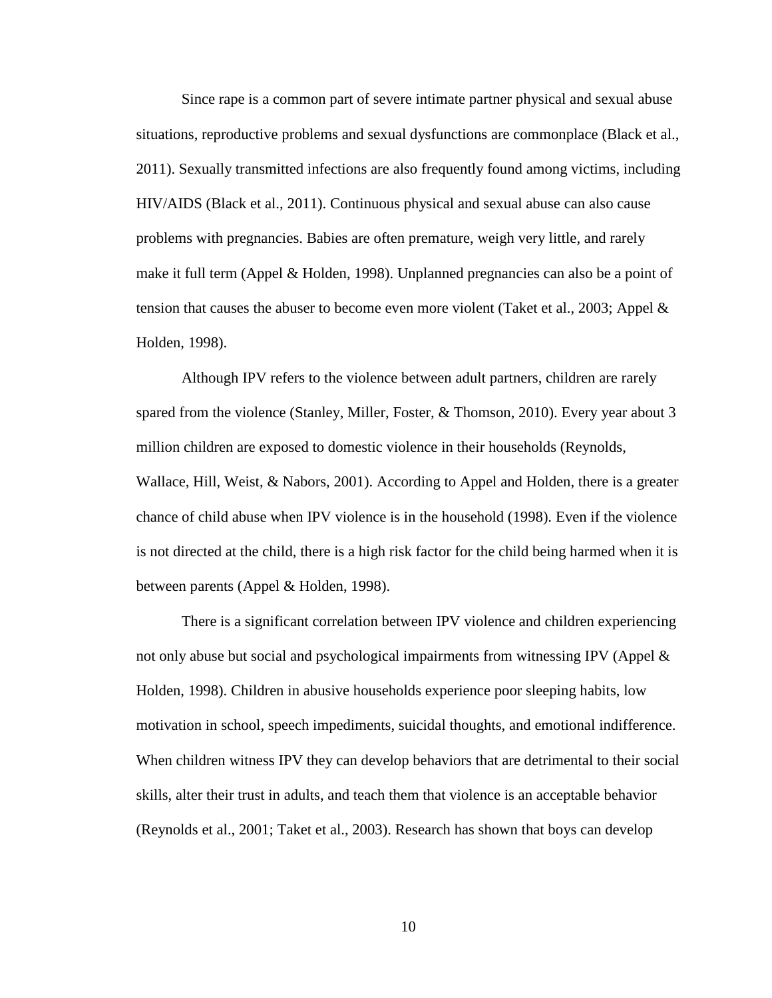Since rape is a common part of severe intimate partner physical and sexual abuse situations, reproductive problems and sexual dysfunctions are commonplace (Black et al., 2011). Sexually transmitted infections are also frequently found among victims, including HIV/AIDS (Black et al., 2011). Continuous physical and sexual abuse can also cause problems with pregnancies. Babies are often premature, weigh very little, and rarely make it full term (Appel & Holden, 1998). Unplanned pregnancies can also be a point of tension that causes the abuser to become even more violent (Taket et al., 2003; Appel  $\&$ Holden, 1998).

Although IPV refers to the violence between adult partners, children are rarely spared from the violence (Stanley, Miller, Foster, & Thomson, 2010). Every year about 3 million children are exposed to domestic violence in their households (Reynolds, Wallace, Hill, Weist, & Nabors, 2001). According to Appel and Holden, there is a greater chance of child abuse when IPV violence is in the household (1998). Even if the violence is not directed at the child, there is a high risk factor for the child being harmed when it is between parents (Appel & Holden, 1998).

There is a significant correlation between IPV violence and children experiencing not only abuse but social and psychological impairments from witnessing IPV (Appel & Holden, 1998). Children in abusive households experience poor sleeping habits, low motivation in school, speech impediments, suicidal thoughts, and emotional indifference. When children witness IPV they can develop behaviors that are detrimental to their social skills, alter their trust in adults, and teach them that violence is an acceptable behavior (Reynolds et al., 2001; Taket et al., 2003). Research has shown that boys can develop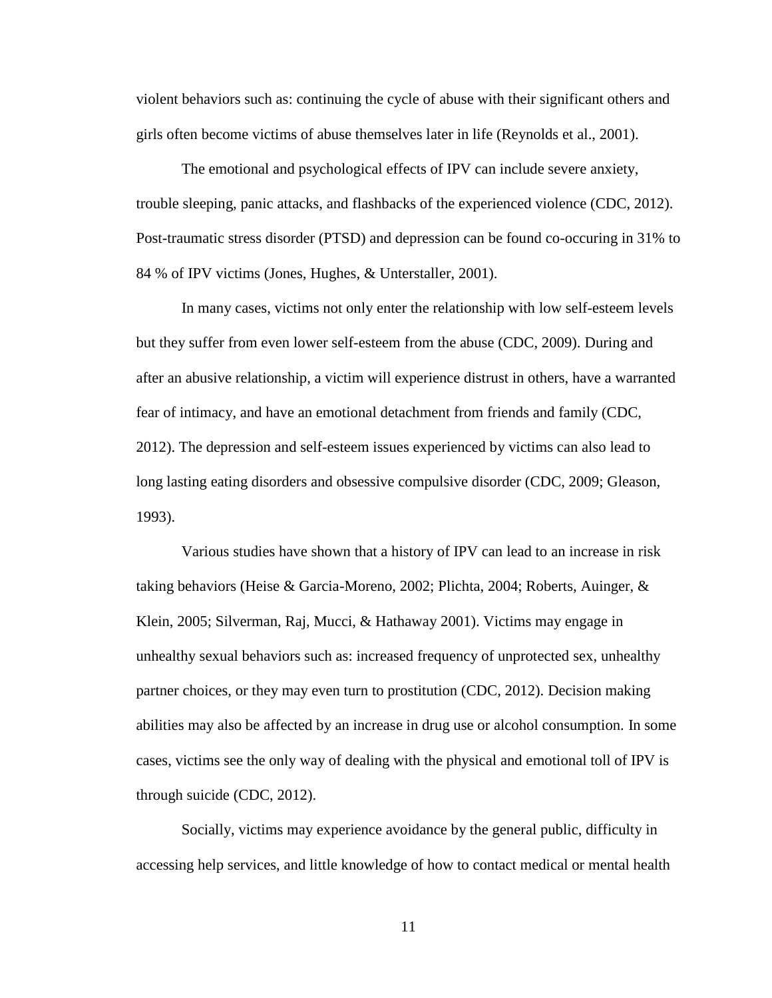violent behaviors such as: continuing the cycle of abuse with their significant others and girls often become victims of abuse themselves later in life (Reynolds et al., 2001).

The emotional and psychological effects of IPV can include severe anxiety, trouble sleeping, panic attacks, and flashbacks of the experienced violence (CDC, 2012). Post-traumatic stress disorder (PTSD) and depression can be found co-occuring in 31% to 84 % of IPV victims (Jones, Hughes, & Unterstaller, 2001).

In many cases, victims not only enter the relationship with low self-esteem levels but they suffer from even lower self-esteem from the abuse (CDC, 2009). During and after an abusive relationship, a victim will experience distrust in others, have a warranted fear of intimacy, and have an emotional detachment from friends and family (CDC, 2012). The depression and self-esteem issues experienced by victims can also lead to long lasting eating disorders and obsessive compulsive disorder (CDC, 2009; Gleason, 1993).

Various studies have shown that a history of IPV can lead to an increase in risk taking behaviors (Heise & Garcia-Moreno, 2002; Plichta, 2004; Roberts, Auinger, & Klein, 2005; Silverman, Raj, Mucci, & Hathaway 2001). Victims may engage in unhealthy sexual behaviors such as: increased frequency of unprotected sex, unhealthy partner choices, or they may even turn to prostitution (CDC, 2012). Decision making abilities may also be affected by an increase in drug use or alcohol consumption. In some cases, victims see the only way of dealing with the physical and emotional toll of IPV is through suicide (CDC, 2012).

Socially, victims may experience avoidance by the general public, difficulty in accessing help services, and little knowledge of how to contact medical or mental health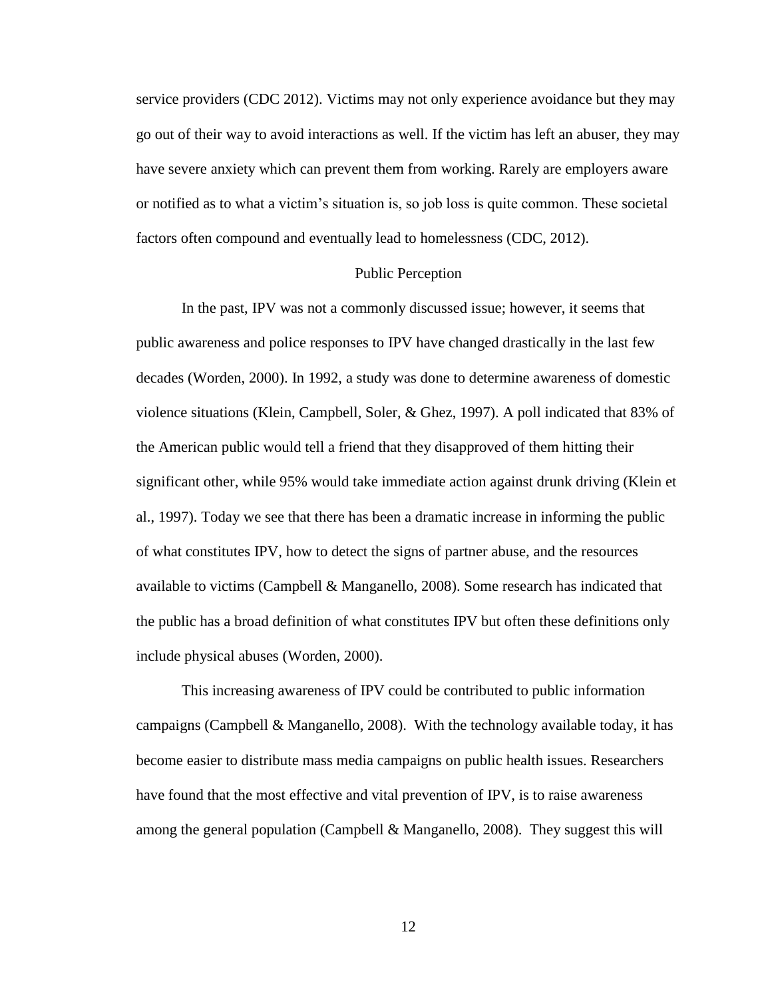service providers (CDC 2012). Victims may not only experience avoidance but they may go out of their way to avoid interactions as well. If the victim has left an abuser, they may have severe anxiety which can prevent them from working. Rarely are employers aware or notified as to what a victim's situation is, so job loss is quite common. These societal factors often compound and eventually lead to homelessness (CDC, 2012).

#### Public Perception

In the past, IPV was not a commonly discussed issue; however, it seems that public awareness and police responses to IPV have changed drastically in the last few decades (Worden, 2000). In 1992, a study was done to determine awareness of domestic violence situations (Klein, Campbell, Soler, & Ghez, 1997). A poll indicated that 83% of the American public would tell a friend that they disapproved of them hitting their significant other, while 95% would take immediate action against drunk driving (Klein et al., 1997). Today we see that there has been a dramatic increase in informing the public of what constitutes IPV, how to detect the signs of partner abuse, and the resources available to victims (Campbell & Manganello, 2008). Some research has indicated that the public has a broad definition of what constitutes IPV but often these definitions only include physical abuses (Worden, 2000).

This increasing awareness of IPV could be contributed to public information campaigns (Campbell & Manganello, 2008). With the technology available today, it has become easier to distribute mass media campaigns on public health issues. Researchers have found that the most effective and vital prevention of IPV, is to raise awareness among the general population (Campbell & Manganello, 2008). They suggest this will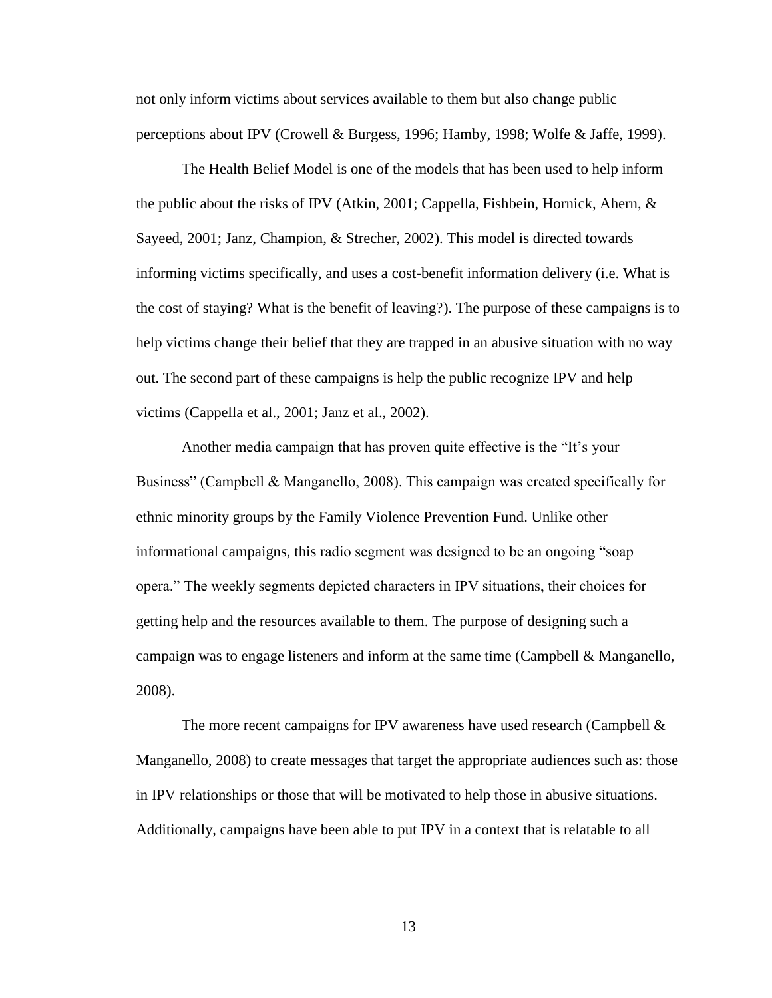not only inform victims about services available to them but also change public perceptions about IPV (Crowell & Burgess, 1996; Hamby, 1998; Wolfe & Jaffe, 1999).

The Health Belief Model is one of the models that has been used to help inform the public about the risks of IPV (Atkin, 2001; Cappella, Fishbein, Hornick, Ahern, & Sayeed, 2001; Janz, Champion, & Strecher, 2002). This model is directed towards informing victims specifically, and uses a cost-benefit information delivery (i.e. What is the cost of staying? What is the benefit of leaving?). The purpose of these campaigns is to help victims change their belief that they are trapped in an abusive situation with no way out. The second part of these campaigns is help the public recognize IPV and help victims (Cappella et al., 2001; Janz et al., 2002).

Another media campaign that has proven quite effective is the "It's your Business" (Campbell & Manganello, 2008). This campaign was created specifically for ethnic minority groups by the Family Violence Prevention Fund. Unlike other informational campaigns, this radio segment was designed to be an ongoing "soap opera." The weekly segments depicted characters in IPV situations, their choices for getting help and the resources available to them. The purpose of designing such a campaign was to engage listeners and inform at the same time (Campbell & Manganello, 2008).

The more recent campaigns for IPV awareness have used research (Campbell  $\&$ Manganello, 2008) to create messages that target the appropriate audiences such as: those in IPV relationships or those that will be motivated to help those in abusive situations. Additionally, campaigns have been able to put IPV in a context that is relatable to all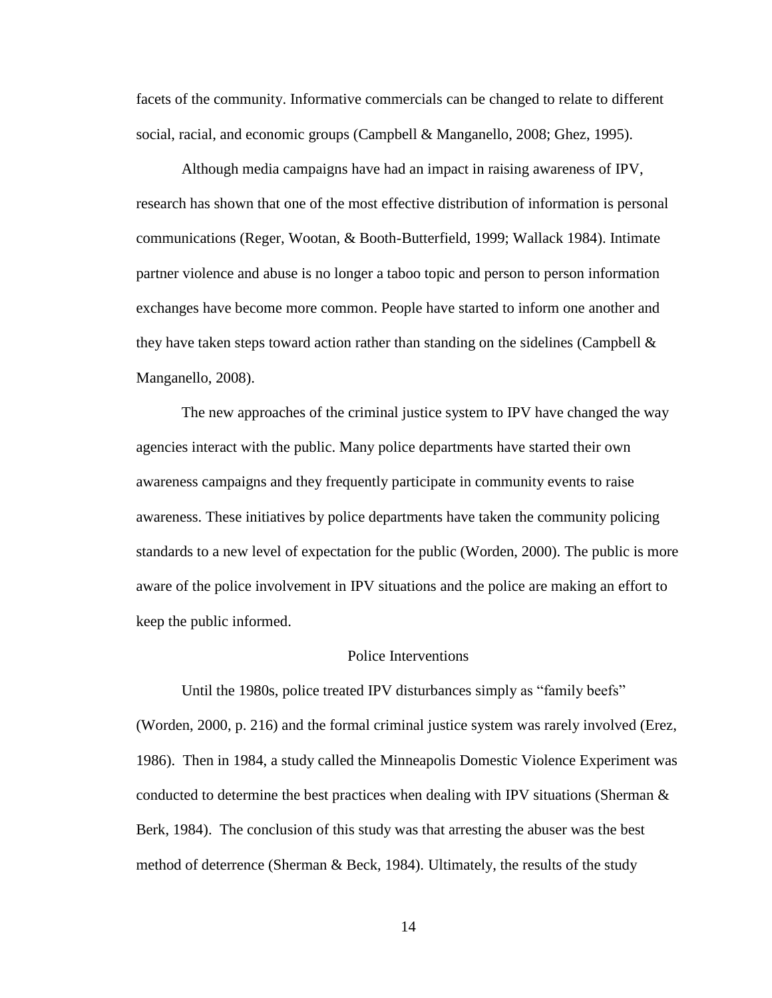facets of the community. Informative commercials can be changed to relate to different social, racial, and economic groups (Campbell & Manganello, 2008; Ghez, 1995).

Although media campaigns have had an impact in raising awareness of IPV, research has shown that one of the most effective distribution of information is personal communications (Reger, Wootan, & Booth-Butterfield, 1999; Wallack 1984). Intimate partner violence and abuse is no longer a taboo topic and person to person information exchanges have become more common. People have started to inform one another and they have taken steps toward action rather than standing on the sidelines (Campbell  $\&$ Manganello, 2008).

The new approaches of the criminal justice system to IPV have changed the way agencies interact with the public. Many police departments have started their own awareness campaigns and they frequently participate in community events to raise awareness. These initiatives by police departments have taken the community policing standards to a new level of expectation for the public (Worden, 2000). The public is more aware of the police involvement in IPV situations and the police are making an effort to keep the public informed.

#### Police Interventions

Until the 1980s, police treated IPV disturbances simply as "family beefs" (Worden, 2000, p. 216) and the formal criminal justice system was rarely involved (Erez, 1986). Then in 1984, a study called the Minneapolis Domestic Violence Experiment was conducted to determine the best practices when dealing with IPV situations (Sherman  $\&$ Berk, 1984). The conclusion of this study was that arresting the abuser was the best method of deterrence (Sherman & Beck, 1984). Ultimately, the results of the study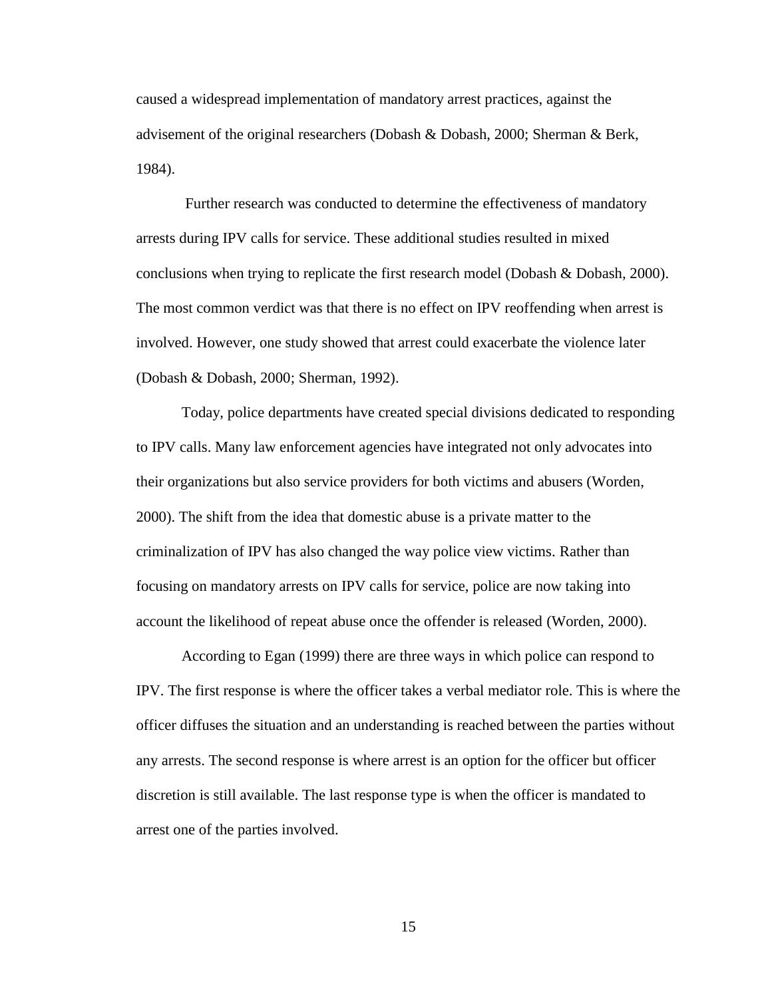caused a widespread implementation of mandatory arrest practices, against the advisement of the original researchers (Dobash & Dobash, 2000; Sherman & Berk, 1984).

Further research was conducted to determine the effectiveness of mandatory arrests during IPV calls for service. These additional studies resulted in mixed conclusions when trying to replicate the first research model (Dobash & Dobash, 2000). The most common verdict was that there is no effect on IPV reoffending when arrest is involved. However, one study showed that arrest could exacerbate the violence later (Dobash & Dobash, 2000; Sherman, 1992).

Today, police departments have created special divisions dedicated to responding to IPV calls. Many law enforcement agencies have integrated not only advocates into their organizations but also service providers for both victims and abusers (Worden, 2000). The shift from the idea that domestic abuse is a private matter to the criminalization of IPV has also changed the way police view victims. Rather than focusing on mandatory arrests on IPV calls for service, police are now taking into account the likelihood of repeat abuse once the offender is released (Worden, 2000).

According to Egan (1999) there are three ways in which police can respond to IPV. The first response is where the officer takes a verbal mediator role. This is where the officer diffuses the situation and an understanding is reached between the parties without any arrests. The second response is where arrest is an option for the officer but officer discretion is still available. The last response type is when the officer is mandated to arrest one of the parties involved.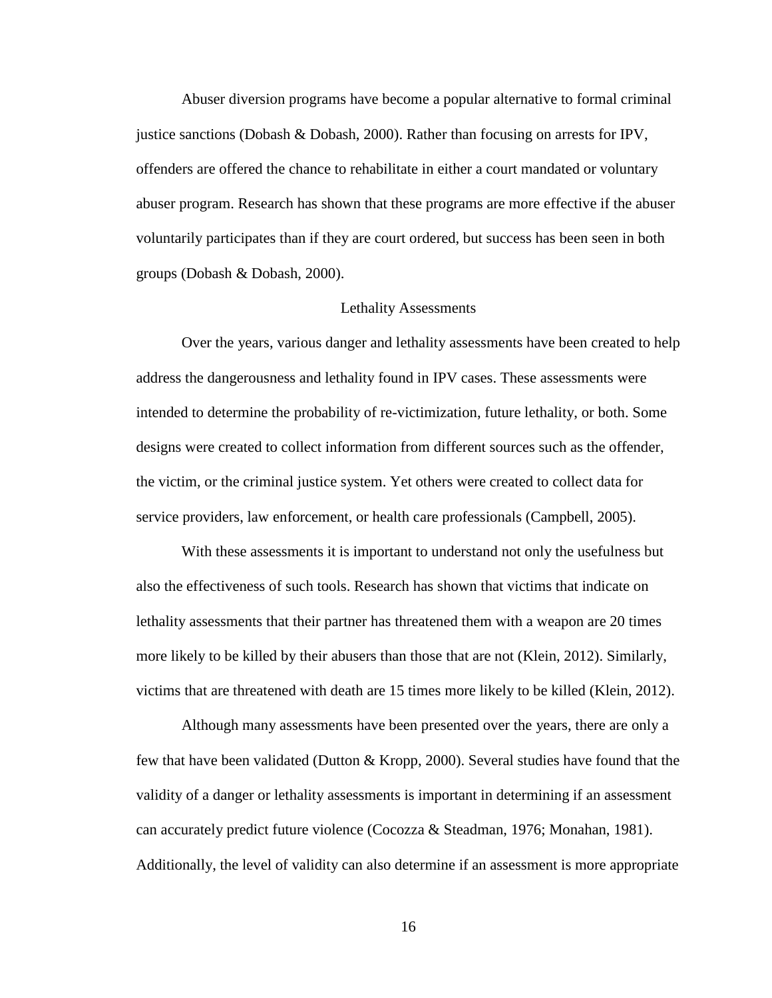Abuser diversion programs have become a popular alternative to formal criminal justice sanctions (Dobash & Dobash, 2000). Rather than focusing on arrests for IPV, offenders are offered the chance to rehabilitate in either a court mandated or voluntary abuser program. Research has shown that these programs are more effective if the abuser voluntarily participates than if they are court ordered, but success has been seen in both groups (Dobash & Dobash, 2000).

#### Lethality Assessments

Over the years, various danger and lethality assessments have been created to help address the dangerousness and lethality found in IPV cases. These assessments were intended to determine the probability of re-victimization, future lethality, or both. Some designs were created to collect information from different sources such as the offender, the victim, or the criminal justice system. Yet others were created to collect data for service providers, law enforcement, or health care professionals (Campbell, 2005).

With these assessments it is important to understand not only the usefulness but also the effectiveness of such tools. Research has shown that victims that indicate on lethality assessments that their partner has threatened them with a weapon are 20 times more likely to be killed by their abusers than those that are not (Klein, 2012). Similarly, victims that are threatened with death are 15 times more likely to be killed (Klein, 2012).

Although many assessments have been presented over the years, there are only a few that have been validated (Dutton & Kropp, 2000). Several studies have found that the validity of a danger or lethality assessments is important in determining if an assessment can accurately predict future violence (Cocozza & Steadman, 1976; Monahan, 1981). Additionally, the level of validity can also determine if an assessment is more appropriate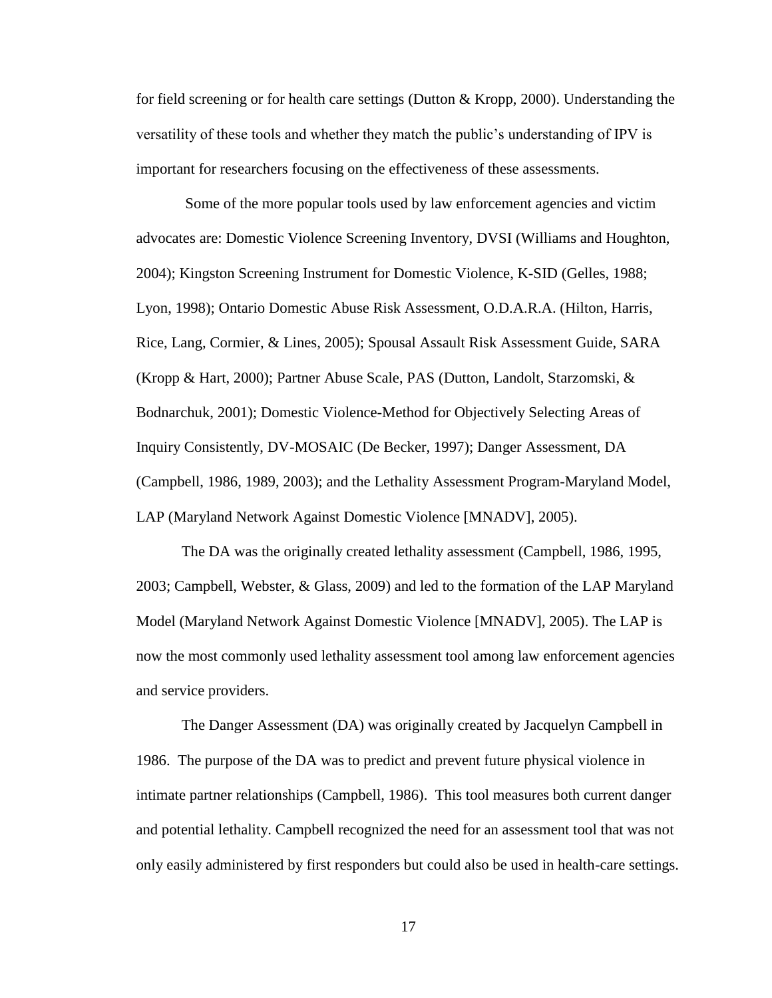for field screening or for health care settings (Dutton & Kropp, 2000). Understanding the versatility of these tools and whether they match the public's understanding of IPV is important for researchers focusing on the effectiveness of these assessments.

Some of the more popular tools used by law enforcement agencies and victim advocates are: Domestic Violence Screening Inventory, DVSI (Williams and Houghton, 2004); Kingston Screening Instrument for Domestic Violence, K-SID (Gelles, 1988; Lyon, 1998); Ontario Domestic Abuse Risk Assessment, O.D.A.R.A. (Hilton, Harris, Rice, Lang, Cormier, & Lines, 2005); Spousal Assault Risk Assessment Guide, SARA (Kropp & Hart, 2000); Partner Abuse Scale, PAS (Dutton, Landolt, Starzomski, & Bodnarchuk, 2001); Domestic Violence-Method for Objectively Selecting Areas of Inquiry Consistently, DV-MOSAIC (De Becker, 1997); Danger Assessment, DA (Campbell, 1986, 1989, 2003); and the Lethality Assessment Program-Maryland Model, LAP (Maryland Network Against Domestic Violence [MNADV], 2005).

The DA was the originally created lethality assessment (Campbell, 1986, 1995, 2003; Campbell, Webster, & Glass, 2009) and led to the formation of the LAP Maryland Model (Maryland Network Against Domestic Violence [MNADV], 2005). The LAP is now the most commonly used lethality assessment tool among law enforcement agencies and service providers.

The Danger Assessment (DA) was originally created by Jacquelyn Campbell in 1986. The purpose of the DA was to predict and prevent future physical violence in intimate partner relationships (Campbell, 1986). This tool measures both current danger and potential lethality. Campbell recognized the need for an assessment tool that was not only easily administered by first responders but could also be used in health-care settings.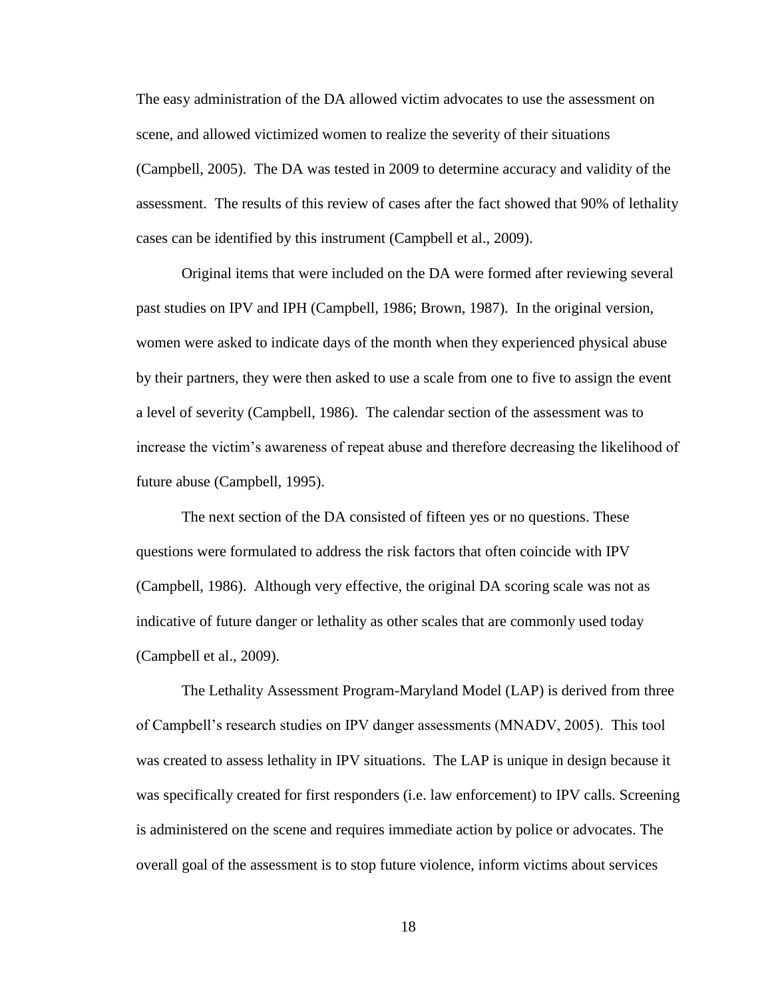The easy administration of the DA allowed victim advocates to use the assessment on scene, and allowed victimized women to realize the severity of their situations (Campbell, 2005). The DA was tested in 2009 to determine accuracy and validity of the assessment. The results of this review of cases after the fact showed that 90% of lethality cases can be identified by this instrument (Campbell et al., 2009).

Original items that were included on the DA were formed after reviewing several past studies on IPV and IPH (Campbell, 1986; Brown, 1987). In the original version, women were asked to indicate days of the month when they experienced physical abuse by their partners, they were then asked to use a scale from one to five to assign the event a level of severity (Campbell, 1986). The calendar section of the assessment was to increase the victim's awareness of repeat abuse and therefore decreasing the likelihood of future abuse (Campbell, 1995).

The next section of the DA consisted of fifteen yes or no questions. These questions were formulated to address the risk factors that often coincide with IPV (Campbell, 1986). Although very effective, the original DA scoring scale was not as indicative of future danger or lethality as other scales that are commonly used today (Campbell et al., 2009).

The Lethality Assessment Program-Maryland Model (LAP) is derived from three of Campbell's research studies on IPV danger assessments (MNADV, 2005). This tool was created to assess lethality in IPV situations. The LAP is unique in design because it was specifically created for first responders (i.e. law enforcement) to IPV calls. Screening is administered on the scene and requires immediate action by police or advocates. The overall goal of the assessment is to stop future violence, inform victims about services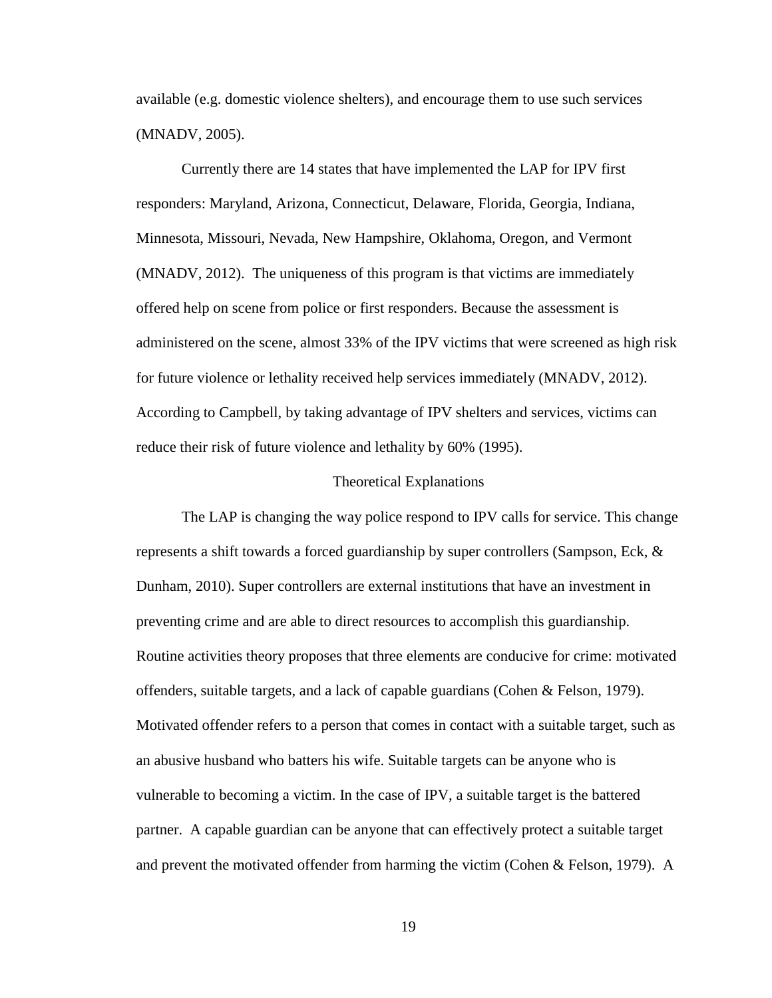available (e.g. domestic violence shelters), and encourage them to use such services (MNADV, 2005).

Currently there are 14 states that have implemented the LAP for IPV first responders: Maryland, Arizona, Connecticut, Delaware, Florida, Georgia, Indiana, Minnesota, Missouri, Nevada, New Hampshire, Oklahoma, Oregon, and Vermont (MNADV, 2012). The uniqueness of this program is that victims are immediately offered help on scene from police or first responders. Because the assessment is administered on the scene, almost 33% of the IPV victims that were screened as high risk for future violence or lethality received help services immediately (MNADV, 2012). According to Campbell, by taking advantage of IPV shelters and services, victims can reduce their risk of future violence and lethality by 60% (1995).

#### Theoretical Explanations

The LAP is changing the way police respond to IPV calls for service. This change represents a shift towards a forced guardianship by super controllers (Sampson, Eck, & Dunham, 2010). Super controllers are external institutions that have an investment in preventing crime and are able to direct resources to accomplish this guardianship. Routine activities theory proposes that three elements are conducive for crime: motivated offenders, suitable targets, and a lack of capable guardians (Cohen & Felson, 1979). Motivated offender refers to a person that comes in contact with a suitable target, such as an abusive husband who batters his wife. Suitable targets can be anyone who is vulnerable to becoming a victim. In the case of IPV, a suitable target is the battered partner. A capable guardian can be anyone that can effectively protect a suitable target and prevent the motivated offender from harming the victim (Cohen & Felson, 1979). A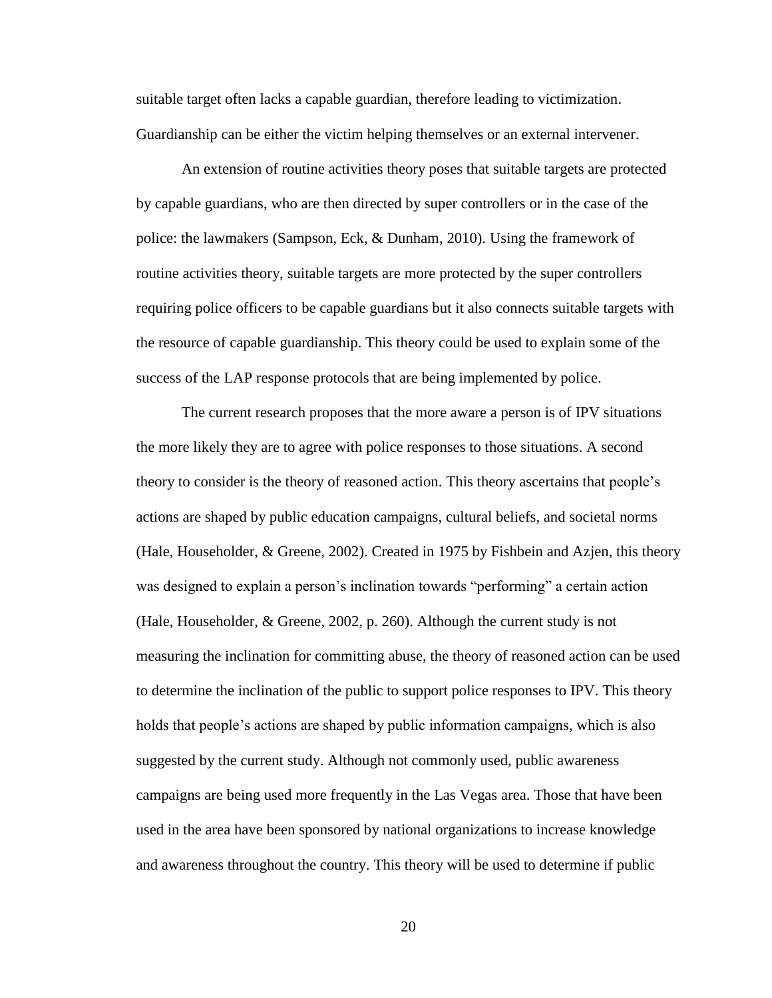suitable target often lacks a capable guardian, therefore leading to victimization. Guardianship can be either the victim helping themselves or an external intervener.

An extension of routine activities theory poses that suitable targets are protected by capable guardians, who are then directed by super controllers or in the case of the police: the lawmakers (Sampson, Eck, & Dunham, 2010). Using the framework of routine activities theory, suitable targets are more protected by the super controllers requiring police officers to be capable guardians but it also connects suitable targets with the resource of capable guardianship. This theory could be used to explain some of the success of the LAP response protocols that are being implemented by police.

The current research proposes that the more aware a person is of IPV situations the more likely they are to agree with police responses to those situations. A second theory to consider is the theory of reasoned action. This theory ascertains that people's actions are shaped by public education campaigns, cultural beliefs, and societal norms (Hale, Householder, & Greene, 2002). Created in 1975 by Fishbein and Azjen, this theory was designed to explain a person's inclination towards "performing" a certain action (Hale, Householder, & Greene, 2002, p. 260). Although the current study is not measuring the inclination for committing abuse, the theory of reasoned action can be used to determine the inclination of the public to support police responses to IPV. This theory holds that people's actions are shaped by public information campaigns, which is also suggested by the current study. Although not commonly used, public awareness campaigns are being used more frequently in the Las Vegas area. Those that have been used in the area have been sponsored by national organizations to increase knowledge and awareness throughout the country. This theory will be used to determine if public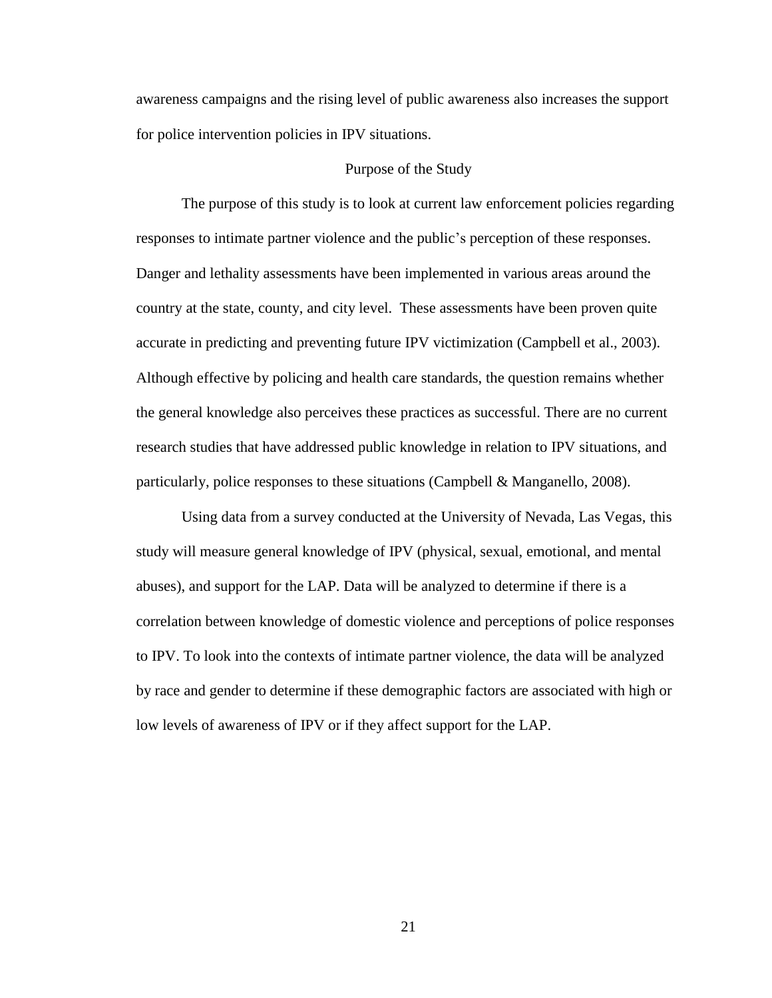awareness campaigns and the rising level of public awareness also increases the support for police intervention policies in IPV situations.

# Purpose of the Study

The purpose of this study is to look at current law enforcement policies regarding responses to intimate partner violence and the public's perception of these responses. Danger and lethality assessments have been implemented in various areas around the country at the state, county, and city level. These assessments have been proven quite accurate in predicting and preventing future IPV victimization (Campbell et al., 2003). Although effective by policing and health care standards, the question remains whether the general knowledge also perceives these practices as successful. There are no current research studies that have addressed public knowledge in relation to IPV situations, and particularly, police responses to these situations (Campbell & Manganello, 2008).

Using data from a survey conducted at the University of Nevada, Las Vegas, this study will measure general knowledge of IPV (physical, sexual, emotional, and mental abuses), and support for the LAP. Data will be analyzed to determine if there is a correlation between knowledge of domestic violence and perceptions of police responses to IPV. To look into the contexts of intimate partner violence, the data will be analyzed by race and gender to determine if these demographic factors are associated with high or low levels of awareness of IPV or if they affect support for the LAP.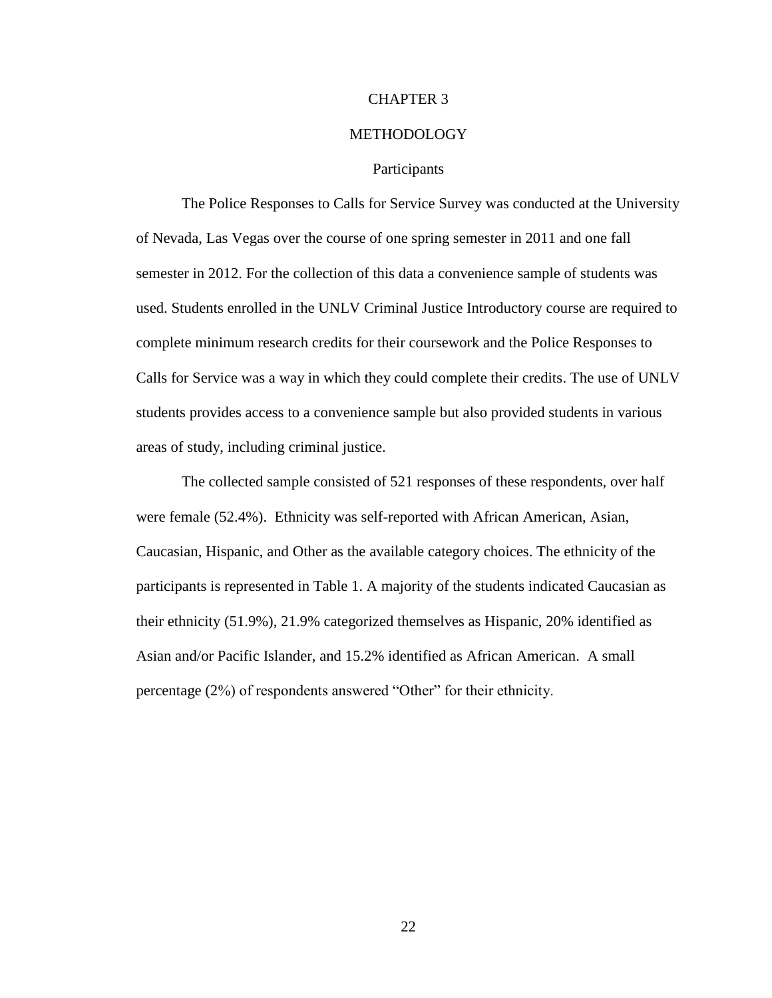#### CHAPTER 3

# METHODOLOGY

#### **Participants**

The Police Responses to Calls for Service Survey was conducted at the University of Nevada, Las Vegas over the course of one spring semester in 2011 and one fall semester in 2012. For the collection of this data a convenience sample of students was used. Students enrolled in the UNLV Criminal Justice Introductory course are required to complete minimum research credits for their coursework and the Police Responses to Calls for Service was a way in which they could complete their credits. The use of UNLV students provides access to a convenience sample but also provided students in various areas of study, including criminal justice.

The collected sample consisted of 521 responses of these respondents, over half were female (52.4%). Ethnicity was self-reported with African American, Asian, Caucasian, Hispanic, and Other as the available category choices. The ethnicity of the participants is represented in Table 1. A majority of the students indicated Caucasian as their ethnicity (51.9%), 21.9% categorized themselves as Hispanic, 20% identified as Asian and/or Pacific Islander, and 15.2% identified as African American. A small percentage (2%) of respondents answered "Other" for their ethnicity.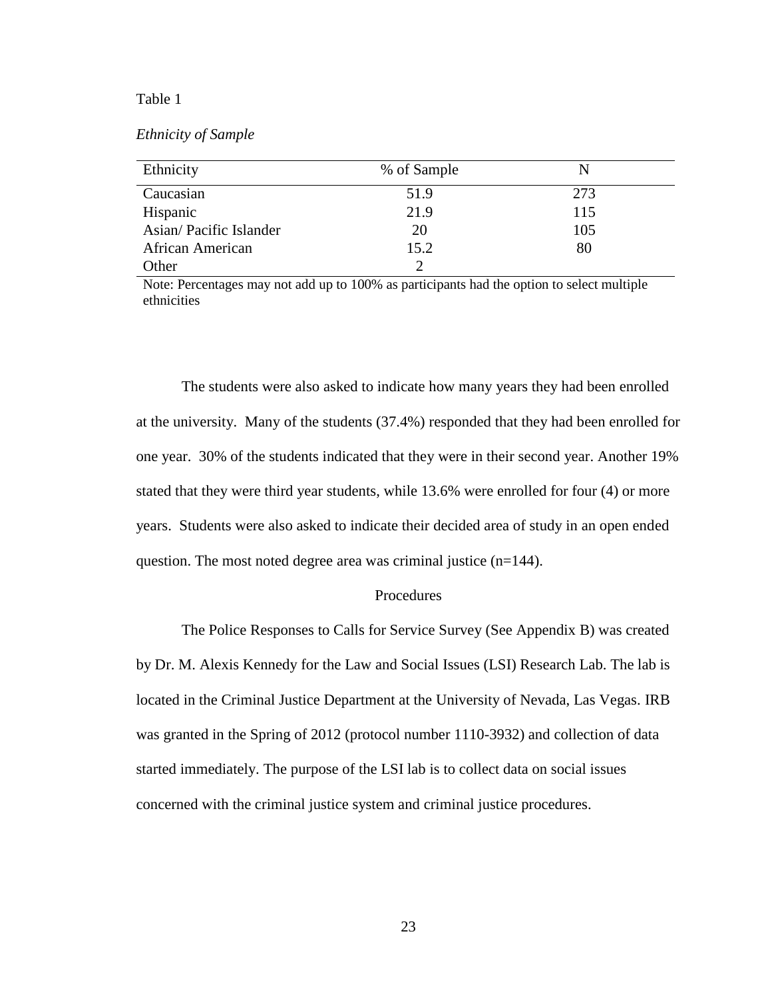#### Table 1

# *Ethnicity of Sample*

| Ethnicity              | % of Sample |     |
|------------------------|-------------|-----|
| Caucasian              | 51.9        | 273 |
| Hispanic               | 21.9        | 115 |
| Asian/Pacific Islander | 20          | 105 |
| African American       | 15.2        | 80  |
| Other                  |             |     |

Note: Percentages may not add up to 100% as participants had the option to select multiple ethnicities

The students were also asked to indicate how many years they had been enrolled at the university. Many of the students (37.4%) responded that they had been enrolled for one year. 30% of the students indicated that they were in their second year. Another 19% stated that they were third year students, while 13.6% were enrolled for four (4) or more years. Students were also asked to indicate their decided area of study in an open ended question. The most noted degree area was criminal justice (n=144).

#### Procedures

The Police Responses to Calls for Service Survey (See Appendix B) was created by Dr. M. Alexis Kennedy for the Law and Social Issues (LSI) Research Lab. The lab is located in the Criminal Justice Department at the University of Nevada, Las Vegas. IRB was granted in the Spring of 2012 (protocol number 1110-3932) and collection of data started immediately. The purpose of the LSI lab is to collect data on social issues concerned with the criminal justice system and criminal justice procedures.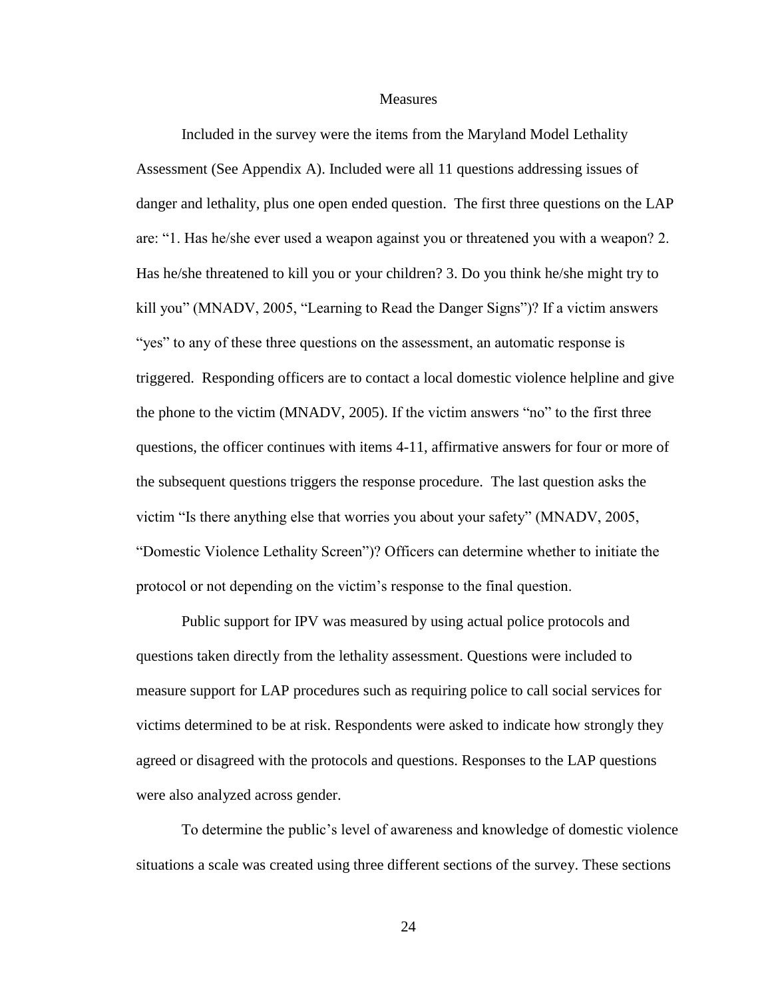**Measures** 

Included in the survey were the items from the Maryland Model Lethality Assessment (See Appendix A). Included were all 11 questions addressing issues of danger and lethality, plus one open ended question. The first three questions on the LAP are: "1. Has he/she ever used a weapon against you or threatened you with a weapon? 2. Has he/she threatened to kill you or your children? 3. Do you think he/she might try to kill you" (MNADV, 2005, "Learning to Read the Danger Signs")? If a victim answers "yes" to any of these three questions on the assessment, an automatic response is triggered. Responding officers are to contact a local domestic violence helpline and give the phone to the victim (MNADV, 2005). If the victim answers "no" to the first three questions, the officer continues with items 4-11, affirmative answers for four or more of the subsequent questions triggers the response procedure. The last question asks the victim "Is there anything else that worries you about your safety" (MNADV, 2005, "Domestic Violence Lethality Screen")? Officers can determine whether to initiate the protocol or not depending on the victim's response to the final question.

Public support for IPV was measured by using actual police protocols and questions taken directly from the lethality assessment. Questions were included to measure support for LAP procedures such as requiring police to call social services for victims determined to be at risk. Respondents were asked to indicate how strongly they agreed or disagreed with the protocols and questions. Responses to the LAP questions were also analyzed across gender.

To determine the public's level of awareness and knowledge of domestic violence situations a scale was created using three different sections of the survey. These sections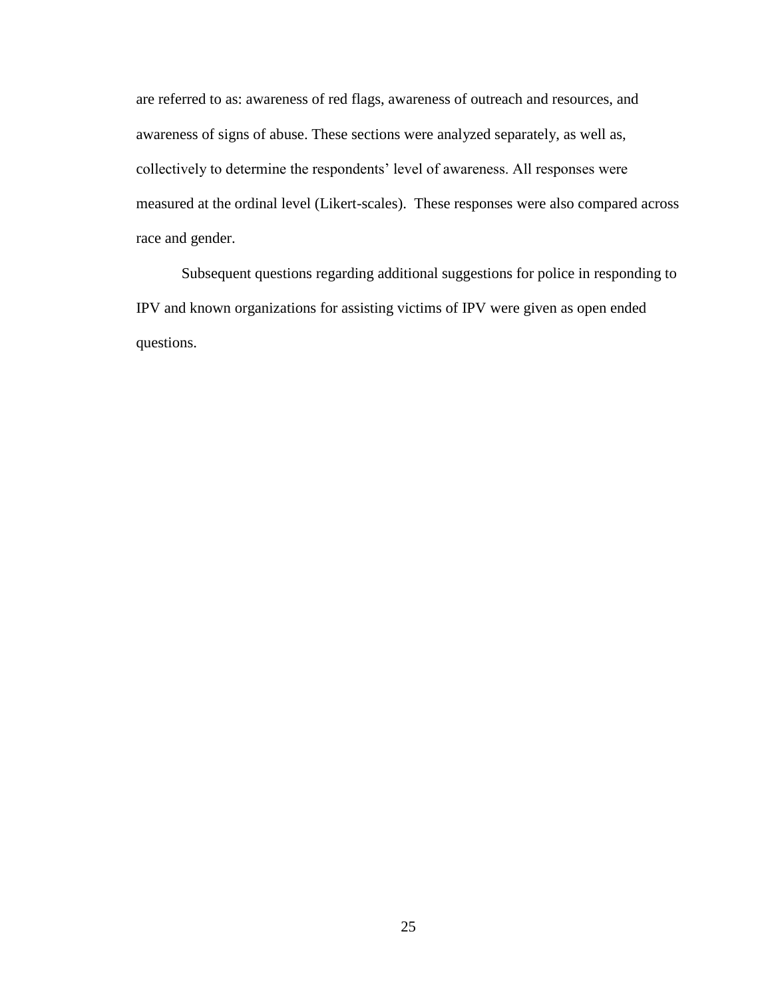are referred to as: awareness of red flags, awareness of outreach and resources, and awareness of signs of abuse. These sections were analyzed separately, as well as, collectively to determine the respondents' level of awareness. All responses were measured at the ordinal level (Likert-scales). These responses were also compared across race and gender.

Subsequent questions regarding additional suggestions for police in responding to IPV and known organizations for assisting victims of IPV were given as open ended questions.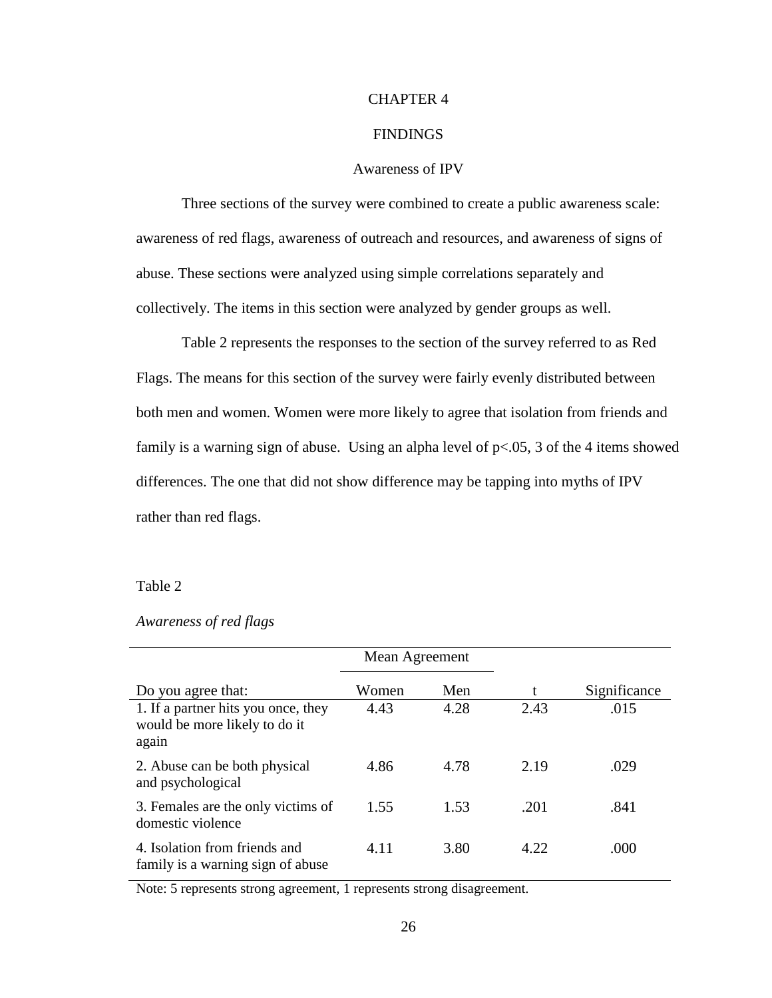## CHAPTER 4

# FINDINGS

# Awareness of IPV

Three sections of the survey were combined to create a public awareness scale: awareness of red flags, awareness of outreach and resources, and awareness of signs of abuse. These sections were analyzed using simple correlations separately and collectively. The items in this section were analyzed by gender groups as well.

Table 2 represents the responses to the section of the survey referred to as Red Flags. The means for this section of the survey were fairly evenly distributed between both men and women. Women were more likely to agree that isolation from friends and family is a warning sign of abuse. Using an alpha level of  $p<.05$ , 3 of the 4 items showed differences. The one that did not show difference may be tapping into myths of IPV rather than red flags.

## Table 2

|                                                                               | Mean Agreement |      |      |              |
|-------------------------------------------------------------------------------|----------------|------|------|--------------|
| Do you agree that:                                                            | Women          | Men  | t    | Significance |
| 1. If a partner hits you once, they<br>would be more likely to do it<br>again | 4.43           | 4.28 | 2.43 | .015         |
| 2. Abuse can be both physical<br>and psychological                            | 4.86           | 4.78 | 2.19 | .029         |
| 3. Females are the only victims of<br>domestic violence                       | 1.55           | 1.53 | .201 | .841         |
| 4. Isolation from friends and<br>family is a warning sign of abuse            | 4.11           | 3.80 | 4.22 | .000         |

# *Awareness of red flags*

Note: 5 represents strong agreement, 1 represents strong disagreement.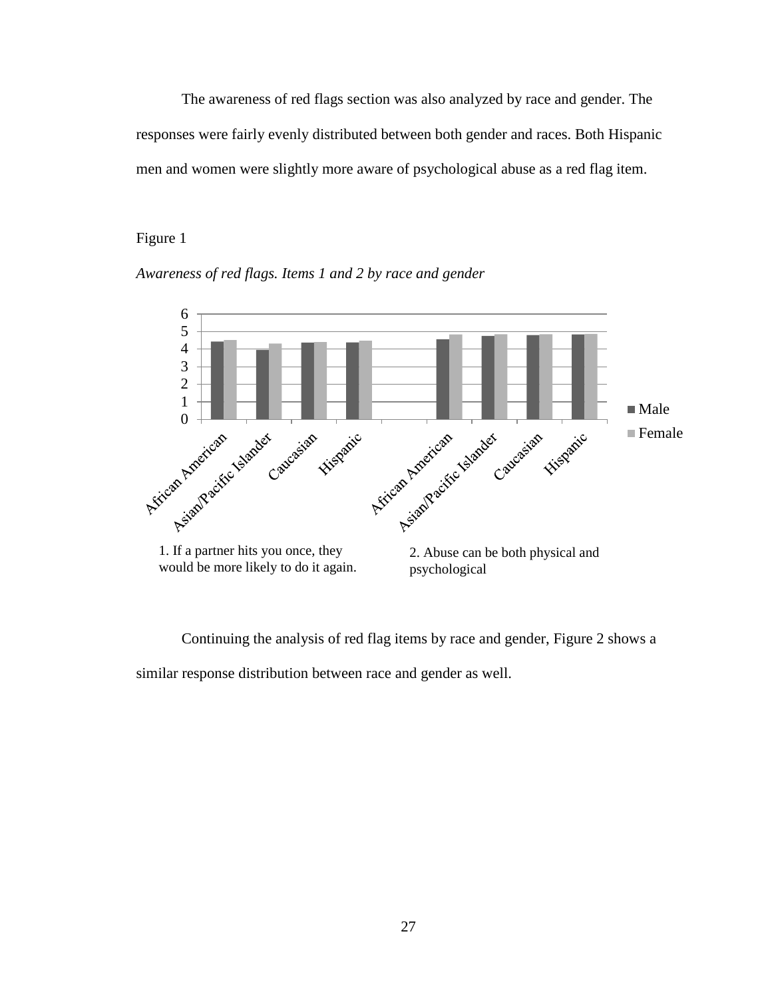The awareness of red flags section was also analyzed by race and gender. The responses were fairly evenly distributed between both gender and races. Both Hispanic men and women were slightly more aware of psychological abuse as a red flag item.

## Figure 1



*Awareness of red flags. Items 1 and 2 by race and gender*

Continuing the analysis of red flag items by race and gender, Figure 2 shows a similar response distribution between race and gender as well.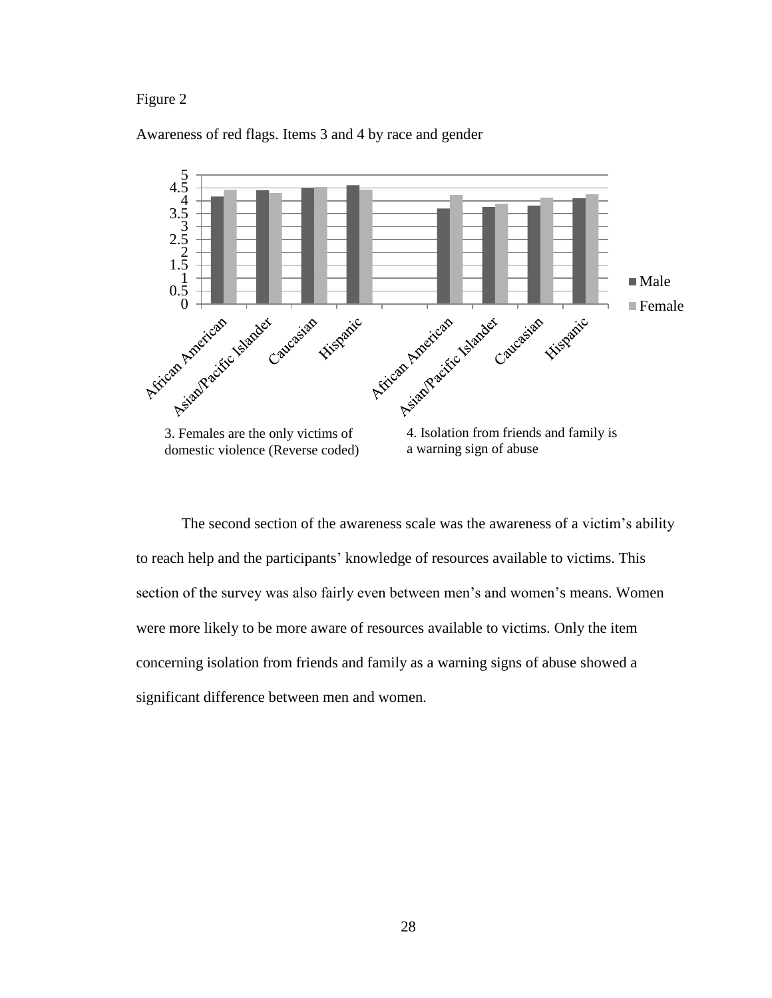## Figure 2

## Awareness of red flags. Items 3 and 4 by race and gender



The second section of the awareness scale was the awareness of a victim's ability to reach help and the participants' knowledge of resources available to victims. This section of the survey was also fairly even between men's and women's means. Women were more likely to be more aware of resources available to victims. Only the item concerning isolation from friends and family as a warning signs of abuse showed a significant difference between men and women.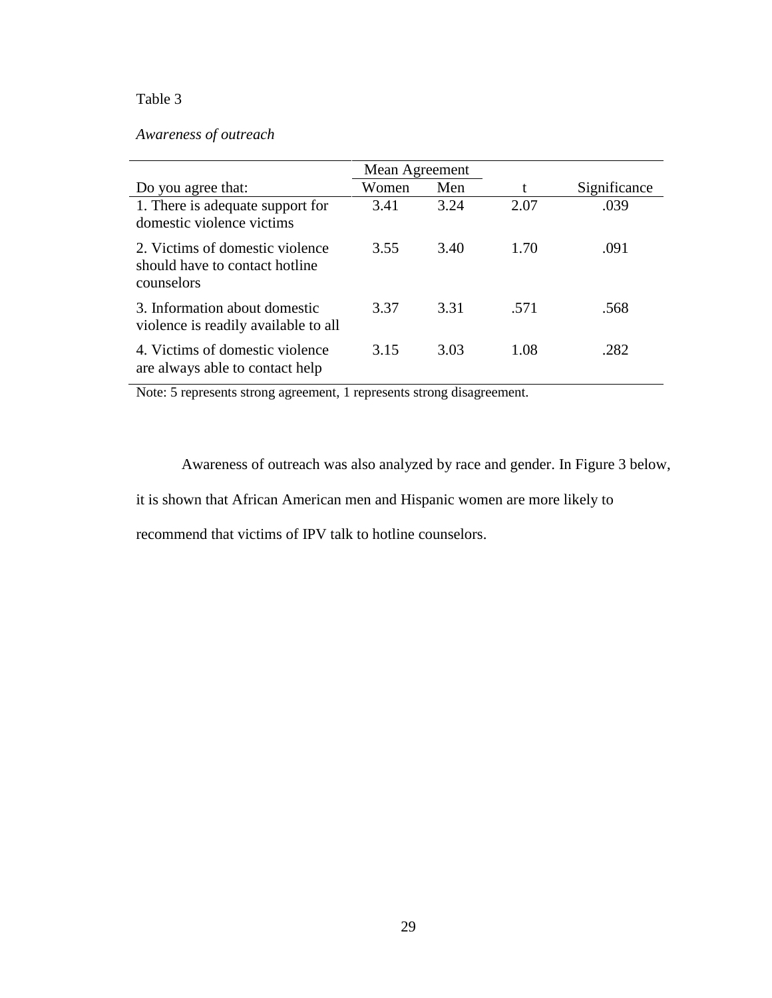# Table 3

# *Awareness of outreach*

|                                                                                 | Mean Agreement |      |      |              |
|---------------------------------------------------------------------------------|----------------|------|------|--------------|
| Do you agree that:                                                              | Women          | Men  | t    | Significance |
| 1. There is adequate support for<br>domestic violence victims                   | 3.41           | 3.24 | 2.07 | .039         |
| 2. Victims of domestic violence<br>should have to contact hotline<br>counselors | 3.55           | 3.40 | 1.70 | .091         |
| 3. Information about domestic<br>violence is readily available to all           | 3.37           | 3.31 | .571 | .568         |
| 4. Victims of domestic violence<br>are always able to contact help              | 3.15           | 3.03 | 1.08 | .282         |

Note: 5 represents strong agreement, 1 represents strong disagreement.

Awareness of outreach was also analyzed by race and gender. In Figure 3 below,

it is shown that African American men and Hispanic women are more likely to

recommend that victims of IPV talk to hotline counselors.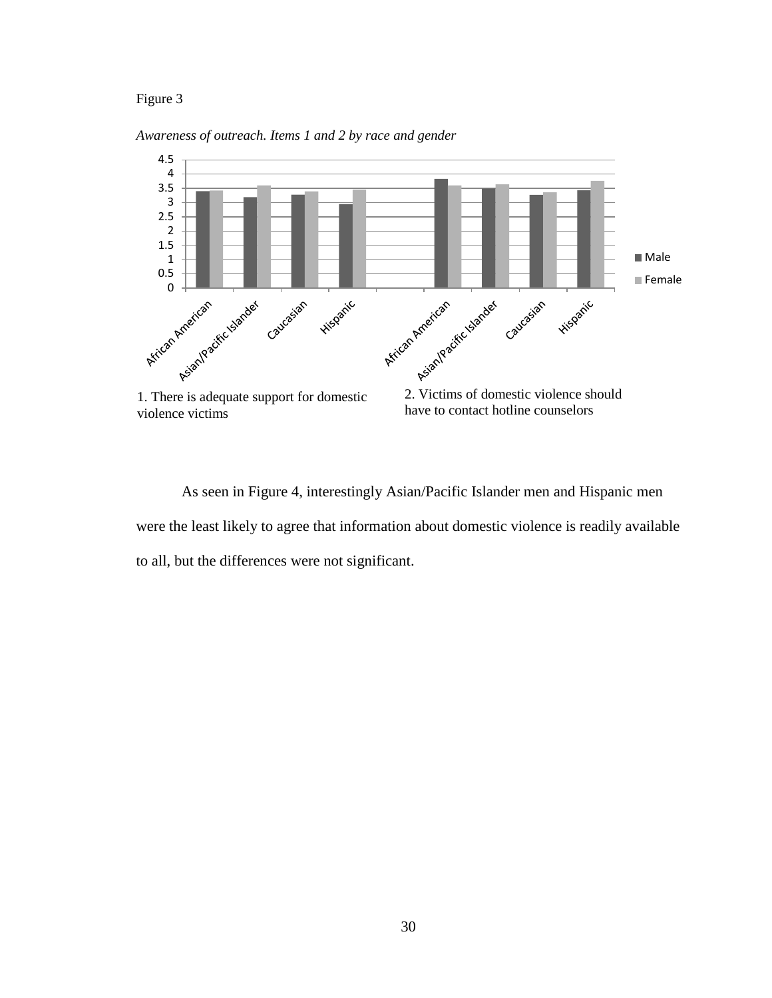## Figure 3

*Awareness of outreach. Items 1 and 2 by race and gender*



As seen in Figure 4, interestingly Asian/Pacific Islander men and Hispanic men were the least likely to agree that information about domestic violence is readily available to all, but the differences were not significant.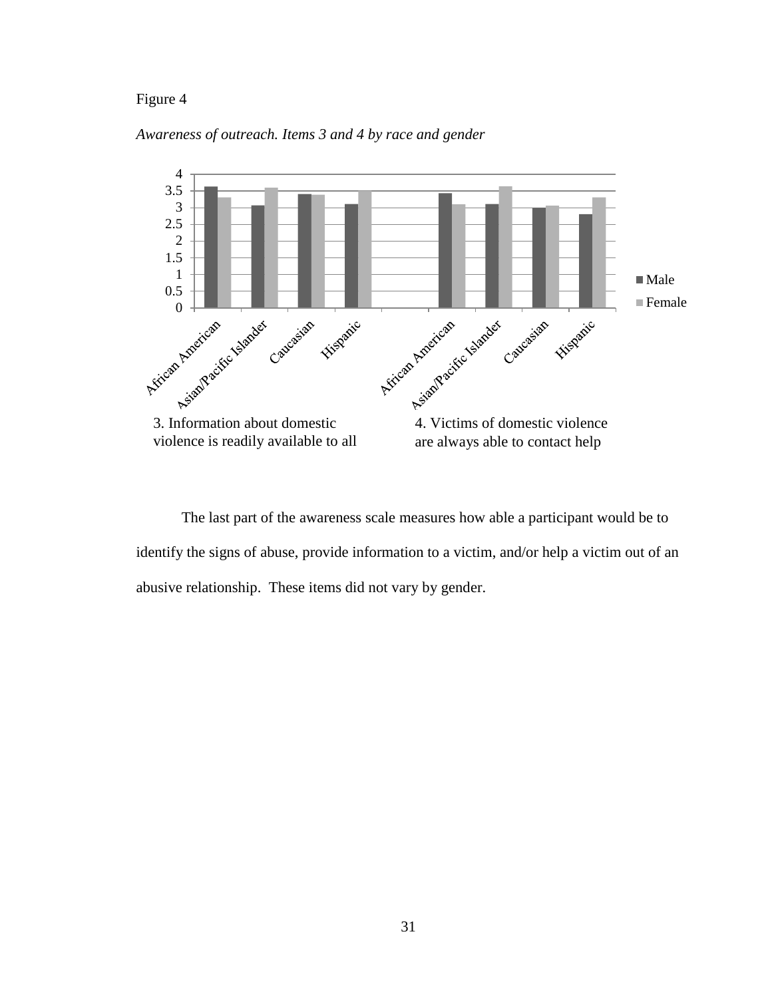## Figure 4





The last part of the awareness scale measures how able a participant would be to identify the signs of abuse, provide information to a victim, and/or help a victim out of an abusive relationship. These items did not vary by gender.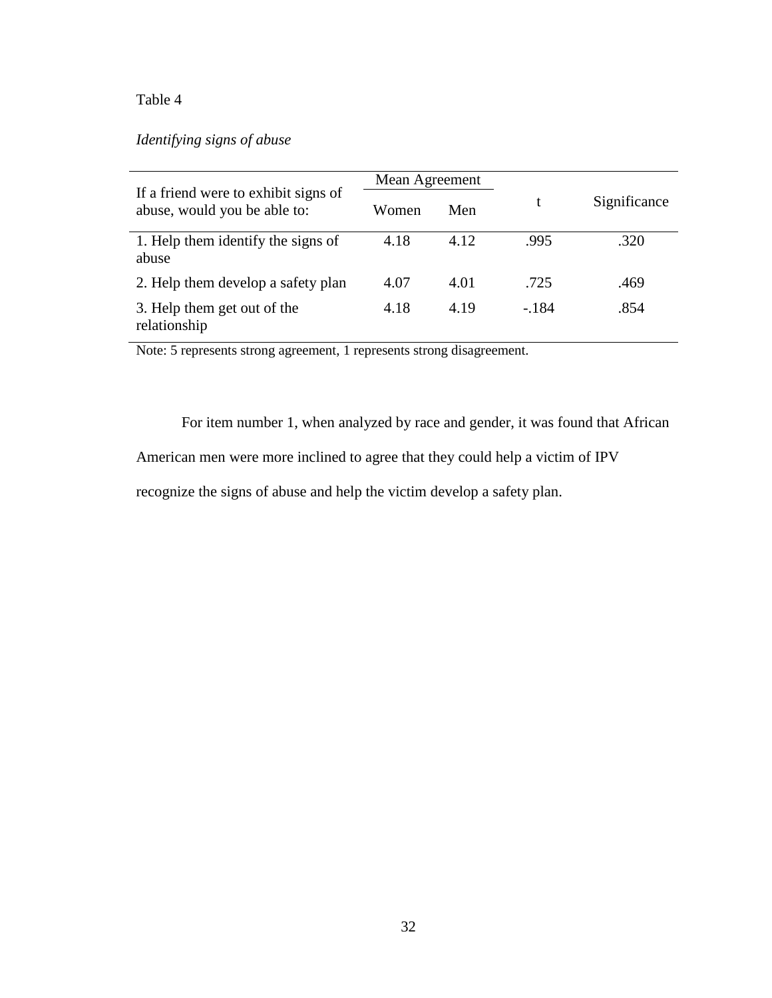# Table 4

# *Identifying signs of abuse*

|                                                                      | Mean Agreement |      |        |              |
|----------------------------------------------------------------------|----------------|------|--------|--------------|
| If a friend were to exhibit signs of<br>abuse, would you be able to: | Women          | Men  |        | Significance |
| 1. Help them identify the signs of<br>abuse                          | 4.18           | 4.12 | .995   | .320         |
| 2. Help them develop a safety plan                                   | 4.07           | 4.01 | .725   | .469         |
| 3. Help them get out of the<br>relationship                          | 4.18           | 4.19 | $-184$ | .854         |

Note: 5 represents strong agreement, 1 represents strong disagreement.

For item number 1, when analyzed by race and gender, it was found that African

American men were more inclined to agree that they could help a victim of IPV

recognize the signs of abuse and help the victim develop a safety plan.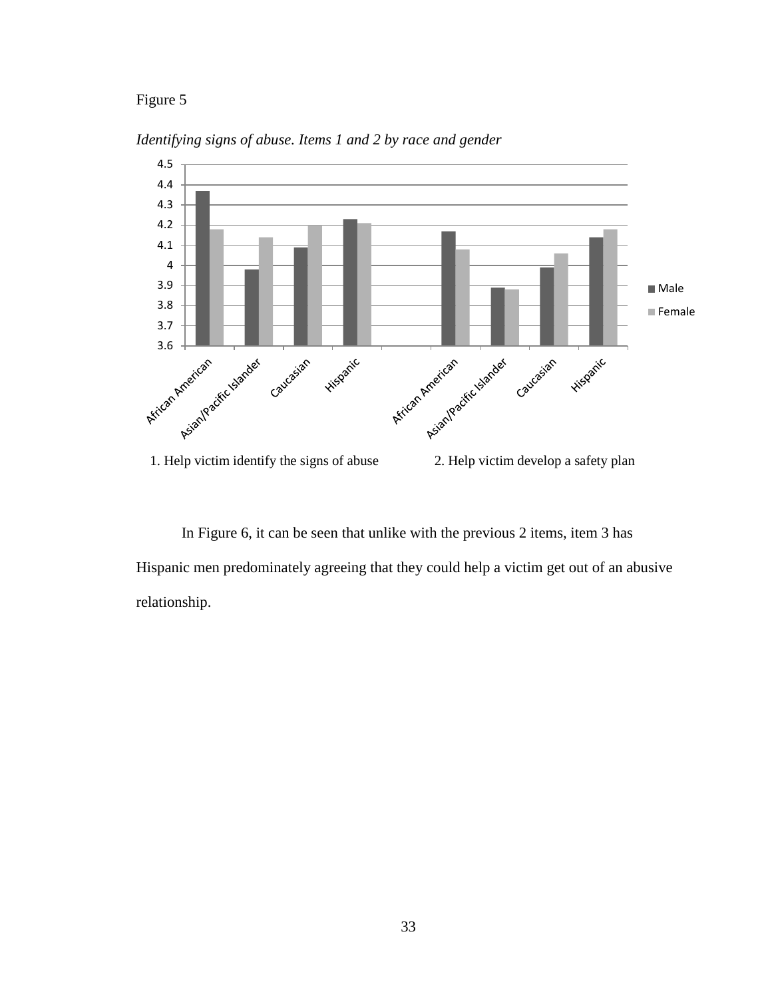# Figure 5



*Identifying signs of abuse. Items 1 and 2 by race and gender*

In Figure 6, it can be seen that unlike with the previous 2 items, item 3 has Hispanic men predominately agreeing that they could help a victim get out of an abusive relationship.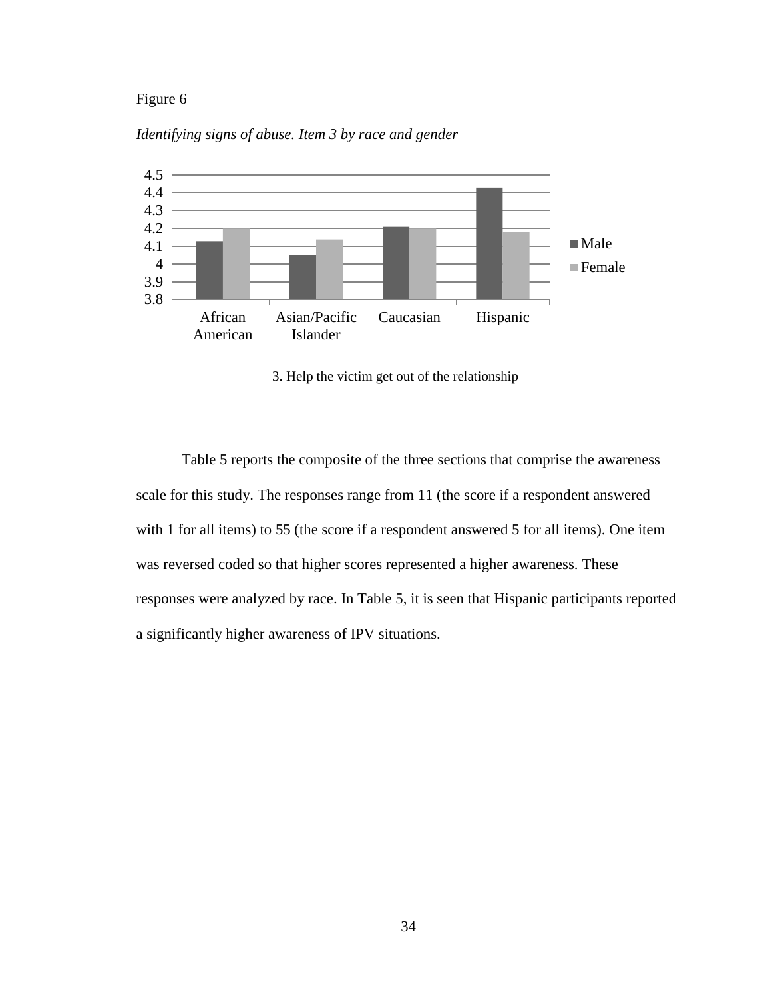# Figure 6



*Identifying signs of abuse. Item 3 by race and gender*

3. Help the victim get out of the relationship

Table 5 reports the composite of the three sections that comprise the awareness scale for this study. The responses range from 11 (the score if a respondent answered with 1 for all items) to 55 (the score if a respondent answered 5 for all items). One item was reversed coded so that higher scores represented a higher awareness. These responses were analyzed by race. In Table 5, it is seen that Hispanic participants reported a significantly higher awareness of IPV situations.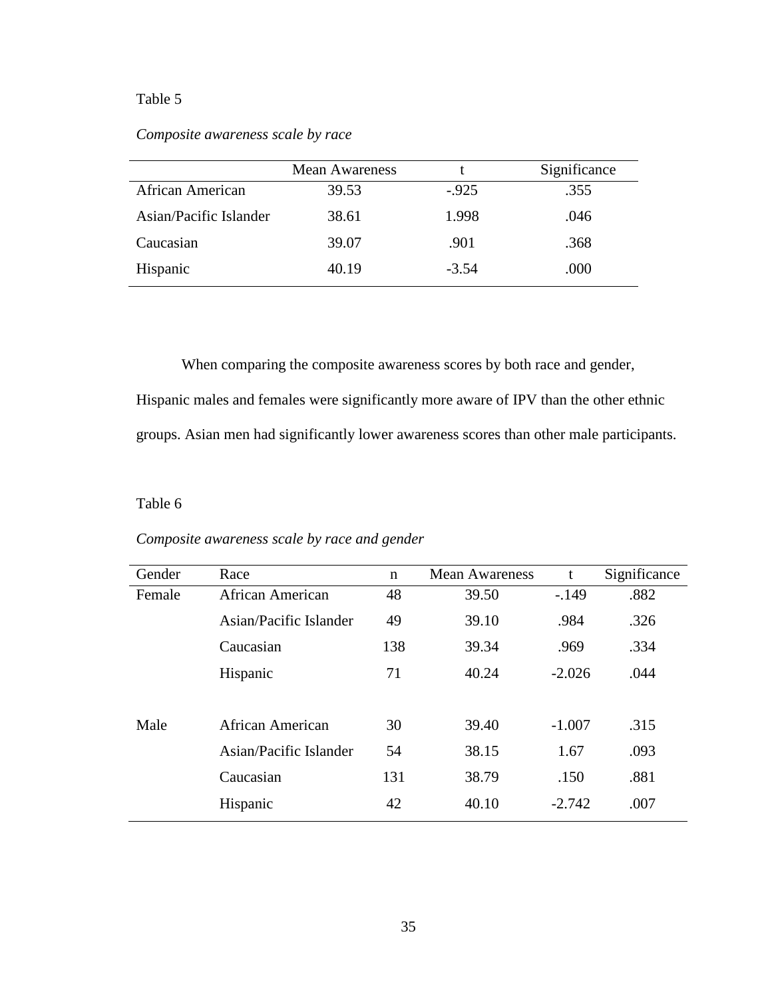# Table 5

# *Composite awareness scale by race*

|                        | <b>Mean Awareness</b> |         | Significance |
|------------------------|-----------------------|---------|--------------|
| African American       | 39.53                 | $-925$  | .355         |
| Asian/Pacific Islander | 38.61                 | 1.998   | .046         |
| Caucasian              | 39.07                 | .901    | .368         |
| Hispanic               | 40.19                 | $-3.54$ | .000         |

When comparing the composite awareness scores by both race and gender, Hispanic males and females were significantly more aware of IPV than the other ethnic groups. Asian men had significantly lower awareness scores than other male participants.

## Table 6

| Gender | Race                    | n   | <b>Mean Awareness</b> | t        | Significance |
|--------|-------------------------|-----|-----------------------|----------|--------------|
| Female | <b>African American</b> | 48  | 39.50                 | $-.149$  | .882         |
|        | Asian/Pacific Islander  | 49  | 39.10                 | .984     | .326         |
|        | Caucasian               | 138 | 39.34                 | .969     | .334         |
|        | Hispanic                | 71  | 40.24                 | $-2.026$ | .044         |
|        |                         |     |                       |          |              |
| Male   | African American        | 30  | 39.40                 | $-1.007$ | .315         |
|        | Asian/Pacific Islander  | 54  | 38.15                 | 1.67     | .093         |
|        | Caucasian               | 131 | 38.79                 | .150     | .881         |
|        | Hispanic                | 42  | 40.10                 | $-2.742$ | .007         |

# *Composite awareness scale by race and gender*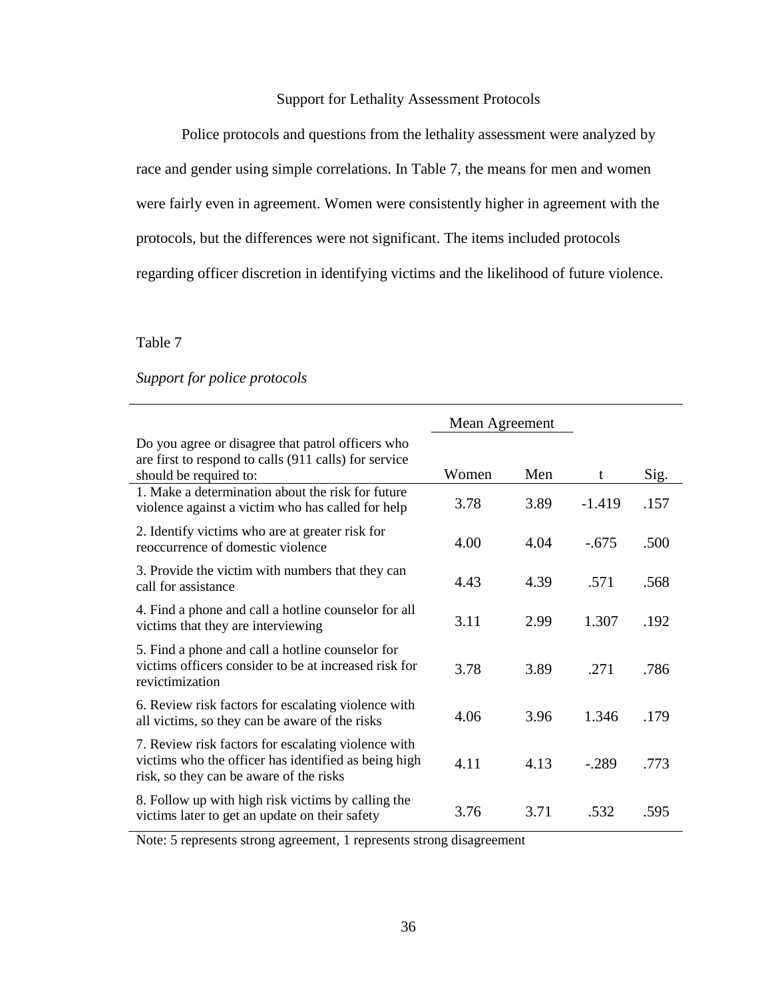# Support for Lethality Assessment Protocols

Police protocols and questions from the lethality assessment were analyzed by race and gender using simple correlations. In Table 7, the means for men and women were fairly even in agreement. Women were consistently higher in agreement with the protocols, but the differences were not significant. The items included protocols regarding officer discretion in identifying victims and the likelihood of future violence.

Table 7

*Support for police protocols*

|                                                                                                                                                        | Mean Agreement |      |          |      |
|--------------------------------------------------------------------------------------------------------------------------------------------------------|----------------|------|----------|------|
| Do you agree or disagree that patrol officers who<br>are first to respond to calls (911 calls) for service                                             |                |      |          |      |
| should be required to:                                                                                                                                 | Women          | Men  | t        | Sig. |
| 1. Make a determination about the risk for future<br>violence against a victim who has called for help                                                 | 3.78           | 3.89 | $-1.419$ | .157 |
| 2. Identify victims who are at greater risk for<br>reoccurrence of domestic violence                                                                   | 4.00           | 4.04 | $-.675$  | .500 |
| 3. Provide the victim with numbers that they can<br>call for assistance                                                                                | 4.43           | 4.39 | .571     | .568 |
| 4. Find a phone and call a hotline counselor for all<br>victims that they are interviewing                                                             | 3.11           | 2.99 | 1.307    | .192 |
| 5. Find a phone and call a hotline counselor for<br>victims officers consider to be at increased risk for<br>revictimization                           | 3.78           | 3.89 | .271     | .786 |
| 6. Review risk factors for escalating violence with<br>all victims, so they can be aware of the risks                                                  | 4.06           | 3.96 | 1.346    | .179 |
| 7. Review risk factors for escalating violence with<br>victims who the officer has identified as being high<br>risk, so they can be aware of the risks | 4.11           | 4.13 | $-.289$  | .773 |
| 8. Follow up with high risk victims by calling the<br>victims later to get an update on their safety                                                   | 3.76           | 3.71 | .532     | .595 |

Note: 5 represents strong agreement, 1 represents strong disagreement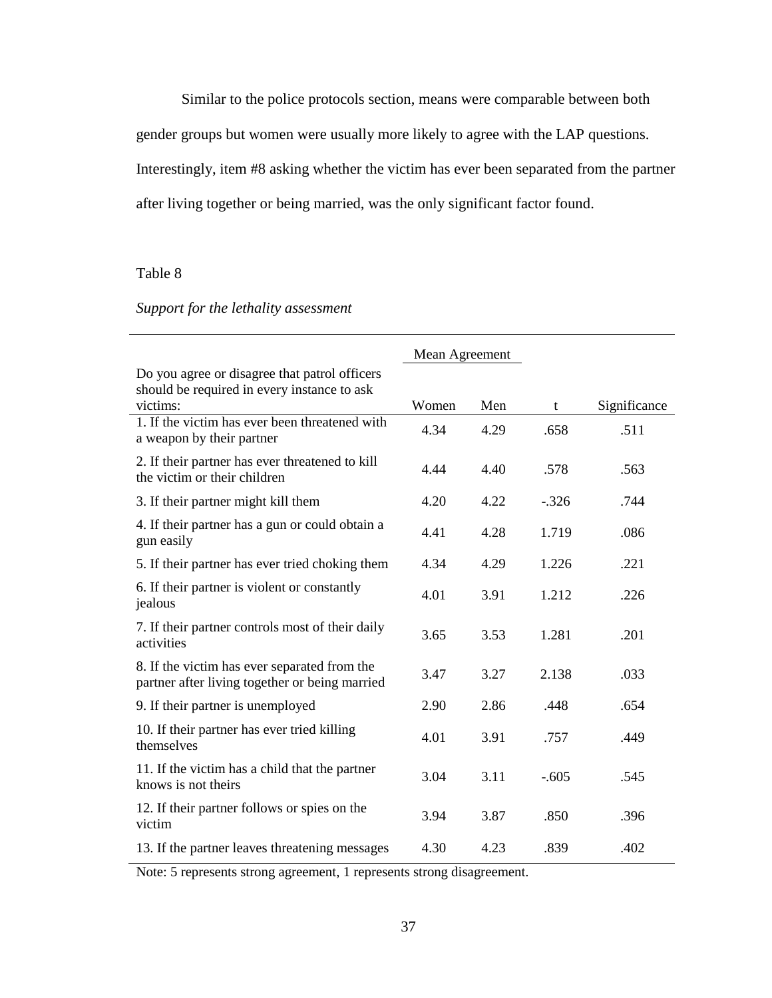Similar to the police protocols section, means were comparable between both gender groups but women were usually more likely to agree with the LAP questions. Interestingly, item #8 asking whether the victim has ever been separated from the partner after living together or being married, was the only significant factor found.

# Table 8

# *Support for the lethality assessment*

|                                                                                                          | Mean Agreement |      |         |              |
|----------------------------------------------------------------------------------------------------------|----------------|------|---------|--------------|
| Do you agree or disagree that patrol officers<br>should be required in every instance to ask<br>victims: | Women          | Men  | t       | Significance |
| 1. If the victim has ever been threatened with<br>a weapon by their partner                              | 4.34           | 4.29 | .658    | .511         |
| 2. If their partner has ever threatened to kill<br>the victim or their children                          | 4.44           | 4.40 | .578    | .563         |
| 3. If their partner might kill them                                                                      | 4.20           | 4.22 | $-.326$ | .744         |
| 4. If their partner has a gun or could obtain a<br>gun easily                                            | 4.41           | 4.28 | 1.719   | .086         |
| 5. If their partner has ever tried choking them                                                          | 4.34           | 4.29 | 1.226   | .221         |
| 6. If their partner is violent or constantly<br>jealous                                                  | 4.01           | 3.91 | 1.212   | .226         |
| 7. If their partner controls most of their daily<br>activities                                           | 3.65           | 3.53 | 1.281   | .201         |
| 8. If the victim has ever separated from the<br>partner after living together or being married           | 3.47           | 3.27 | 2.138   | .033         |
| 9. If their partner is unemployed                                                                        | 2.90           | 2.86 | .448    | .654         |
| 10. If their partner has ever tried killing<br>themselves                                                | 4.01           | 3.91 | .757    | .449         |
| 11. If the victim has a child that the partner<br>knows is not theirs                                    | 3.04           | 3.11 | $-.605$ | .545         |
| 12. If their partner follows or spies on the<br>victim                                                   | 3.94           | 3.87 | .850    | .396         |
| 13. If the partner leaves threatening messages                                                           | 4.30           | 4.23 | .839    | .402         |

Note: 5 represents strong agreement, 1 represents strong disagreement.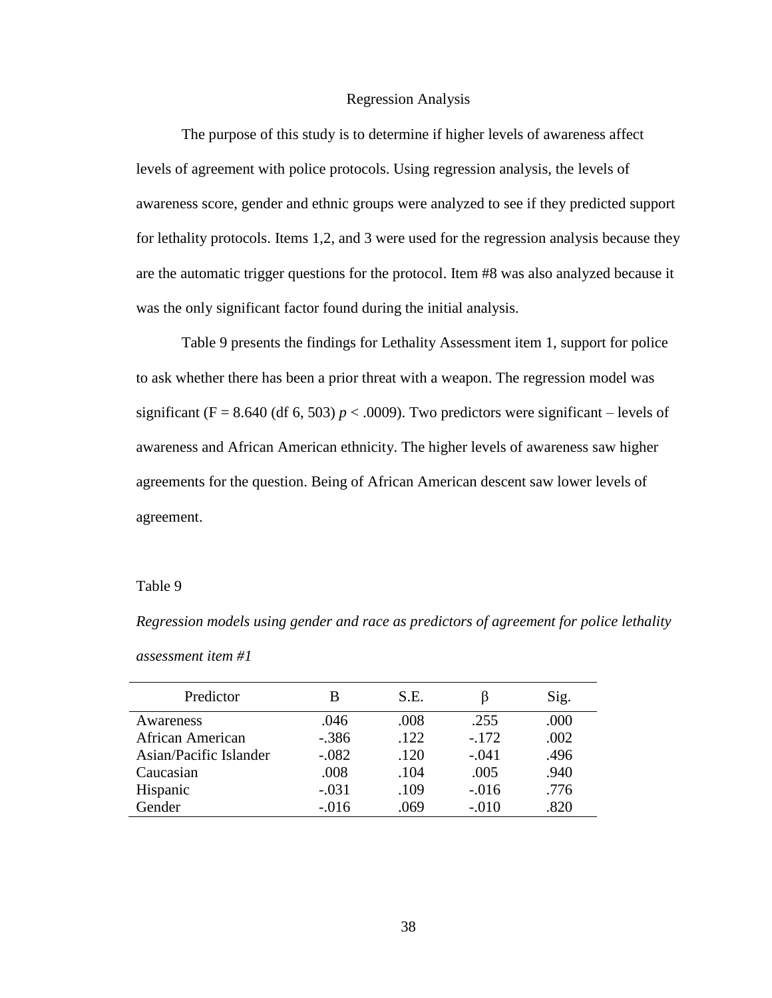#### Regression Analysis

The purpose of this study is to determine if higher levels of awareness affect levels of agreement with police protocols. Using regression analysis, the levels of awareness score, gender and ethnic groups were analyzed to see if they predicted support for lethality protocols. Items 1,2, and 3 were used for the regression analysis because they are the automatic trigger questions for the protocol. Item #8 was also analyzed because it was the only significant factor found during the initial analysis.

Table 9 presents the findings for Lethality Assessment item 1, support for police to ask whether there has been a prior threat with a weapon. The regression model was significant (F = 8.640 (df 6, 503)  $p < .0009$ ). Two predictors were significant – levels of awareness and African American ethnicity. The higher levels of awareness saw higher agreements for the question. Being of African American descent saw lower levels of agreement.

#### Table 9

*Regression models using gender and race as predictors of agreement for police lethality assessment item #1*

| Predictor               | В       | S.E. |         | Sig. |
|-------------------------|---------|------|---------|------|
| Awareness               | .046    | .008 | .255    | .000 |
| <b>African American</b> | $-.386$ | .122 | $-.172$ | .002 |
| Asian/Pacific Islander  | $-.082$ | .120 | $-.041$ | .496 |
| Caucasian               | .008    | .104 | .005    | .940 |
| Hispanic                | $-.031$ | .109 | $-.016$ | .776 |
| Gender                  | $-.016$ | .069 | $-.010$ | .820 |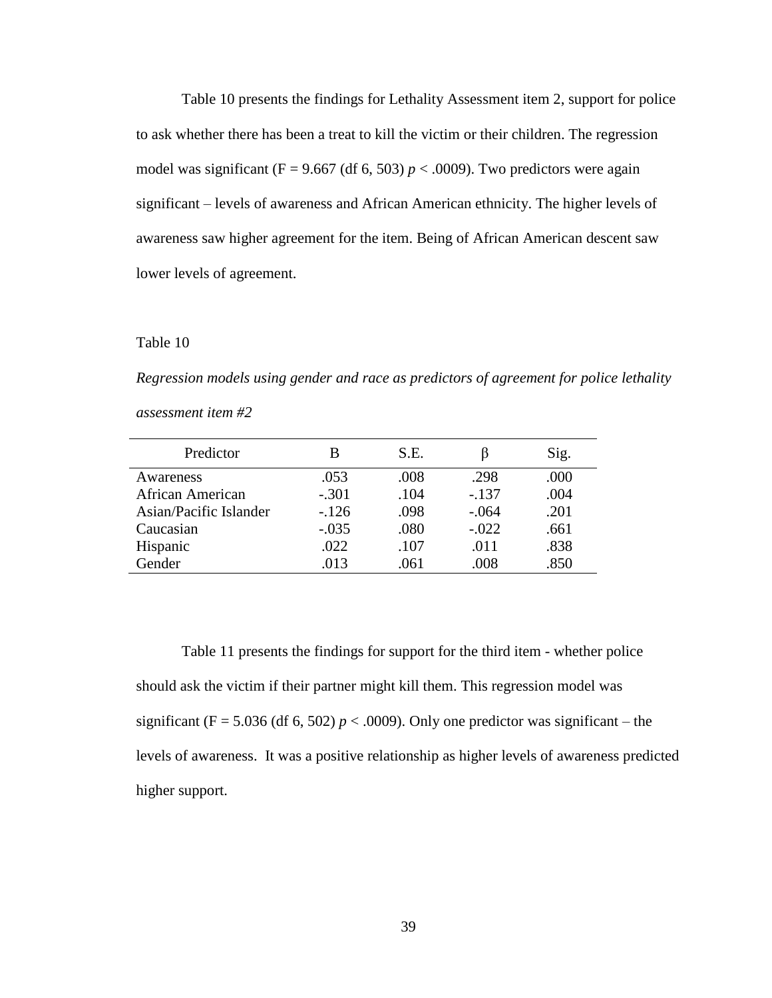Table 10 presents the findings for Lethality Assessment item 2, support for police to ask whether there has been a treat to kill the victim or their children. The regression model was significant (F = 9.667 (df 6, 503)  $p < .0009$ ). Two predictors were again significant – levels of awareness and African American ethnicity. The higher levels of awareness saw higher agreement for the item. Being of African American descent saw lower levels of agreement.

#### Table 10

*Regression models using gender and race as predictors of agreement for police lethality assessment item #2*

| Predictor               | В       | S.E. |         | Sig. |
|-------------------------|---------|------|---------|------|
| Awareness               | .053    | .008 | .298    | .000 |
| <b>African American</b> | $-.301$ | .104 | $-.137$ | .004 |
| Asian/Pacific Islander  | $-126$  | .098 | $-.064$ | .201 |
| Caucasian               | $-.035$ | .080 | $-.022$ | .661 |
| Hispanic                | .022    | .107 | .011    | .838 |
| Gender                  | .013    | .061 | .008    | .850 |

Table 11 presents the findings for support for the third item - whether police should ask the victim if their partner might kill them. This regression model was significant (F = 5.036 (df 6, 502)  $p < .0009$ ). Only one predictor was significant – the levels of awareness. It was a positive relationship as higher levels of awareness predicted higher support.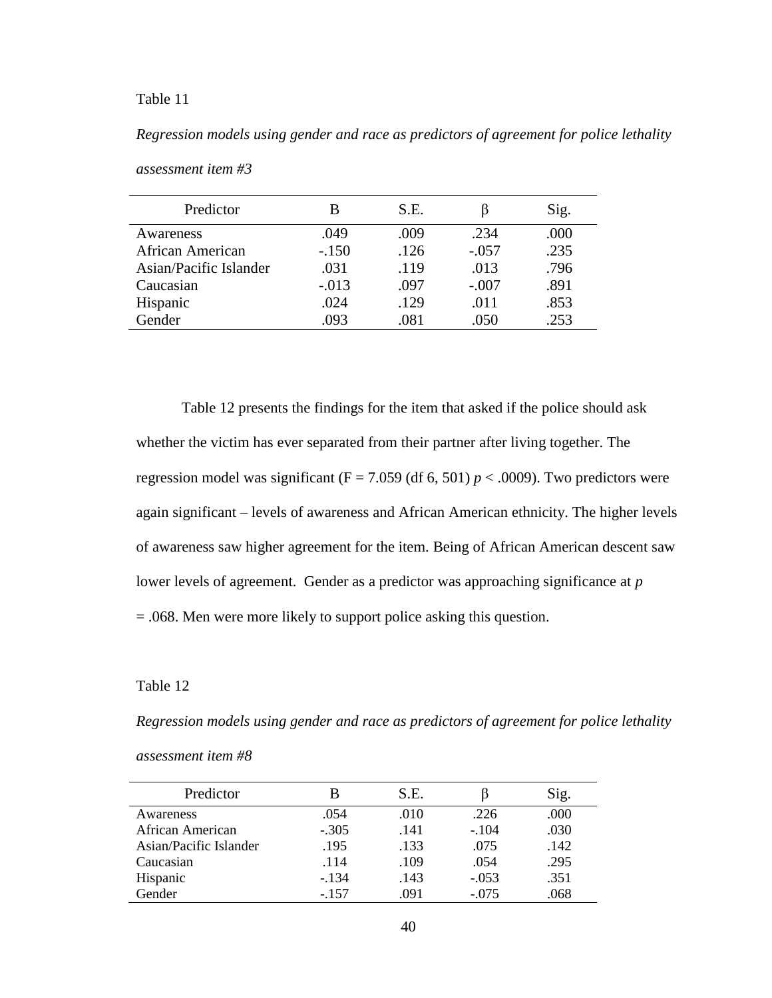## Table 11

*Regression models using gender and race as predictors of agreement for police lethality* 

| Predictor              | B       | S.E. | b       | Sig. |
|------------------------|---------|------|---------|------|
| Awareness              | .049    | .009 | .234    | .000 |
| African American       | $-.150$ | .126 | $-.057$ | .235 |
| Asian/Pacific Islander | .031    | .119 | .013    | .796 |
| Caucasian              | $-.013$ | .097 | $-.007$ | .891 |
| Hispanic               | .024    | .129 | .011    | .853 |
| Gender                 | .093    | .081 | .050    | .253 |

*assessment item #3*

Table 12 presents the findings for the item that asked if the police should ask whether the victim has ever separated from their partner after living together. The regression model was significant  $(F = 7.059$  (df 6, 501)  $p < .0009$ ). Two predictors were again significant – levels of awareness and African American ethnicity. The higher levels of awareness saw higher agreement for the item. Being of African American descent saw lower levels of agreement. Gender as a predictor was approaching significance at *p*  = .068. Men were more likely to support police asking this question.

## Table 12

*Regression models using gender and race as predictors of agreement for police lethality* 

*assessment item #8*

| Predictor              | В       | S.E. |         | Sig. |
|------------------------|---------|------|---------|------|
| Awareness              | .054    | .010 | .226    | .000 |
| African American       | $-.305$ | .141 | $-.104$ | .030 |
| Asian/Pacific Islander | .195    | .133 | .075    | .142 |
| Caucasian              | .114    | .109 | .054    | .295 |
| Hispanic               | $-134$  | .143 | $-.053$ | .351 |
| Gender                 | $-.157$ | .091 | $-.075$ | .068 |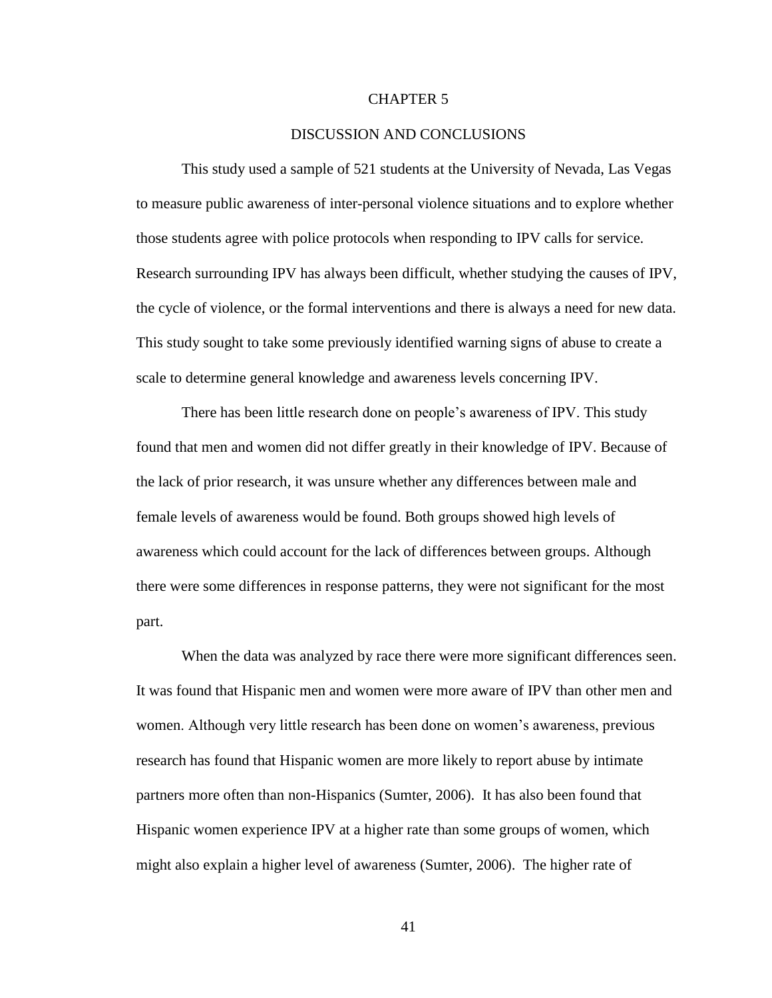#### CHAPTER 5

#### DISCUSSION AND CONCLUSIONS

This study used a sample of 521 students at the University of Nevada, Las Vegas to measure public awareness of inter-personal violence situations and to explore whether those students agree with police protocols when responding to IPV calls for service. Research surrounding IPV has always been difficult, whether studying the causes of IPV, the cycle of violence, or the formal interventions and there is always a need for new data. This study sought to take some previously identified warning signs of abuse to create a scale to determine general knowledge and awareness levels concerning IPV.

There has been little research done on people's awareness of IPV. This study found that men and women did not differ greatly in their knowledge of IPV. Because of the lack of prior research, it was unsure whether any differences between male and female levels of awareness would be found. Both groups showed high levels of awareness which could account for the lack of differences between groups. Although there were some differences in response patterns, they were not significant for the most part.

When the data was analyzed by race there were more significant differences seen. It was found that Hispanic men and women were more aware of IPV than other men and women. Although very little research has been done on women's awareness, previous research has found that Hispanic women are more likely to report abuse by intimate partners more often than non-Hispanics (Sumter, 2006). It has also been found that Hispanic women experience IPV at a higher rate than some groups of women, which might also explain a higher level of awareness (Sumter, 2006). The higher rate of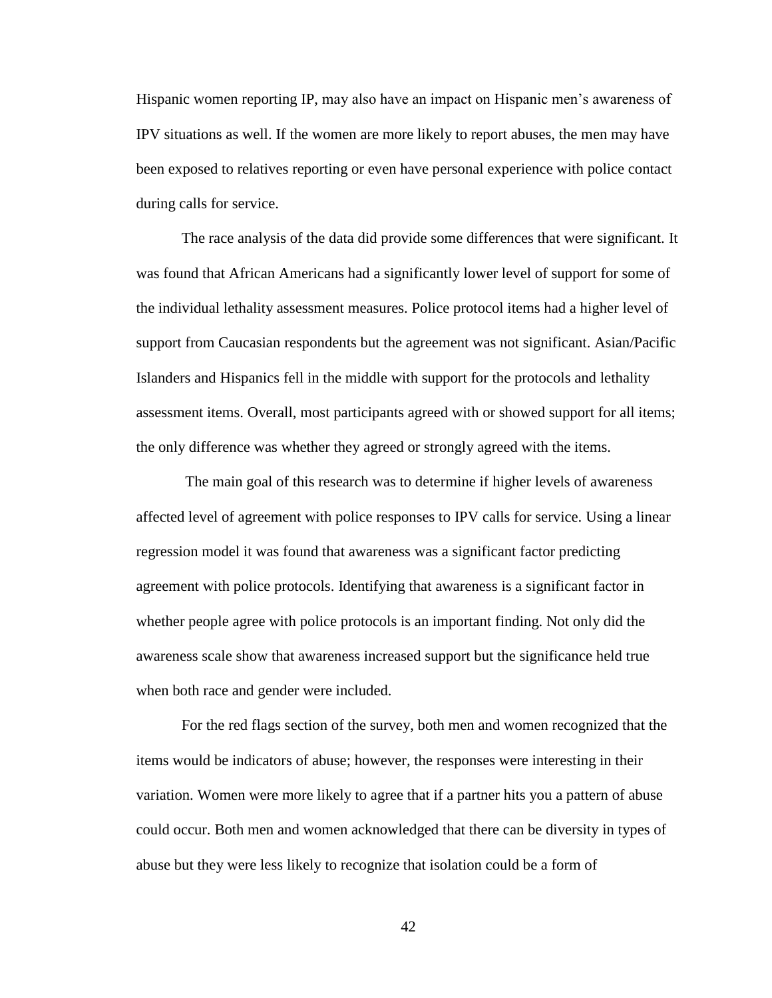Hispanic women reporting IP, may also have an impact on Hispanic men's awareness of IPV situations as well. If the women are more likely to report abuses, the men may have been exposed to relatives reporting or even have personal experience with police contact during calls for service.

The race analysis of the data did provide some differences that were significant. It was found that African Americans had a significantly lower level of support for some of the individual lethality assessment measures. Police protocol items had a higher level of support from Caucasian respondents but the agreement was not significant. Asian/Pacific Islanders and Hispanics fell in the middle with support for the protocols and lethality assessment items. Overall, most participants agreed with or showed support for all items; the only difference was whether they agreed or strongly agreed with the items.

The main goal of this research was to determine if higher levels of awareness affected level of agreement with police responses to IPV calls for service. Using a linear regression model it was found that awareness was a significant factor predicting agreement with police protocols. Identifying that awareness is a significant factor in whether people agree with police protocols is an important finding. Not only did the awareness scale show that awareness increased support but the significance held true when both race and gender were included.

For the red flags section of the survey, both men and women recognized that the items would be indicators of abuse; however, the responses were interesting in their variation. Women were more likely to agree that if a partner hits you a pattern of abuse could occur. Both men and women acknowledged that there can be diversity in types of abuse but they were less likely to recognize that isolation could be a form of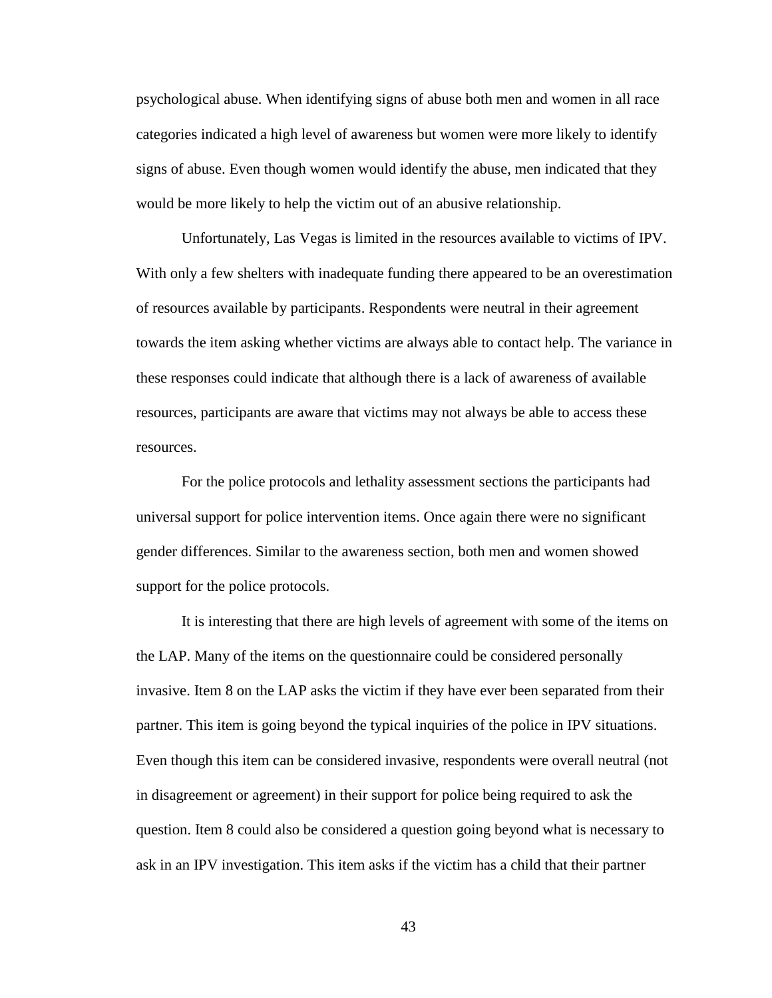psychological abuse. When identifying signs of abuse both men and women in all race categories indicated a high level of awareness but women were more likely to identify signs of abuse. Even though women would identify the abuse, men indicated that they would be more likely to help the victim out of an abusive relationship.

Unfortunately, Las Vegas is limited in the resources available to victims of IPV. With only a few shelters with inadequate funding there appeared to be an overestimation of resources available by participants. Respondents were neutral in their agreement towards the item asking whether victims are always able to contact help. The variance in these responses could indicate that although there is a lack of awareness of available resources, participants are aware that victims may not always be able to access these resources.

For the police protocols and lethality assessment sections the participants had universal support for police intervention items. Once again there were no significant gender differences. Similar to the awareness section, both men and women showed support for the police protocols.

It is interesting that there are high levels of agreement with some of the items on the LAP. Many of the items on the questionnaire could be considered personally invasive. Item 8 on the LAP asks the victim if they have ever been separated from their partner. This item is going beyond the typical inquiries of the police in IPV situations. Even though this item can be considered invasive, respondents were overall neutral (not in disagreement or agreement) in their support for police being required to ask the question. Item 8 could also be considered a question going beyond what is necessary to ask in an IPV investigation. This item asks if the victim has a child that their partner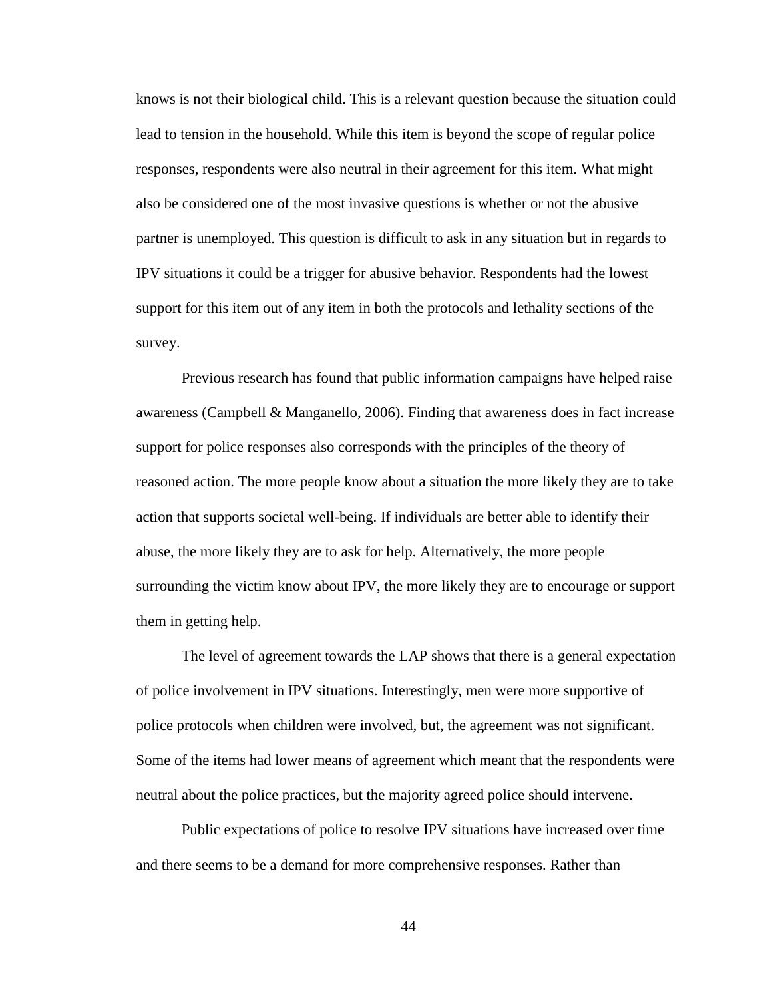knows is not their biological child. This is a relevant question because the situation could lead to tension in the household. While this item is beyond the scope of regular police responses, respondents were also neutral in their agreement for this item. What might also be considered one of the most invasive questions is whether or not the abusive partner is unemployed. This question is difficult to ask in any situation but in regards to IPV situations it could be a trigger for abusive behavior. Respondents had the lowest support for this item out of any item in both the protocols and lethality sections of the survey.

Previous research has found that public information campaigns have helped raise awareness (Campbell & Manganello, 2006). Finding that awareness does in fact increase support for police responses also corresponds with the principles of the theory of reasoned action. The more people know about a situation the more likely they are to take action that supports societal well-being. If individuals are better able to identify their abuse, the more likely they are to ask for help. Alternatively, the more people surrounding the victim know about IPV, the more likely they are to encourage or support them in getting help.

The level of agreement towards the LAP shows that there is a general expectation of police involvement in IPV situations. Interestingly, men were more supportive of police protocols when children were involved, but, the agreement was not significant. Some of the items had lower means of agreement which meant that the respondents were neutral about the police practices, but the majority agreed police should intervene.

Public expectations of police to resolve IPV situations have increased over time and there seems to be a demand for more comprehensive responses. Rather than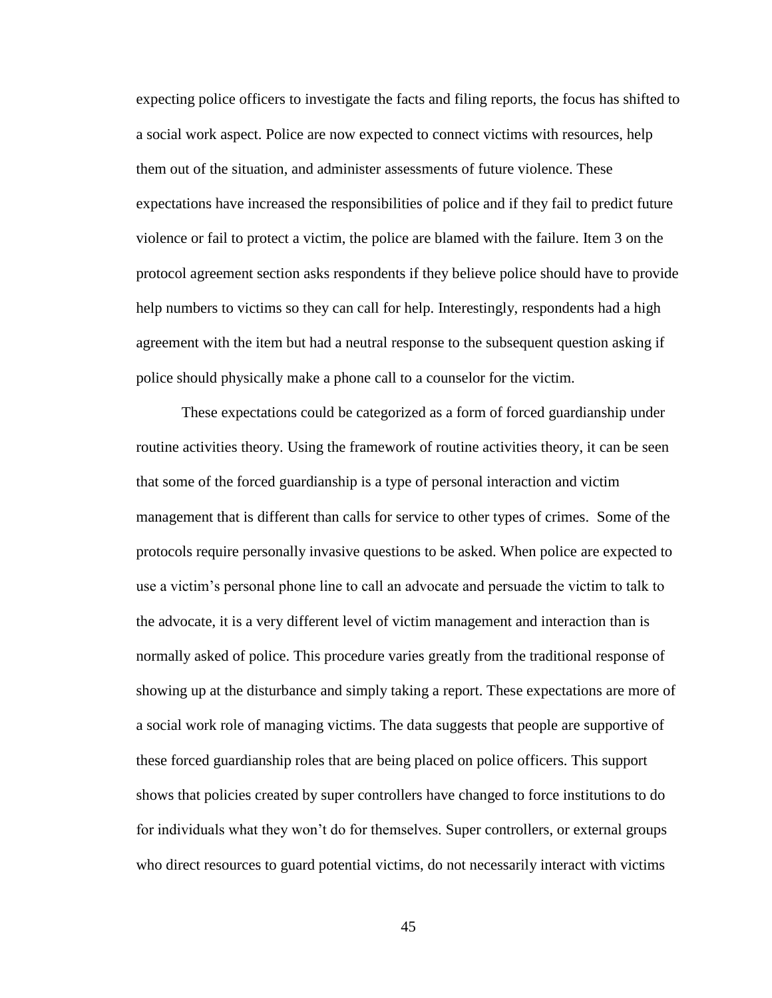expecting police officers to investigate the facts and filing reports, the focus has shifted to a social work aspect. Police are now expected to connect victims with resources, help them out of the situation, and administer assessments of future violence. These expectations have increased the responsibilities of police and if they fail to predict future violence or fail to protect a victim, the police are blamed with the failure. Item 3 on the protocol agreement section asks respondents if they believe police should have to provide help numbers to victims so they can call for help. Interestingly, respondents had a high agreement with the item but had a neutral response to the subsequent question asking if police should physically make a phone call to a counselor for the victim.

These expectations could be categorized as a form of forced guardianship under routine activities theory. Using the framework of routine activities theory, it can be seen that some of the forced guardianship is a type of personal interaction and victim management that is different than calls for service to other types of crimes. Some of the protocols require personally invasive questions to be asked. When police are expected to use a victim's personal phone line to call an advocate and persuade the victim to talk to the advocate, it is a very different level of victim management and interaction than is normally asked of police. This procedure varies greatly from the traditional response of showing up at the disturbance and simply taking a report. These expectations are more of a social work role of managing victims. The data suggests that people are supportive of these forced guardianship roles that are being placed on police officers. This support shows that policies created by super controllers have changed to force institutions to do for individuals what they won't do for themselves. Super controllers, or external groups who direct resources to guard potential victims, do not necessarily interact with victims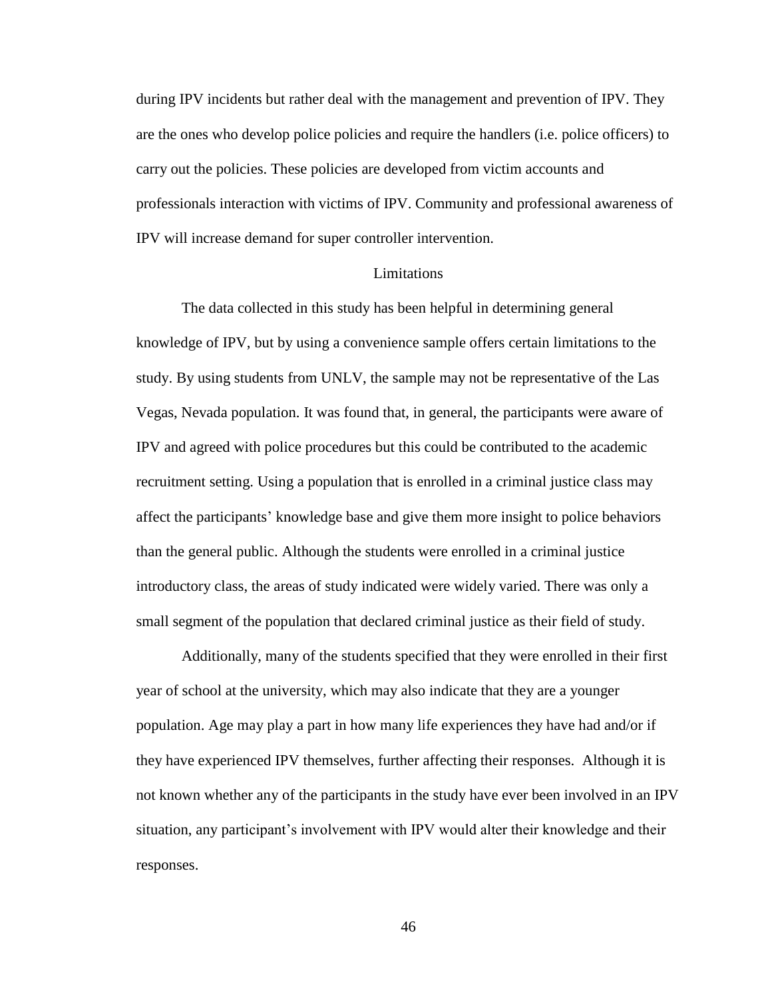during IPV incidents but rather deal with the management and prevention of IPV. They are the ones who develop police policies and require the handlers (i.e. police officers) to carry out the policies. These policies are developed from victim accounts and professionals interaction with victims of IPV. Community and professional awareness of IPV will increase demand for super controller intervention.

#### Limitations

The data collected in this study has been helpful in determining general knowledge of IPV, but by using a convenience sample offers certain limitations to the study. By using students from UNLV, the sample may not be representative of the Las Vegas, Nevada population. It was found that, in general, the participants were aware of IPV and agreed with police procedures but this could be contributed to the academic recruitment setting. Using a population that is enrolled in a criminal justice class may affect the participants' knowledge base and give them more insight to police behaviors than the general public. Although the students were enrolled in a criminal justice introductory class, the areas of study indicated were widely varied. There was only a small segment of the population that declared criminal justice as their field of study.

Additionally, many of the students specified that they were enrolled in their first year of school at the university, which may also indicate that they are a younger population. Age may play a part in how many life experiences they have had and/or if they have experienced IPV themselves, further affecting their responses. Although it is not known whether any of the participants in the study have ever been involved in an IPV situation, any participant's involvement with IPV would alter their knowledge and their responses.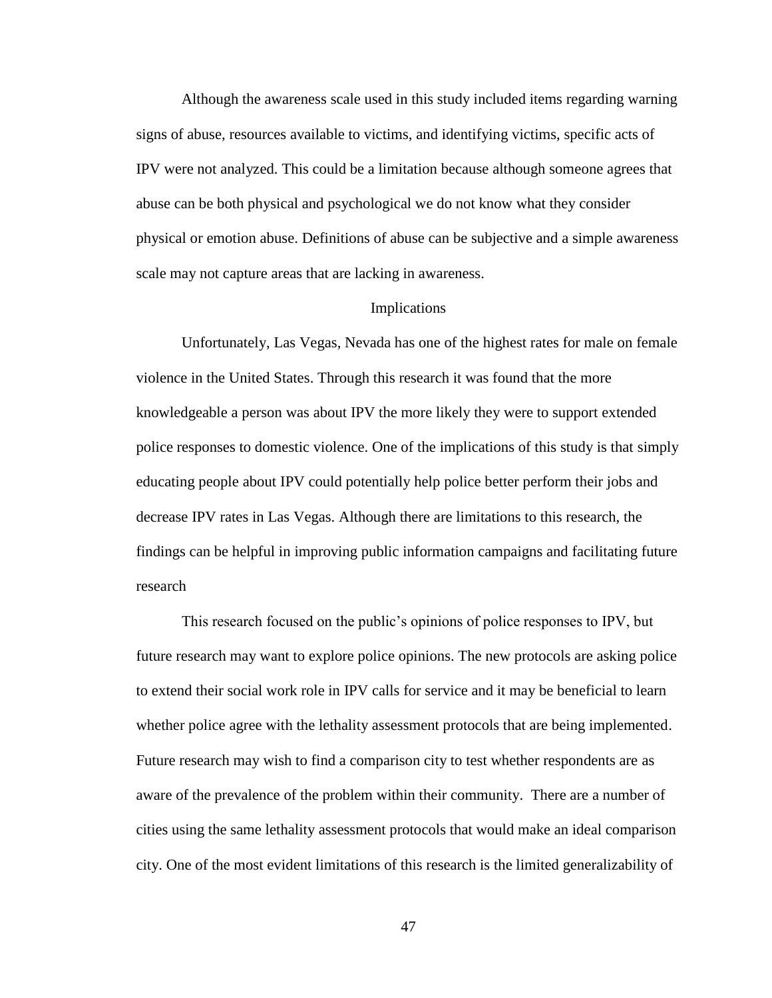Although the awareness scale used in this study included items regarding warning signs of abuse, resources available to victims, and identifying victims, specific acts of IPV were not analyzed. This could be a limitation because although someone agrees that abuse can be both physical and psychological we do not know what they consider physical or emotion abuse. Definitions of abuse can be subjective and a simple awareness scale may not capture areas that are lacking in awareness.

#### Implications

Unfortunately, Las Vegas, Nevada has one of the highest rates for male on female violence in the United States. Through this research it was found that the more knowledgeable a person was about IPV the more likely they were to support extended police responses to domestic violence. One of the implications of this study is that simply educating people about IPV could potentially help police better perform their jobs and decrease IPV rates in Las Vegas. Although there are limitations to this research, the findings can be helpful in improving public information campaigns and facilitating future research

This research focused on the public's opinions of police responses to IPV, but future research may want to explore police opinions. The new protocols are asking police to extend their social work role in IPV calls for service and it may be beneficial to learn whether police agree with the lethality assessment protocols that are being implemented. Future research may wish to find a comparison city to test whether respondents are as aware of the prevalence of the problem within their community. There are a number of cities using the same lethality assessment protocols that would make an ideal comparison city. One of the most evident limitations of this research is the limited generalizability of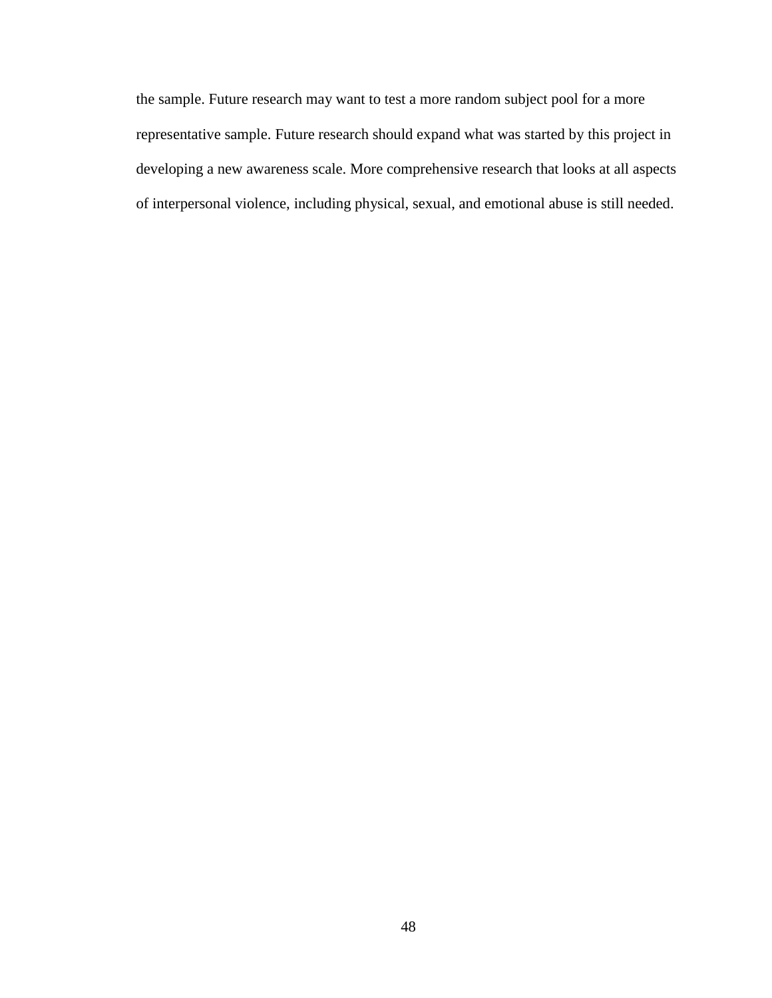the sample. Future research may want to test a more random subject pool for a more representative sample. Future research should expand what was started by this project in developing a new awareness scale. More comprehensive research that looks at all aspects of interpersonal violence, including physical, sexual, and emotional abuse is still needed.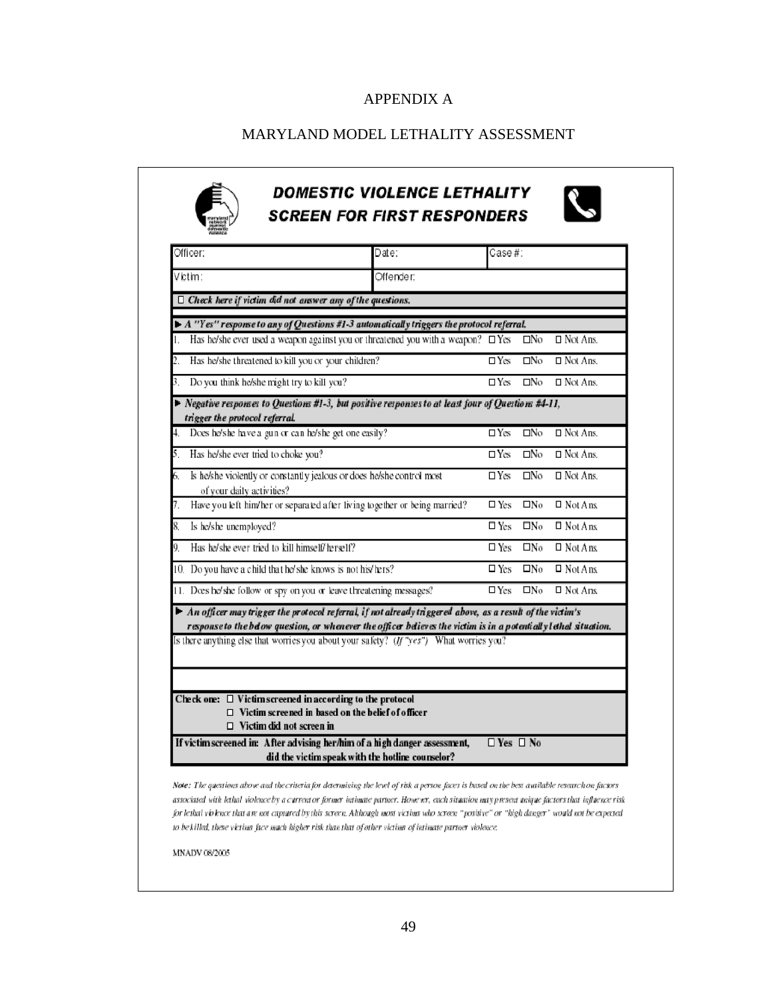# APPENDIX A

## MARYLAND MODEL LETHALITY ASSESSMENT

# **DOMESTIC VIOLENCE LETHALITY SCREEN FOR FIRST RESPONDERS**



| Officer:                                                                                                                                                                                                                                                                                                                     | Date:                                            | Case #:              |              |                    |
|------------------------------------------------------------------------------------------------------------------------------------------------------------------------------------------------------------------------------------------------------------------------------------------------------------------------------|--------------------------------------------------|----------------------|--------------|--------------------|
| Victim:                                                                                                                                                                                                                                                                                                                      | Offender:                                        |                      |              |                    |
| $\Box$ Check here if victim did not answer any of the questions.                                                                                                                                                                                                                                                             |                                                  |                      |              |                    |
| $\blacktriangleright$ A "Yes" response to any of Questions #1-3 automatically triggers the protocol referral.                                                                                                                                                                                                                |                                                  |                      |              |                    |
| Has he/she ever used a weapon against you or threatened you with a weapon? $\Box$ Yes                                                                                                                                                                                                                                        |                                                  |                      | $\Box$ No    | $\Box$ Not Ans.    |
| Has he/she threatened to kill you or your children?<br>2.                                                                                                                                                                                                                                                                    |                                                  | $\Box$ Yes           | $\square$ No | $\Box$ Not Ans.    |
| Do you think he/she might try to kill you?<br>3.                                                                                                                                                                                                                                                                             |                                                  | $\Box$ Yes           | $\Box$ No    | $\Box$ Not Ans.    |
| $\blacktriangleright$ Negative responses to Questions #1-3, but positive responses to at least four of Questions #4-11,<br>trigger the protocol referral.                                                                                                                                                                    |                                                  |                      |              |                    |
| Does he/she have a gun or can he/she get one easily?<br>4.                                                                                                                                                                                                                                                                   |                                                  | $\Box$ Yes           | $\square$ No | $\Box$ Not Ans.    |
| Has he/she ever tried to choke you?<br>5.                                                                                                                                                                                                                                                                                    |                                                  | $\Box$ Yes           | $\Box$ No    | $\Box$ Not Ans.    |
| Is he/she violently or constantly jealous or does he/she control most<br>6.<br>of your daily activities?                                                                                                                                                                                                                     |                                                  | $\Box$ Yes           | $\square$ No | $\Box$ Not Ans.    |
| Have you left him/her or separated after living together or being married?<br>7.                                                                                                                                                                                                                                             |                                                  | $\square$ Yes        | $\Box$ No    | $\Box$ Not Ans.    |
| 8.<br>Is he/she unemployed?                                                                                                                                                                                                                                                                                                  |                                                  | $\square$ Yes        | $\Box$ No    | $\Box$ Not A ns.   |
| Has he/she ever tried to kill himself/herself?<br>9.                                                                                                                                                                                                                                                                         |                                                  | $\square$ Yes        | $\Box$ No    | $\Box$ Not Ans.    |
| 10. Do you have a child that he/she knows is not his/hers?                                                                                                                                                                                                                                                                   |                                                  | $\square$ Yes        | $\Box$ No    | $\Box$ Not Ans.    |
| 11. Does he/she follow or spy on you or leave threatening messages?                                                                                                                                                                                                                                                          |                                                  | $\Box$ Yes           | $\Box$ No    | $\square$ Not Ans. |
| An officer may trigger the protocol referral, if not already triggered above, as a result of the victim's<br>response to the below question, or whenever the officer believes the victim is in a potentially lethal situation.<br>Is there anything else that worries you about your safety? $(ff''yes'')$ What worries you? |                                                  |                      |              |                    |
| Check one: $\Box$ Victim screened in according to the protocol<br>$\Box$ Victim screened in based on the belief of officer<br>$\Box$ Victim did not screen in<br>If victim screened in: After advising her/him of a high danger assessment,                                                                                  |                                                  | $\Box$ Yes $\Box$ No |              |                    |
|                                                                                                                                                                                                                                                                                                                              | did the victim speak with the hotline counselor? |                      |              |                    |

Note: The questions above and the criteria for determining the level of risk a person faces is based on the best available research on factors associated with lethal violence by a current or former intimate partner. However, each situation may present unique factors that influence risk for lethal violence that are not captured by this screen. Although most victims who screen "positive" or "high danger" would not be expected to be killed, these victims face much higher risk than that of other victims of intimate partner violence.

**MNADV 08/2005**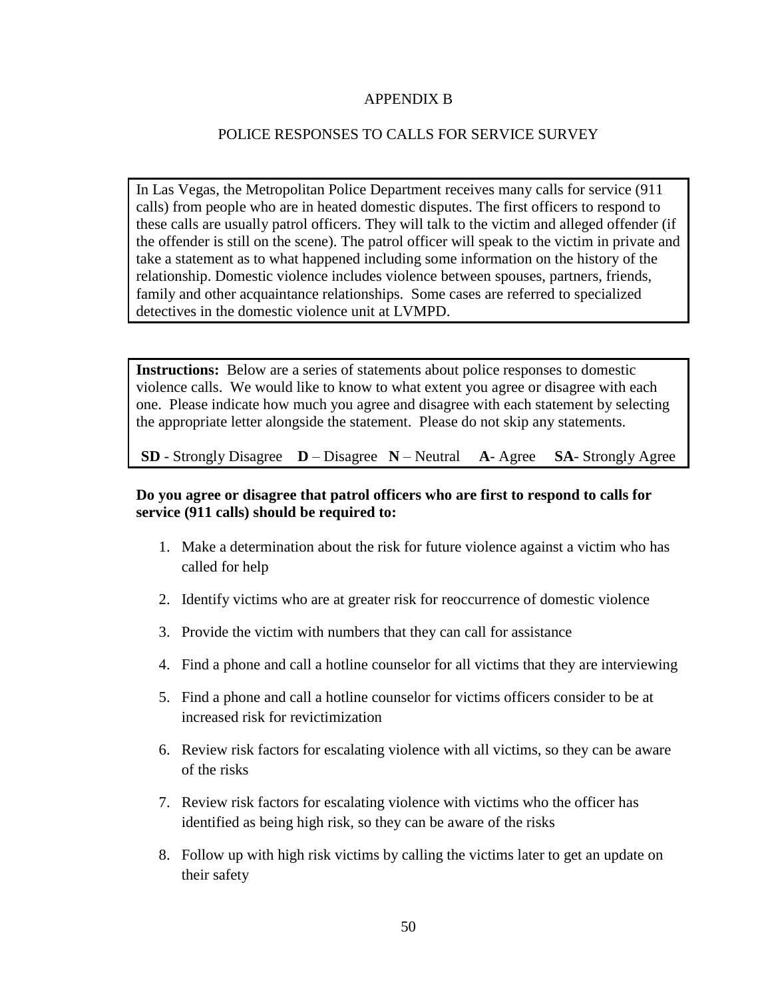## APPENDIX B

# POLICE RESPONSES TO CALLS FOR SERVICE SURVEY

In Las Vegas, the Metropolitan Police Department receives many calls for service (911 calls) from people who are in heated domestic disputes. The first officers to respond to these calls are usually patrol officers. They will talk to the victim and alleged offender (if the offender is still on the scene). The patrol officer will speak to the victim in private and take a statement as to what happened including some information on the history of the relationship. Domestic violence includes violence between spouses, partners, friends, family and other acquaintance relationships. Some cases are referred to specialized detectives in the domestic violence unit at LVMPD.

**Instructions:** Below are a series of statements about police responses to domestic violence calls. We would like to know to what extent you agree or disagree with each one. Please indicate how much you agree and disagree with each statement by selecting the appropriate letter alongside the statement. Please do not skip any statements.

**SD** - Strongly Disagree **D** – Disagree **N** – Neutral **A**- Agree **SA**- Strongly Agree

# **Do you agree or disagree that patrol officers who are first to respond to calls for service (911 calls) should be required to:**

- 1. Make a determination about the risk for future violence against a victim who has called for help
- 2. Identify victims who are at greater risk for reoccurrence of domestic violence
- 3. Provide the victim with numbers that they can call for assistance
- 4. Find a phone and call a hotline counselor for all victims that they are interviewing
- 5. Find a phone and call a hotline counselor for victims officers consider to be at increased risk for revictimization
- 6. Review risk factors for escalating violence with all victims, so they can be aware of the risks
- 7. Review risk factors for escalating violence with victims who the officer has identified as being high risk, so they can be aware of the risks
- 8. Follow up with high risk victims by calling the victims later to get an update on their safety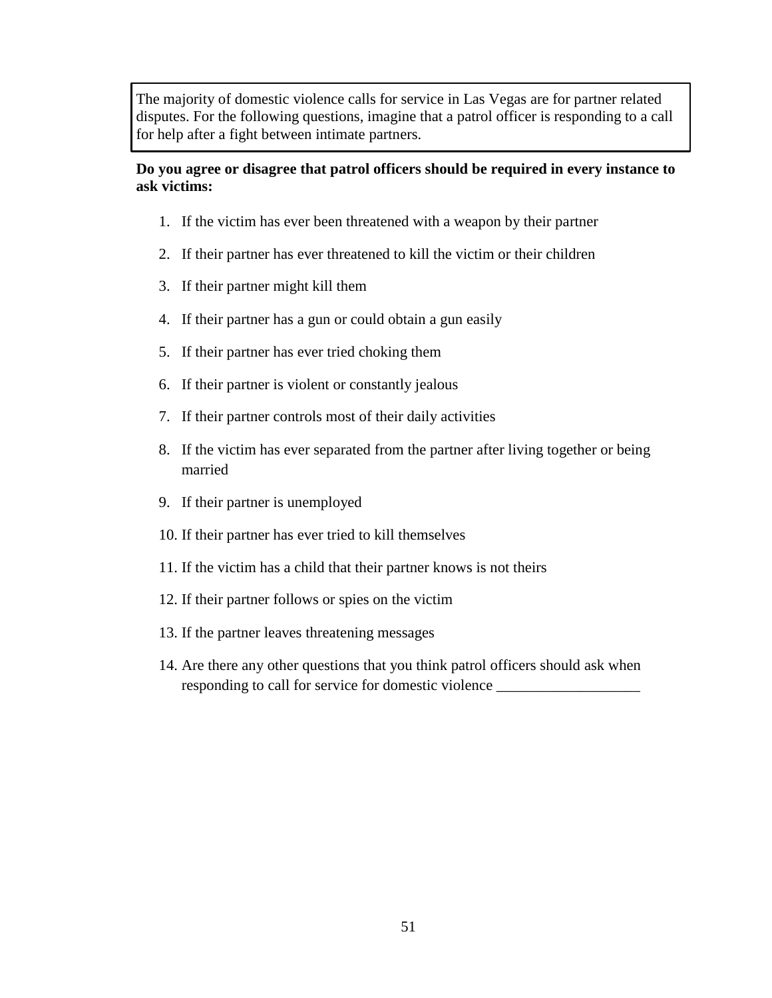The majority of domestic violence calls for service in Las Vegas are for partner related disputes. For the following questions, imagine that a patrol officer is responding to a call for help after a fight between intimate partners.

# **Do you agree or disagree that patrol officers should be required in every instance to ask victims:**

- 1. If the victim has ever been threatened with a weapon by their partner
- 2. If their partner has ever threatened to kill the victim or their children
- 3. If their partner might kill them
- 4. If their partner has a gun or could obtain a gun easily
- 5. If their partner has ever tried choking them
- 6. If their partner is violent or constantly jealous
- 7. If their partner controls most of their daily activities
- 8. If the victim has ever separated from the partner after living together or being married
- 9. If their partner is unemployed
- 10. If their partner has ever tried to kill themselves
- 11. If the victim has a child that their partner knows is not theirs
- 12. If their partner follows or spies on the victim
- 13. If the partner leaves threatening messages
- 14. Are there any other questions that you think patrol officers should ask when responding to call for service for domestic violence \_\_\_\_\_\_\_\_\_\_\_\_\_\_\_\_\_\_\_\_\_\_\_\_\_\_\_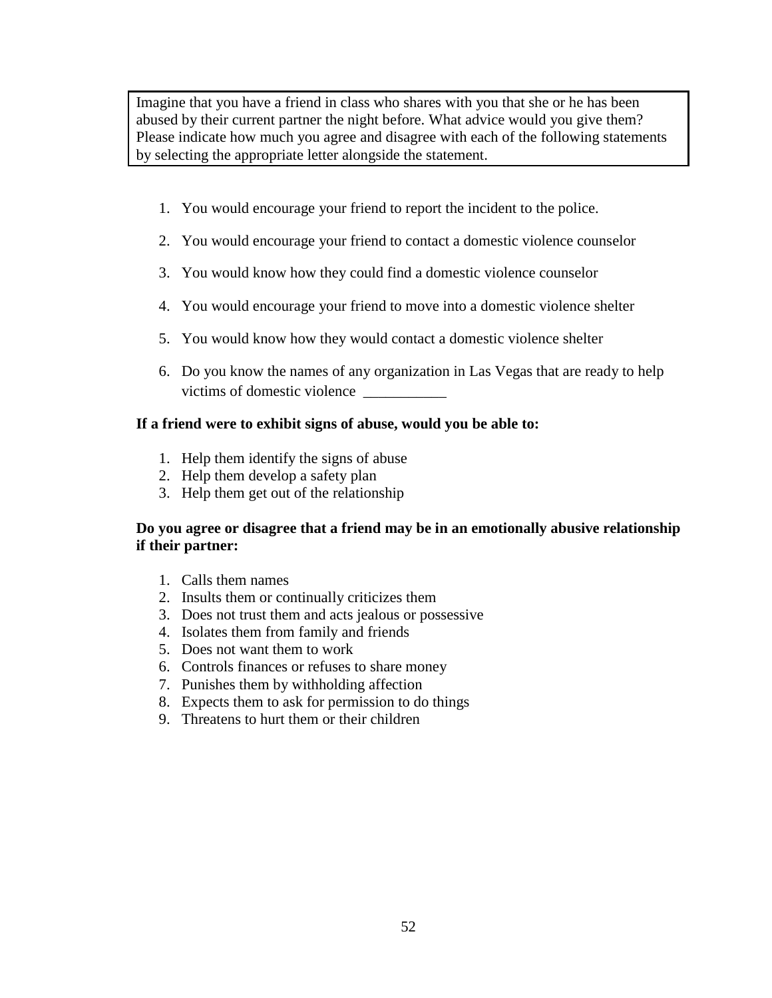Imagine that you have a friend in class who shares with you that she or he has been abused by their current partner the night before. What advice would you give them? Please indicate how much you agree and disagree with each of the following statements by selecting the appropriate letter alongside the statement.

- 1. You would encourage your friend to report the incident to the police.
- 2. You would encourage your friend to contact a domestic violence counselor
- 3. You would know how they could find a domestic violence counselor
- 4. You would encourage your friend to move into a domestic violence shelter
- 5. You would know how they would contact a domestic violence shelter
- 6. Do you know the names of any organization in Las Vegas that are ready to help victims of domestic violence \_\_\_\_\_\_\_\_\_\_\_

## **If a friend were to exhibit signs of abuse, would you be able to:**

- 1. Help them identify the signs of abuse
- 2. Help them develop a safety plan
- 3. Help them get out of the relationship

## **Do you agree or disagree that a friend may be in an emotionally abusive relationship if their partner:**

- 1. Calls them names
- 2. Insults them or continually criticizes them
- 3. Does not trust them and acts jealous or possessive
- 4. Isolates them from family and friends
- 5. Does not want them to work
- 6. Controls finances or refuses to share money
- 7. Punishes them by withholding affection
- 8. Expects them to ask for permission to do things
- 9. Threatens to hurt them or their children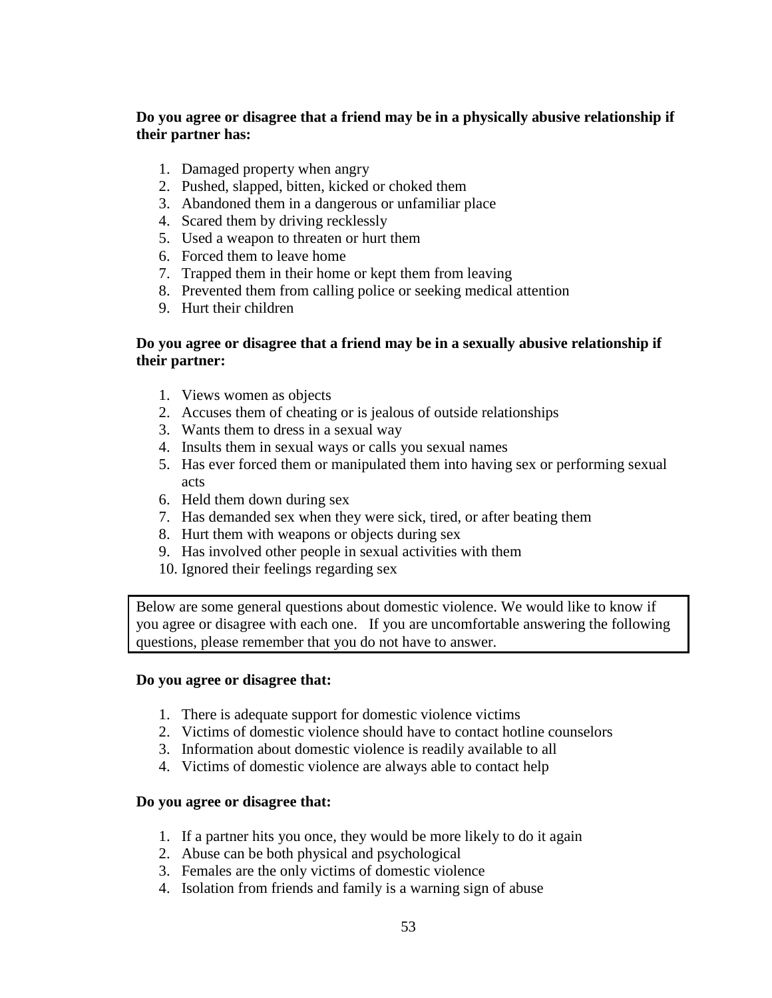# **Do you agree or disagree that a friend may be in a physically abusive relationship if their partner has:**

- 1. Damaged property when angry
- 2. Pushed, slapped, bitten, kicked or choked them
- 3. Abandoned them in a dangerous or unfamiliar place
- 4. Scared them by driving recklessly
- 5. Used a weapon to threaten or hurt them
- 6. Forced them to leave home
- 7. Trapped them in their home or kept them from leaving
- 8. Prevented them from calling police or seeking medical attention
- 9. Hurt their children

# **Do you agree or disagree that a friend may be in a sexually abusive relationship if their partner:**

- 1. Views women as objects
- 2. Accuses them of cheating or is jealous of outside relationships
- 3. Wants them to dress in a sexual way
- 4. Insults them in sexual ways or calls you sexual names
- 5. Has ever forced them or manipulated them into having sex or performing sexual acts
- 6. Held them down during sex
- 7. Has demanded sex when they were sick, tired, or after beating them
- 8. Hurt them with weapons or objects during sex
- 9. Has involved other people in sexual activities with them
- 10. Ignored their feelings regarding sex

Below are some general questions about domestic violence. We would like to know if you agree or disagree with each one. If you are uncomfortable answering the following questions, please remember that you do not have to answer.

## **Do you agree or disagree that:**

- 1. There is adequate support for domestic violence victims
- 2. Victims of domestic violence should have to contact hotline counselors
- 3. Information about domestic violence is readily available to all
- 4. Victims of domestic violence are always able to contact help

## **Do you agree or disagree that:**

- 1. If a partner hits you once, they would be more likely to do it again
- 2. Abuse can be both physical and psychological
- 3. Females are the only victims of domestic violence
- 4. Isolation from friends and family is a warning sign of abuse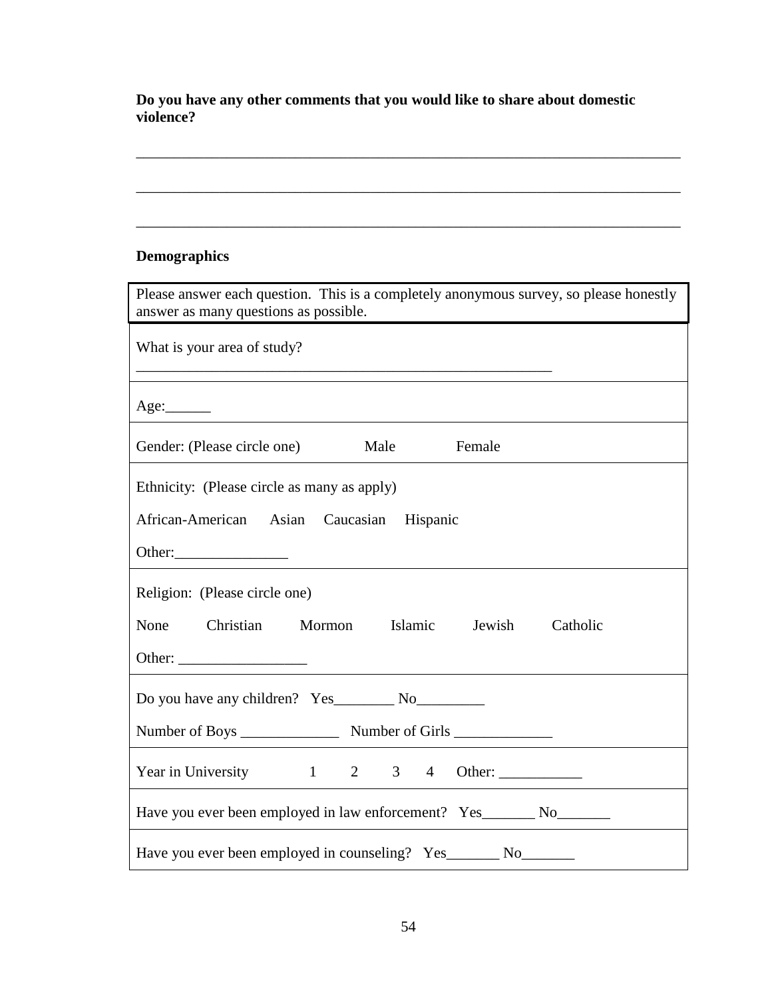**Do you have any other comments that you would like to share about domestic violence?**

\_\_\_\_\_\_\_\_\_\_\_\_\_\_\_\_\_\_\_\_\_\_\_\_\_\_\_\_\_\_\_\_\_\_\_\_\_\_\_\_\_\_\_\_\_\_\_\_\_\_\_\_\_\_\_\_\_\_\_\_\_\_\_\_\_\_\_\_\_\_\_\_

\_\_\_\_\_\_\_\_\_\_\_\_\_\_\_\_\_\_\_\_\_\_\_\_\_\_\_\_\_\_\_\_\_\_\_\_\_\_\_\_\_\_\_\_\_\_\_\_\_\_\_\_\_\_\_\_\_\_\_\_\_\_\_\_\_\_\_\_\_\_\_\_

\_\_\_\_\_\_\_\_\_\_\_\_\_\_\_\_\_\_\_\_\_\_\_\_\_\_\_\_\_\_\_\_\_\_\_\_\_\_\_\_\_\_\_\_\_\_\_\_\_\_\_\_\_\_\_\_\_\_\_\_\_\_\_\_\_\_\_\_\_\_\_\_

# **Demographics**

| Please answer each question. This is a completely anonymous survey, so please honestly |
|----------------------------------------------------------------------------------------|
| answer as many questions as possible.                                                  |
| What is your area of study?                                                            |
|                                                                                        |
|                                                                                        |
| Gender: (Please circle one) Male<br>Female                                             |
| Ethnicity: (Please circle as many as apply)                                            |
| African-American Asian Caucasian Hispanic                                              |
|                                                                                        |
| Religion: (Please circle one)                                                          |
| None Christian Mormon Islamic Jewish Catholic                                          |
| Other: $\qquad \qquad$                                                                 |
|                                                                                        |
|                                                                                        |
|                                                                                        |
| Have you ever been employed in law enforcement? Yes________ No________                 |
| Have you ever been employed in counseling? Yes________ No________                      |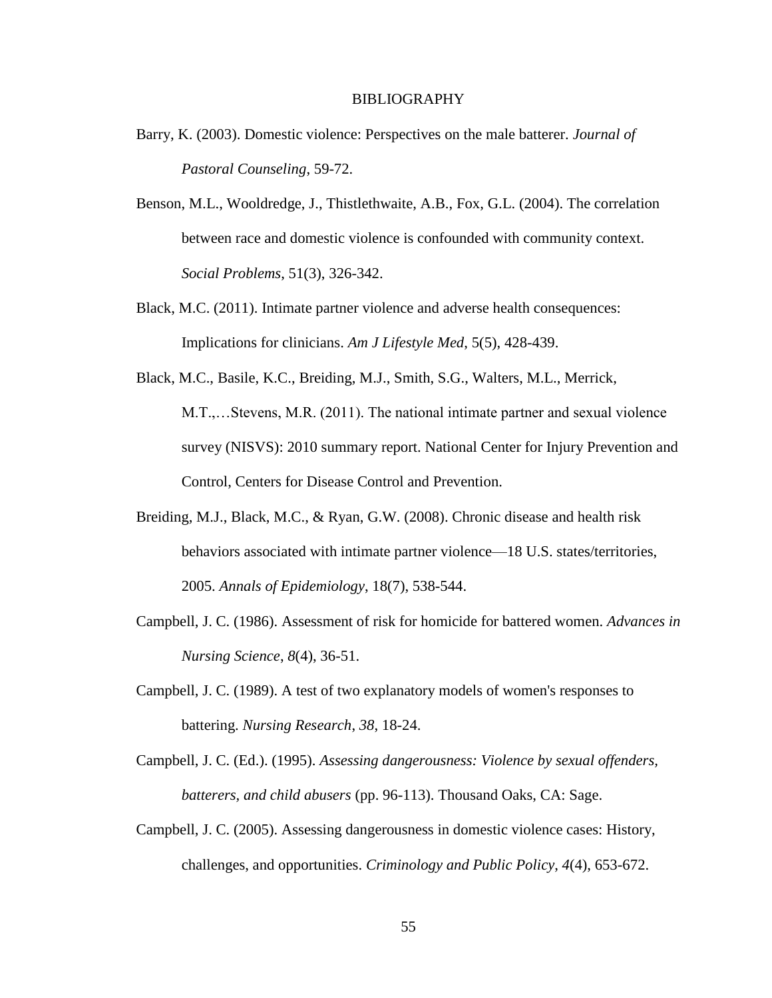#### BIBLIOGRAPHY

- Barry, K. (2003). Domestic violence: Perspectives on the male batterer. *Journal of Pastoral Counseling*, 59-72.
- Benson, M.L., Wooldredge, J., Thistlethwaite, A.B., Fox, G.L. (2004). The correlation between race and domestic violence is confounded with community context. *Social Problems*, 51(3), 326-342.
- Black, M.C. (2011). Intimate partner violence and adverse health consequences: Implications for clinicians. *Am J Lifestyle Med*, 5(5), 428-439.
- Black, M.C., Basile, K.C., Breiding, M.J., Smith, S.G., Walters, M.L., Merrick, M.T.,…Stevens, M.R. (2011). The national intimate partner and sexual violence survey (NISVS): 2010 summary report. National Center for Injury Prevention and Control, Centers for Disease Control and Prevention.
- Breiding, M.J., Black, M.C., & Ryan, G.W. (2008). Chronic disease and health risk behaviors associated with intimate partner violence—18 U.S. states/territories, 2005. *Annals of Epidemiology*, 18(7), 538-544.
- Campbell, J. C. (1986). Assessment of risk for homicide for battered women. *Advances in Nursing Science*, *8*(4), 36-51.
- Campbell, J. C. (1989). A test of two explanatory models of women's responses to battering. *Nursing Research*, *38*, 18-24.
- Campbell, J. C. (Ed.). (1995). *Assessing dangerousness: Violence by sexual offenders, batterers, and child abusers* (pp. 96-113). Thousand Oaks, CA: Sage.
- Campbell, J. C. (2005). Assessing dangerousness in domestic violence cases: History, challenges, and opportunities. *Criminology and Public Policy*, *4*(4), 653-672.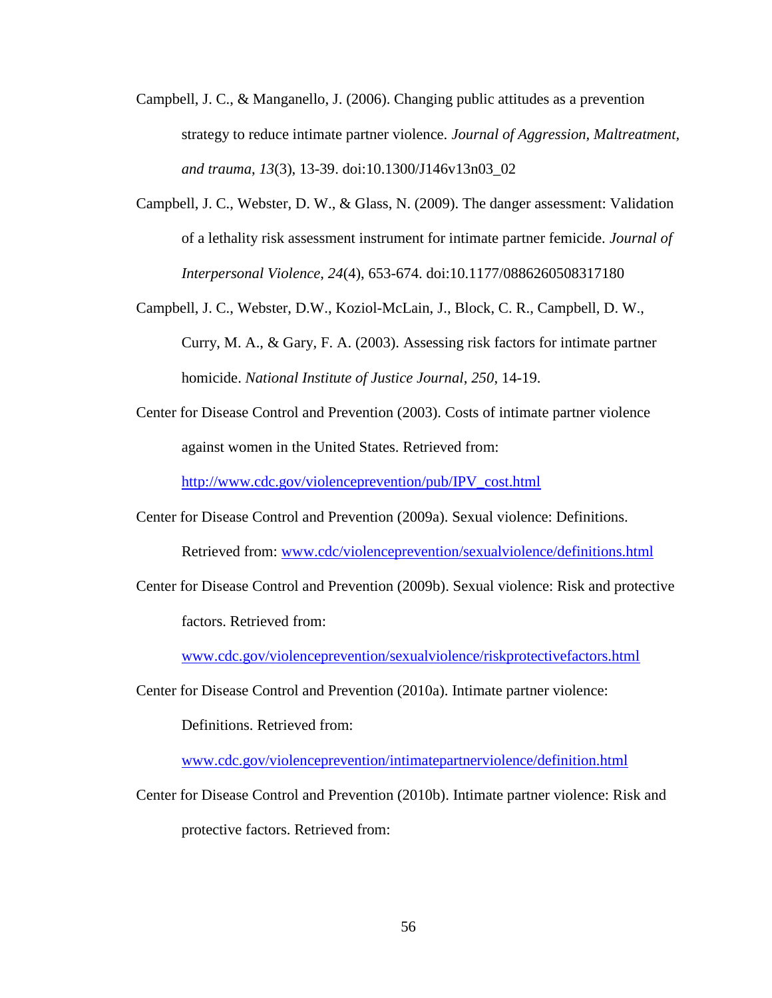- Campbell, J. C., & Manganello, J. (2006). Changing public attitudes as a prevention strategy to reduce intimate partner violence. *Journal of Aggression, Maltreatment, and trauma*, *13*(3), 13-39. doi:10.1300/J146v13n03\_02
- Campbell, J. C., Webster, D. W., & Glass, N. (2009). The danger assessment: Validation of a lethality risk assessment instrument for intimate partner femicide. *Journal of Interpersonal Violence*, *24*(4), 653-674. doi:10.1177/0886260508317180
- Campbell, J. C., Webster, D.W., Koziol-McLain, J., Block, C. R., Campbell, D. W., Curry, M. A., & Gary, F. A. (2003). Assessing risk factors for intimate partner homicide. *National Institute of Justice Journal*, *250*, 14-19.
- Center for Disease Control and Prevention (2003). Costs of intimate partner violence against women in the United States. Retrieved from:

[http://www.cdc.gov/violenceprevention/pub/IPV\\_cost.html](http://www.cdc.gov/violenceprevention/pub/IPV_cost.html)

- Center for Disease Control and Prevention (2009a). Sexual violence: Definitions. Retrieved from: [www.cdc/violenceprevention/sexualviolence/definitions.html](http://www.cdc/violenceprevention/sexualviolence/definitions.html)
- Center for Disease Control and Prevention (2009b). Sexual violence: Risk and protective factors. Retrieved from:

[www.cdc.gov/violenceprevention/sexualviolence/riskprotectivefactors.html](http://www.cdc.gov/violenceprevention/sexualviolence/riskprotectivefactors.html)

Center for Disease Control and Prevention (2010a). Intimate partner violence:

Definitions. Retrieved from:

[www.cdc.gov/violenceprevention/intimatepartnerviolence/definition.html](http://www.cdc.gov/violenceprevention/intimatepartnerviolence/definition.html)

Center for Disease Control and Prevention (2010b). Intimate partner violence: Risk and protective factors. Retrieved from: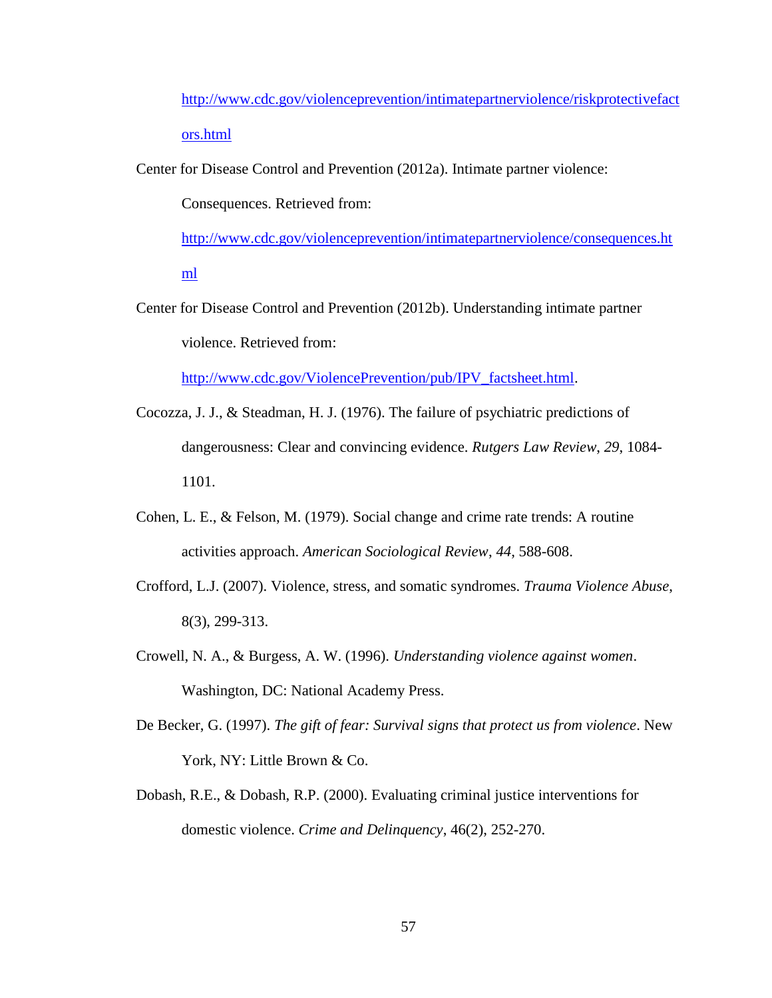[http://www.cdc.gov/violenceprevention/intimatepartnerviolence/riskprotectivefact](http://www.cdc.gov/violenceprevention/intimatepartnerviolence/riskprotectivefactors.html) [ors.html](http://www.cdc.gov/violenceprevention/intimatepartnerviolence/riskprotectivefactors.html)

Center for Disease Control and Prevention (2012a). Intimate partner violence:

Consequences. Retrieved from:

[http://www.cdc.gov/violenceprevention/intimatepartnerviolence/consequences.ht](http://www.cdc.gov/violenceprevention/intimatepartnerviolence/consequences.html)

[ml](http://www.cdc.gov/violenceprevention/intimatepartnerviolence/consequences.html)

Center for Disease Control and Prevention (2012b). Understanding intimate partner violence. Retrieved from:

[http://www.cdc.gov/ViolencePrevention/pub/IPV\\_factsheet.html.](http://www.cdc.gov/ViolencePrevention/pub/IPV_factsheet.html)

- Cocozza, J. J., & Steadman, H. J. (1976). The failure of psychiatric predictions of dangerousness: Clear and convincing evidence. *Rutgers Law Review*, *29*, 1084- 1101.
- Cohen, L. E., & Felson, M. (1979). Social change and crime rate trends: A routine activities approach. *American Sociological Review*, *44*, 588-608.
- Crofford, L.J. (2007). Violence, stress, and somatic syndromes. *Trauma Violence Abuse*, 8(3), 299-313.
- Crowell, N. A., & Burgess, A. W. (1996). *Understanding violence against women*. Washington, DC: National Academy Press.
- De Becker, G. (1997). *The gift of fear: Survival signs that protect us from violence*. New York, NY: Little Brown & Co.
- Dobash, R.E., & Dobash, R.P. (2000). Evaluating criminal justice interventions for domestic violence. *Crime and Delinquency*, 46(2), 252-270.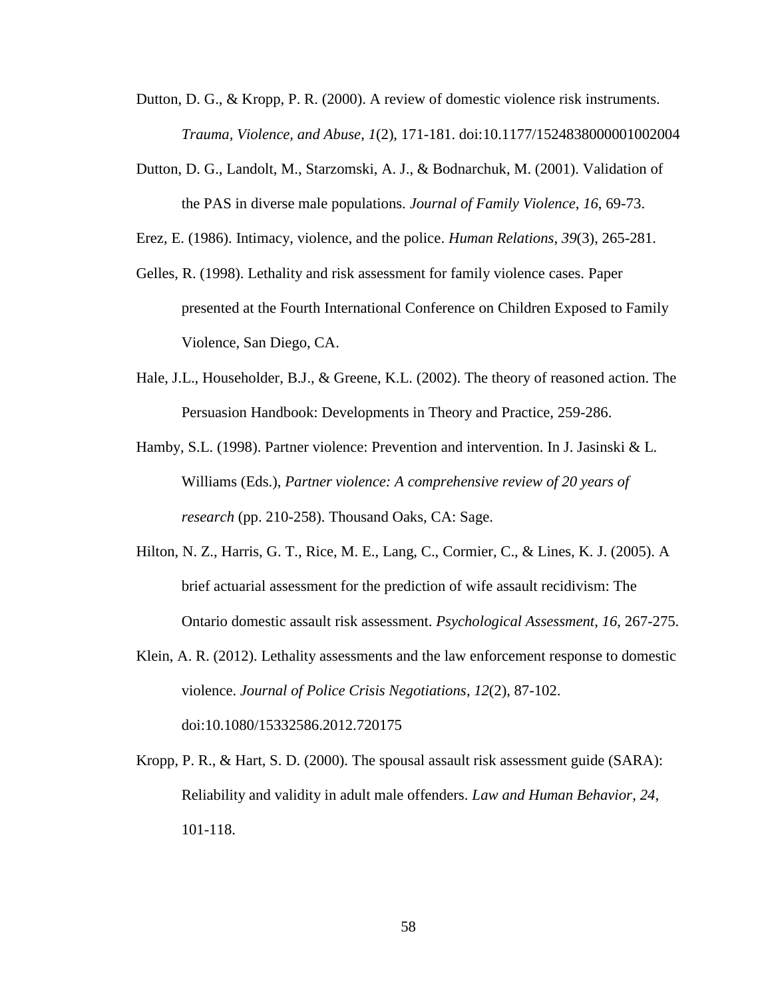- Dutton, D. G., & Kropp, P. R. (2000). A review of domestic violence risk instruments. *Trauma, Violence, and Abuse*, *1*(2), 171-181. doi:10.1177/1524838000001002004
- Dutton, D. G., Landolt, M., Starzomski, A. J., & Bodnarchuk, M. (2001). Validation of the PAS in diverse male populations. *Journal of Family Violence*, *16*, 69-73.

Erez, E. (1986). Intimacy, violence, and the police. *Human Relations*, *39*(3), 265-281.

- Gelles, R. (1998). Lethality and risk assessment for family violence cases. Paper presented at the Fourth International Conference on Children Exposed to Family Violence, San Diego, CA.
- Hale, J.L., Householder, B.J., & Greene, K.L. (2002). The theory of reasoned action. The Persuasion Handbook: Developments in Theory and Practice, 259-286.
- Hamby, S.L. (1998). Partner violence: Prevention and intervention. In J. Jasinski & L. Williams (Eds.), *Partner violence: A comprehensive review of 20 years of research* (pp. 210-258). Thousand Oaks, CA: Sage.
- Hilton, N. Z., Harris, G. T., Rice, M. E., Lang, C., Cormier, C., & Lines, K. J. (2005). A brief actuarial assessment for the prediction of wife assault recidivism: The Ontario domestic assault risk assessment. *Psychological Assessment*, *16*, 267-275.
- Klein, A. R. (2012). Lethality assessments and the law enforcement response to domestic violence. *Journal of Police Crisis Negotiations*, *12*(2), 87-102. doi:10.1080/15332586.2012.720175
- Kropp, P. R., & Hart, S. D. (2000). The spousal assault risk assessment guide (SARA): Reliability and validity in adult male offenders. *Law and Human Behavior*, *24*, 101-118.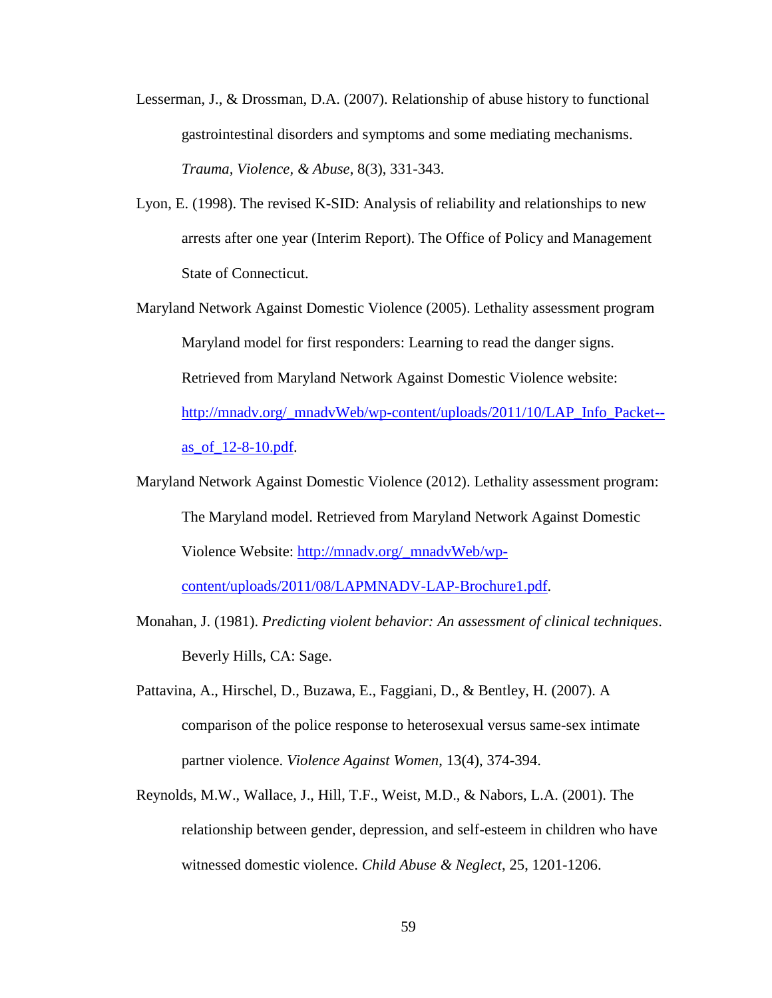- Lesserman, J., & Drossman, D.A. (2007). Relationship of abuse history to functional gastrointestinal disorders and symptoms and some mediating mechanisms. *Trauma, Violence, & Abuse*, 8(3), 331-343.
- Lyon, E. (1998). The revised K-SID: Analysis of reliability and relationships to new arrests after one year (Interim Report). The Office of Policy and Management State of Connecticut.
- Maryland Network Against Domestic Violence (2005). Lethality assessment program Maryland model for first responders: Learning to read the danger signs. Retrieved from Maryland Network Against Domestic Violence website: [http://mnadv.org/\\_mnadvWeb/wp-content/uploads/2011/10/LAP\\_Info\\_Packet-](http://mnadv.org/_mnadvWeb/wp-content/uploads/2011/10/LAP_Info_Packet--as_of_12-8-10.pdf) [as\\_of\\_12-8-10.pdf.](http://mnadv.org/_mnadvWeb/wp-content/uploads/2011/10/LAP_Info_Packet--as_of_12-8-10.pdf)
- Maryland Network Against Domestic Violence (2012). Lethality assessment program: The Maryland model. Retrieved from Maryland Network Against Domestic Violence Website: [http://mnadv.org/\\_mnadvWeb/wp](http://mnadv.org/_mnadvWeb/wp-content/uploads/2011/08/LAPMNADV-LAP-Brochure1.pdf)[content/uploads/2011/08/LAPMNADV-LAP-Brochure1.pdf.](http://mnadv.org/_mnadvWeb/wp-content/uploads/2011/08/LAPMNADV-LAP-Brochure1.pdf)
- Monahan, J. (1981). *Predicting violent behavior: An assessment of clinical techniques*. Beverly Hills, CA: Sage.
- Pattavina, A., Hirschel, D., Buzawa, E., Faggiani, D., & Bentley, H. (2007). A comparison of the police response to heterosexual versus same-sex intimate partner violence. *Violence Against Women*, 13(4), 374-394.
- Reynolds, M.W., Wallace, J., Hill, T.F., Weist, M.D., & Nabors, L.A. (2001). The relationship between gender, depression, and self-esteem in children who have witnessed domestic violence. *Child Abuse & Neglect*, 25, 1201-1206.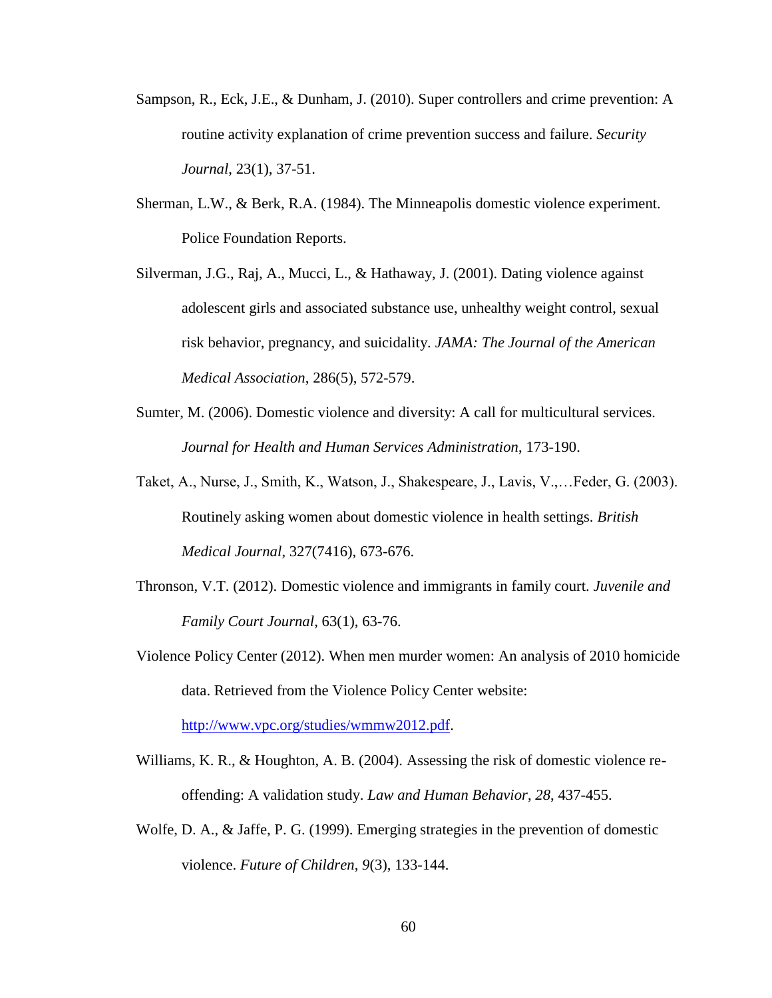- Sampson, R., Eck, J.E., & Dunham, J. (2010). Super controllers and crime prevention: A routine activity explanation of crime prevention success and failure. *Security Journal*, 23(1), 37-51.
- Sherman, L.W., & Berk, R.A. (1984). The Minneapolis domestic violence experiment. Police Foundation Reports.
- Silverman, J.G., Raj, A., Mucci, L., & Hathaway, J. (2001). Dating violence against adolescent girls and associated substance use, unhealthy weight control, sexual risk behavior, pregnancy, and suicidality. *JAMA: The Journal of the American Medical Association*, 286(5), 572-579.
- Sumter, M. (2006). Domestic violence and diversity: A call for multicultural services. *Journal for Health and Human Services Administration*, 173-190.
- Taket, A., Nurse, J., Smith, K., Watson, J., Shakespeare, J., Lavis, V.,…Feder, G. (2003). Routinely asking women about domestic violence in health settings. *British Medical Journal*, 327(7416), 673-676.
- Thronson, V.T. (2012). Domestic violence and immigrants in family court. *Juvenile and Family Court Journal*, 63(1), 63-76.
- Violence Policy Center (2012). When men murder women: An analysis of 2010 homicide data. Retrieved from the Violence Policy Center website:

[http://www.vpc.org/studies/wmmw2012.pdf.](http://www.vpc.org/studies/wmmw2012.pdf)

- Williams, K. R., & Houghton, A. B. (2004). Assessing the risk of domestic violence reoffending: A validation study. *Law and Human Behavior*, *28*, 437-455.
- Wolfe, D. A., & Jaffe, P. G. (1999). Emerging strategies in the prevention of domestic violence. *Future of Children*, *9*(3), 133-144.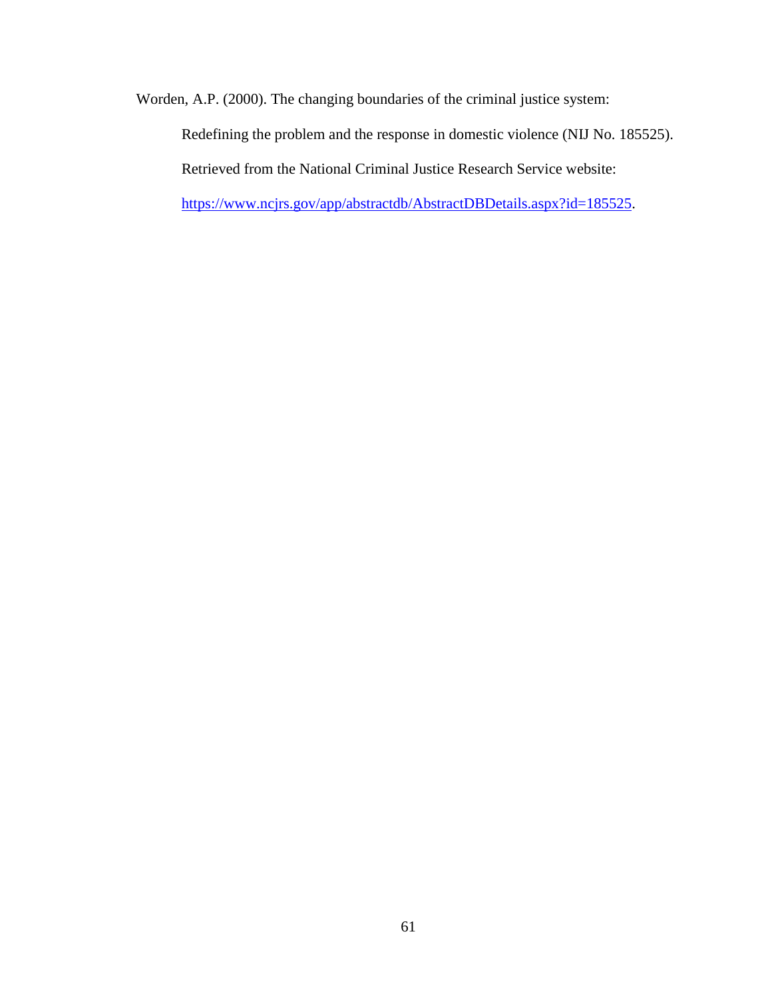Worden, A.P. (2000). The changing boundaries of the criminal justice system:

Redefining the problem and the response in domestic violence (NIJ No. 185525). Retrieved from the National Criminal Justice Research Service website:

[https://www.ncjrs.gov/app/abstractdb/AbstractDBDetails.aspx?id=185525.](https://www.ncjrs.gov/app/abstractdb/AbstractDBDetails.aspx?id=185525)